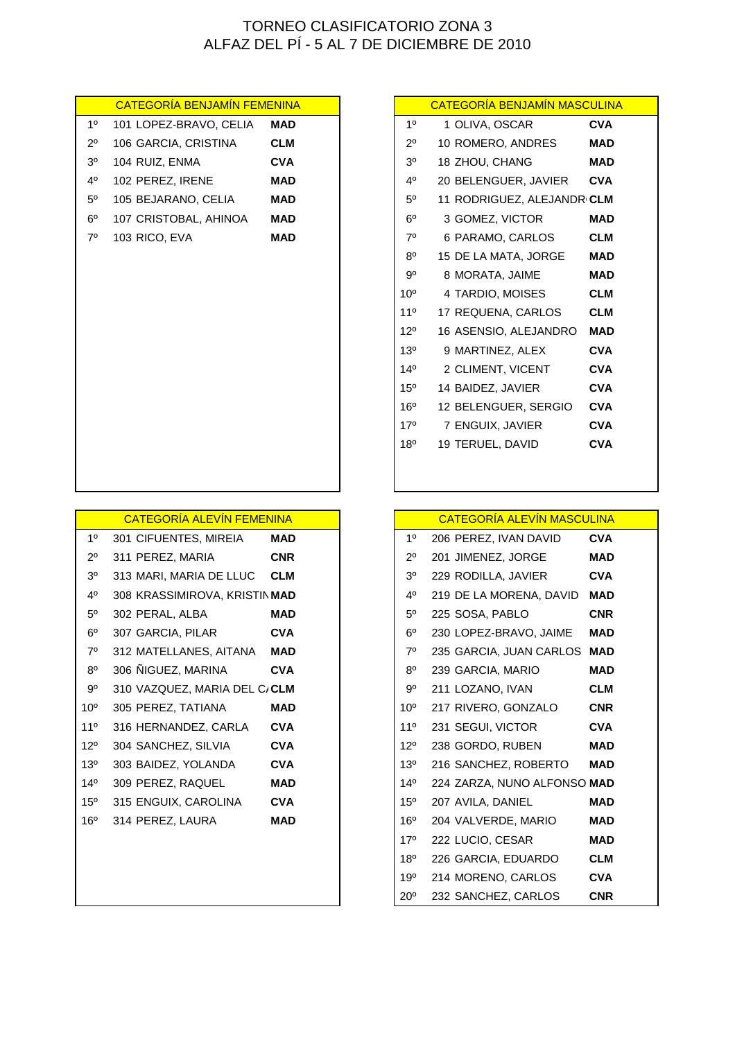| <b>CATEGORÍA BENJAMÍN FEMENINA</b> |                        |            | <b>CATEGORÍA BENJAMÍN MASCULIN</b> |                            |            |
|------------------------------------|------------------------|------------|------------------------------------|----------------------------|------------|
| 1 <sup>0</sup>                     | 101 LOPEZ-BRAVO, CELIA | <b>MAD</b> | 1 <sup>0</sup>                     | 1 OLIVA, OSCAR             | <b>CVA</b> |
| $2^{\circ}$                        | 106 GARCIA, CRISTINA   | <b>CLM</b> | $2^{\circ}$                        | 10 ROMERO, ANDRES          | <b>MAD</b> |
| 3 <sup>o</sup>                     | 104 RUIZ, ENMA         | <b>CVA</b> | 3 <sup>o</sup>                     | 18 ZHOU, CHANG             | <b>MAD</b> |
| $4^{\circ}$                        | 102 PEREZ, IRENE       | <b>MAD</b> | 4°                                 | 20 BELENGUER, JAVIER       | <b>CVA</b> |
| $5^{\circ}$                        | 105 BEJARANO, CELIA    | <b>MAD</b> | $5^{\circ}$                        | 11 RODRIGUEZ, ALEJANDRICLM |            |
| $6^{\circ}$                        | 107 CRISTOBAL, AHINOA  | <b>MAD</b> | $6^{\circ}$                        | 3 GOMEZ, VICTOR            | <b>MAD</b> |
| $7^\circ$                          | 103 RICO, EVA          | <b>MAD</b> | $7^\circ$                          | 6 PARAMO, CARLOS           | <b>CLM</b> |
|                                    |                        |            | $8^{\circ}$                        | 15 DE LA MATA, JORGE       | <b>MAD</b> |
|                                    |                        |            | 90                                 | 8 MORATA, JAIME            | <b>MAD</b> |
|                                    |                        |            | $10^{\circ}$                       | 4 TARDIO, MOISES           | <b>CLM</b> |
|                                    |                        |            | 11 <sup>°</sup>                    | 17 REQUENA, CARLOS         | <b>CLM</b> |
|                                    |                        |            | $12^{\circ}$                       | 16 ASENSIO, ALEJANDRO      | <b>MAD</b> |
|                                    |                        |            | $13^\circ$                         | 9 MARTINEZ, ALEX           | <b>CVA</b> |
|                                    |                        |            | $14^{\circ}$                       | 2 CLIMENT, VICENT          | <b>CVA</b> |
|                                    |                        |            | 15°                                | 14 BAIDEZ, JAVIER          | <b>CVA</b> |
|                                    |                        |            | 16 <sup>o</sup>                    | 12 BELENGUER, SERGIO       | <b>CVA</b> |
|                                    |                        |            | 17 <sup>°</sup>                    | 7 ENGUIX, JAVIER           | <b>CVA</b> |
|                                    |                        |            | 18°                                | 19 TERUEL, DAVID           | <b>CVA</b> |
|                                    |                        |            |                                    |                            |            |
|                                    |                        |            |                                    |                            |            |
|                                    |                        |            |                                    |                            |            |

|                 | <b>CATEGORIA ALEVIN FEMENINA</b> |            |                 | <u>CATEGORÍA ALEVÍN MASCULINA</u> |            |
|-----------------|----------------------------------|------------|-----------------|-----------------------------------|------------|
| $1^{\circ}$     | 301 CIFUENTES, MIREIA            | <b>MAD</b> | 1 <sup>0</sup>  | 206 PEREZ, IVAN DAVID             | <b>CVA</b> |
| $2^{\circ}$     | 311 PEREZ, MARIA                 | <b>CNR</b> | $2^{\circ}$     | 201 JIMENEZ, JORGE                | <b>MAD</b> |
| 3 <sup>o</sup>  | 313 MARI, MARIA DE LLUC          | <b>CLM</b> | 3 <sup>o</sup>  | 229 RODILLA, JAVIER               | <b>CVA</b> |
| 40              | 308 KRASSIMIROVA, KRISTIN MAD    |            | $4^{\circ}$     | 219 DE LA MORENA, DAVID           | <b>MAD</b> |
| $5^{\circ}$     | 302 PERAL, ALBA                  | <b>MAD</b> | $5^{\circ}$     | 225 SOSA, PABLO                   | <b>CNR</b> |
| $6^{\circ}$     | 307 GARCIA, PILAR                | <b>CVA</b> | $6^{\circ}$     | 230 LOPEZ-BRAVO, JAIME            | <b>MAD</b> |
| $7^\circ$       | 312 MATELLANES, AITANA           | <b>MAD</b> | $7^\circ$       | 235 GARCIA, JUAN CARLOS MAD       |            |
| $8^{\circ}$     | 306 ÑIGUEZ, MARINA               | <b>CVA</b> | $8^{\circ}$     | 239 GARCIA, MARIO                 | <b>MAD</b> |
| 90              | 310 VAZQUEZ, MARIA DEL C/CLM     |            | 90              | 211 LOZANO, IVAN                  | <b>CLM</b> |
| 10 <sup>o</sup> | 305 PEREZ, TATIANA               | <b>MAD</b> | 10 <sup>o</sup> | 217 RIVERO, GONZALO               | <b>CNR</b> |
| 11 <sup>o</sup> | 316 HERNANDEZ, CARLA             | <b>CVA</b> | 11 <sup>°</sup> | 231 SEGUI, VICTOR                 | <b>CVA</b> |
| $12^{\circ}$    | 304 SANCHEZ, SILVIA              | <b>CVA</b> | $12^{\circ}$    | 238 GORDO, RUBEN                  | <b>MAD</b> |
| 13 <sup>o</sup> | 303 BAIDEZ, YOLANDA              | <b>CVA</b> | $13^\circ$      | 216 SANCHEZ, ROBERTO              | <b>MAD</b> |
| $14^{\circ}$    | 309 PEREZ, RAQUEL                | <b>MAD</b> | $14^{\circ}$    | 224 ZARZA, NUNO ALFONSO MAD       |            |
| $15^{\circ}$    | 315 ENGUIX, CAROLINA             | <b>CVA</b> | $15^{\circ}$    | 207 AVILA, DANIEL                 | <b>MAD</b> |
| $16^{\circ}$    | 314 PEREZ, LAURA                 | <b>MAD</b> | $16^{\circ}$    | 204 VALVERDE, MARIO               | <b>MAD</b> |
|                 |                                  |            | 17 <sup>°</sup> | 222 LUCIO, CESAR                  | <b>MAD</b> |
|                 |                                  |            | 180             | 226 GARCIA EDHARDO                | CLM        |

# **CATEGORÍA BENJAMÍN MASCULINA**

| 10              | 1 OLIVA, OSCAR             | <b>CVA</b> |
|-----------------|----------------------------|------------|
| 20              | 10 ROMERO, ANDRES          | MAD        |
| 30              | 18 ZHOU, CHANG             | MAD        |
| 4 <sup>0</sup>  | 20 BELENGUER, JAVIER       | <b>CVA</b> |
| 50              | 11 RODRIGUEZ, ALEJANDRICLM |            |
| $6^{\circ}$     | 3 GOMEZ, VICTOR            | MAD        |
| $7^\circ$       | 6 PARAMO, CARLOS           | <b>CLM</b> |
| 80              | 15 DE LA MATA, JORGE       | MAD        |
| 9°              | 8 MORATA, JAIME            | <b>MAD</b> |
| 10 <sup>o</sup> | 4 TARDIO, MOISES           | <b>CLM</b> |
| 110             | 17 REQUENA, CARLOS         | <b>CLM</b> |
| 120             | 16 ASENSIO, ALEJANDRO      | <b>MAD</b> |
| 13 <sup>0</sup> | 9 MARTINEZ, ALEX           | <b>CVA</b> |
| 140             | 2 CLIMENT, VICENT          | <b>CVA</b> |
| $15^{o}$        | 14 BAIDEZ, JAVIER          | <b>CVA</b> |
| $16^{\circ}$    | 12 BELENGUER, SERGIO       | <b>CVA</b> |
| 17°             | 7 ENGUIX, JAVIER           | <b>CVA</b> |
| $18^{\circ}$    | <b>19 TERUEL, DAVID</b>    | <b>CVA</b> |
|                 |                            |            |

| <u>CATEGORÍA ALEVÍN FEMENINA</u> |            | CATEGORÍA ALEVÍN MASCULINA |                             |            |
|----------------------------------|------------|----------------------------|-----------------------------|------------|
| 1 CIFUENTES, MIREIA              | <b>MAD</b> | 1 <sup>0</sup>             | 206 PEREZ, IVAN DAVID       | <b>CVA</b> |
| 1 PEREZ, MARIA CNR               |            | $2^{\circ}$                | 201 JIMENEZ, JORGE          | <b>MAD</b> |
| 3 MARI, MARIA DE LLUC CLM        |            | 3 <sup>o</sup>             | 229 RODILLA, JAVIER         | <b>CVA</b> |
| 8 KRASSIMIROVA, KRISTIN MAD      |            | 4 <sup>0</sup>             | 219 DE LA MORENA, DAVID     | <b>MAD</b> |
| 2 PERAL, ALBA                    | <b>MAD</b> | $5^{\circ}$                | 225 SOSA, PABLO             | <b>CNR</b> |
| 7 GARCIA, PILAR CVA              |            | $6^{\circ}$                | 230 LOPEZ-BRAVO, JAIME      | <b>MAD</b> |
| 2 MATELLANES, AITANA MAD         |            | $7^\circ$                  | 235 GARCIA, JUAN CARLOS MAD |            |
| 6 ÑIGUEZ, MARINA                 | <b>CVA</b> | $8^{\circ}$                | 239 GARCIA, MARIO           | <b>MAD</b> |
| 0 VAZQUEZ, MARIA DEL C/CLM       |            | $9^{\circ}$                | 211 LOZANO, IVAN            | <b>CLM</b> |
| 5 PEREZ, TATIANA                 | <b>MAD</b> | 10 <sup>o</sup>            | 217 RIVERO, GONZALO         | <b>CNR</b> |
| 6 HERNANDEZ, CARLA CVA           |            | 11°                        | 231 SEGUI, VICTOR           | <b>CVA</b> |
| 4 SANCHEZ, SILVIA CVA            |            | 12°                        | 238 GORDO, RUBEN            | <b>MAD</b> |
| 3 BAIDEZ, YOLANDA CVA            |            | 13 <sup>°</sup>            | 216 SANCHEZ, ROBERTO        | <b>MAD</b> |
| 9 PEREZ, RAQUEL                  | <b>MAD</b> | $14^{\circ}$               | 224 ZARZA, NUNO ALFONSO MAD |            |
| 5 ENGUIX, CAROLINA               | <b>CVA</b> | 15 <sup>°</sup>            | 207 AVILA, DANIEL           | <b>MAD</b> |
| 4 PEREZ, LAURA                   | <b>MAD</b> | 16 <sup>o</sup>            | 204 VALVERDE, MARIO         | <b>MAD</b> |
|                                  |            | 17°                        | 222 LUCIO, CESAR            | <b>MAD</b> |
|                                  |            | 18°                        | 226 GARCIA, EDUARDO         | <b>CLM</b> |
|                                  |            | 19°                        | 214 MORENO, CARLOS          | <b>CVA</b> |
|                                  |            | $20^{\circ}$               | 232 SANCHEZ, CARLOS         | <b>CNR</b> |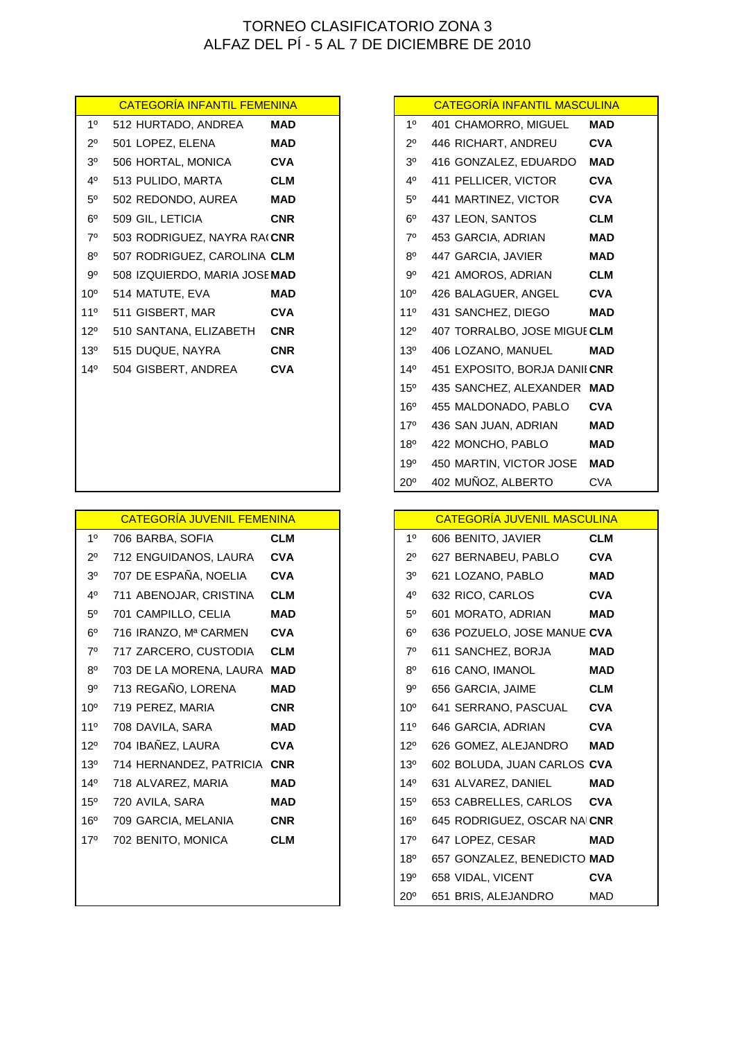| 10              | 512 HURTADO, ANDREA                 | MAD        |
|-----------------|-------------------------------------|------------|
| $2^{\circ}$     | 501 LOPEZ, ELENA                    | MAD        |
| 30              | 506 HORTAL, MONICA                  | CVA        |
| 40              | 513 PULIDO, MARTA                   | <b>CLM</b> |
| $5^{\circ}$     | 502 REDONDO, AUREA                  | MAD        |
| $6^{\circ}$     | 509 GIL, LETICIA                    | CNR        |
| $7^\circ$       | 503 RODRIGUEZ, NAYRA RA( <b>CNR</b> |            |
| $8^{\circ}$     | 507 RODRIGUEZ, CAROLINA <b>CLM</b>  |            |
| 90              | 508 IZQUIERDO, MARIA JOSE MAD       |            |
| 10 <sup>o</sup> | 514 MATUTE, EVA                     | MAD        |
| $11^{\circ}$    | 511 GISBERT, MAR                    | CVA        |
| $12^{\circ}$    | 510 SANTANA. ELIZABETH              | <b>CNR</b> |
| $13^{0}$        | 515 DUQUE, NAYRA                    | CNR        |
| $14^{o}$        | 504 GISBERT, ANDREA                 | <b>CVA</b> |
|                 |                                     |            |
|                 |                                     |            |

|                 | <u>CATEGORIA JUVENIL FEMENINA</u> |            |                 | <u>CATEGORIA JUVENIL MASCULINA</u> |            |
|-----------------|-----------------------------------|------------|-----------------|------------------------------------|------------|
| $1^{\circ}$     | 706 BARBA, SOFIA                  | <b>CLM</b> | 1 <sup>0</sup>  | 606 BENITO, JAVIER                 | <b>CLM</b> |
| $2^{\circ}$     | 712 ENGUIDANOS, LAURA             | <b>CVA</b> | $2^{\circ}$     | 627 BERNABEU, PABLO                | <b>CVA</b> |
| 3 <sup>o</sup>  | 707 DE ESPAÑA, NOELIA             | <b>CVA</b> | 3 <sup>o</sup>  | 621 LOZANO, PABLO                  | <b>MAD</b> |
| 4°              | 711 ABENOJAR, CRISTINA            | <b>CLM</b> | $4^{\circ}$     | 632 RICO, CARLOS                   | <b>CVA</b> |
| $5^{\circ}$     | 701 CAMPILLO, CELIA               | <b>MAD</b> | $5^{\circ}$     | 601 MORATO, ADRIAN                 | <b>MAD</b> |
| $6^{\circ}$     | 716 IRANZO, Mª CARMEN             | <b>CVA</b> | $6^{\circ}$     | 636 POZUELO, JOSE MANUE CVA        |            |
| $7^\circ$       | 717 ZARCERO, CUSTODIA             | <b>CLM</b> | $7^\circ$       | 611 SANCHEZ, BORJA                 | <b>MAD</b> |
| $8^{\circ}$     | 703 DE LA MORENA, LAURA MAD       |            | $8^{\circ}$     | 616 CANO, IMANOL                   | <b>MAD</b> |
| 90              | 713 REGAÑO, LORENA                | <b>MAD</b> | $9^{\circ}$     | 656 GARCIA, JAIME                  | <b>CLM</b> |
| $10^{\circ}$    | 719 PEREZ, MARIA                  | <b>CNR</b> | 10 <sup>o</sup> | 641 SERRANO, PASCUAL               | <b>CVA</b> |
| $11^{\circ}$    | 708 DAVILA, SARA                  | <b>MAD</b> | 11 <sup>°</sup> | 646 GARCIA, ADRIAN                 | <b>CVA</b> |
| $12^{\circ}$    | 704 IBAÑEZ, LAURA                 | <b>CVA</b> | $12^{\circ}$    | 626 GOMEZ, ALEJANDRO               | <b>MAD</b> |
| 13 <sup>o</sup> | 714 HERNANDEZ, PATRICIA CNR       |            | 13 <sup>°</sup> | 602 BOLUDA, JUAN CARLOS CVA        |            |
| $14^{\circ}$    | 718 ALVAREZ, MARIA                | MAD        | $14^{\circ}$    | 631 ALVAREZ, DANIEL                | <b>MAD</b> |
| $15^{\circ}$    | 720 AVILA, SARA                   | <b>MAD</b> | 15 <sup>o</sup> | 653 CABRELLES, CARLOS              | <b>CVA</b> |
| 16 <sup>o</sup> | 709 GARCIA, MELANIA               | <b>CNR</b> | 16 <sup>o</sup> | 645 RODRIGUEZ, OSCAR NAICNR        |            |
| $17^{\circ}$    | 702 BENITO, MONICA                | <b>CLM</b> | 17°             | 647 LOPEZ, CESAR                   | <b>MAD</b> |
|                 |                                   |            | 18 <sup>o</sup> | 657 GONZALEZ, BENEDICTO MAD        |            |
|                 |                                   |            |                 |                                    |            |

# 1º 512 HURTADO, ANDREA **MAD** 1º 401 CHAMORRO, MIGUEL **MAD** 2º 501 LOPEZ, ELENA **MAD** 2º 446 RICHART, ANDREU **CVA** 3º 506 HORTAL, MONICA **CVA** 3º 416 GONZALEZ, EDUARDO **MAD** 4º 513 PULIDO, MARTA **CLM** 4º 411 PELLICER, VICTOR **CVA** 5º 502 REDONDO, AUREA **MAD** 5º 441 MARTINEZ, VICTOR **CVA** 6º 509 GIL, LETICIA **CNR** 6º 437 LEON, SANTOS **CLM** 7º 503 RODRIGUEZ, NAYRA RAQUEL **CNR**7º 453 GARCIA, ADRIAN **MAD** 8º 447 GARCIA, JAVIER **MAD** 9º 421 AMOROS, ADRIAN **CLM** 10º 426 BALAGUER, ANGEL **CVA** 11º 511 GISBERT, MAR **CVA** 11º 431 SANCHEZ, DIEGO **MAD** 12º 510 SANTANA, ELIZABETH **CNR** 12º 407 TORRALBO, JOSE MIGUEL**CLM** 13º 406 LOZANO, MANUEL **MAD** 14º 504 GISBERT, ANDREA **CVA** 14º 451 EXPOSITO, BORJA DANIEL**CNR** 15º 435 SANCHEZ, ALEXANDER **MAD** 16º 455 MALDONADO, PABLO **CVA** 17º 436 SAN JUAN, ADRIAN **MAD** 18º 422 MONCHO, PABLO **MAD** 19º 450 MARTIN, VICTOR JOSE **MAD** 20º 402 MUÑOZ, ALBERTO CVA CATEGORÍA INFANTIL FEMENINA **CATEGORÍA INFANTIL MASCULINA**

### **CATEGORÍA JUVENIL MASCULINA**

| 10              | 606 BENITO, JAVIER          | CLM        |
|-----------------|-----------------------------|------------|
| 2º              | 627 BERNABEU, PABLO         | <b>CVA</b> |
| 3 <sup>0</sup>  | 621 LOZANO, PABLO           | MAD        |
| 4 <sup>0</sup>  | 632 RICO, CARLOS            | <b>CVA</b> |
| 50              | 601 MORATO, ADRIAN          | MAD        |
| $6^{\circ}$     | 636 POZUELO, JOSE MANUE CVA |            |
| $7^\circ$       | 611 SANCHEZ, BORJA          | MAD        |
| 8 <sup>0</sup>  | 616 CANO, IMANOL            | MAD        |
| 90              | 656 GARCIA, JAIME           | CLM        |
| 10 <sup>o</sup> | 641 SERRANO, PASCUAL        | <b>CVA</b> |
| 110             | 646 GARCIA, ADRIAN          | <b>CVA</b> |
| $12^{\circ}$    | 626 GOMEZ, ALEJANDRO        | MAD        |
| $13^{0}$        | 602 BOLUDA, JUAN CARLOS CVA |            |
| $14^{o}$        | 631 ALVAREZ, DANIEL         | MAD        |
| 15 <sup>o</sup> | 653 CABRELLES, CARLOS       | <b>CVA</b> |
| 16°             | 645 RODRIGUEZ, OSCAR NAICNR |            |
| 17°             | 647 LOPEZ, CESAR            | MAD        |
| 18 <sup>o</sup> | 657 GONZALEZ, BENEDICTO MAD |            |
| 19 <sup>o</sup> | 658 VIDAL, VICENT           | <b>CVA</b> |
| $20^{\circ}$    | 651 BRIS, ALEJANDRO         | MAD        |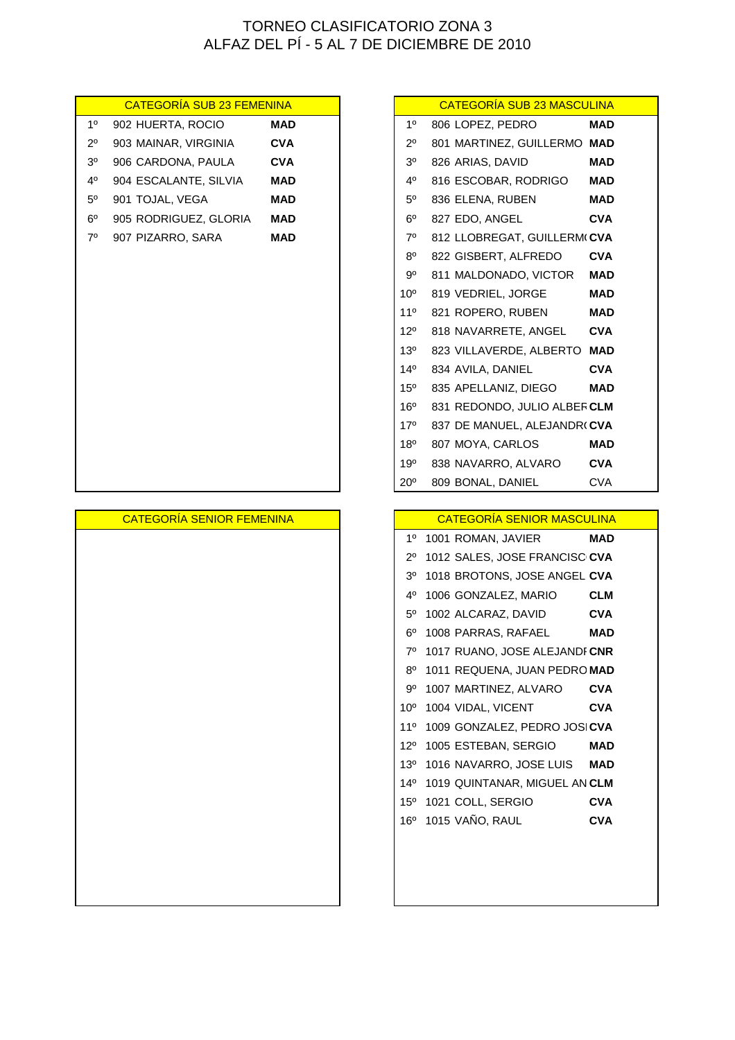| <b>CATEGORÍA SUB 23 FEMENINA</b> |            |                 | <b>CATEGORÍA SUB 23 MASCULINA</b> |            |
|----------------------------------|------------|-----------------|-----------------------------------|------------|
| 902 HUERTA, ROCIO                | MAD        | $1^{\circ}$     | 806 LOPEZ, PEDRO                  | <b>MAD</b> |
| 903 MAINAR, VIRGINIA             | <b>CVA</b> | 2°،             | 801 MARTINEZ, GUILLERMO MAD       |            |
| 906 CARDONA, PAULA               | <b>CVA</b> | 3 <sup>o</sup>  | 826 ARIAS, DAVID                  | <b>MAD</b> |
| 904 ESCALANTE, SILVIA            | <b>MAD</b> | 40              | 816 ESCOBAR, RODRIGO              | <b>MAD</b> |
| 901 TOJAL, VEGA                  | <b>MAD</b> | $5^{\circ}$     | 836 ELENA, RUBEN                  | <b>MAD</b> |
| 905 RODRIGUEZ, GLORIA            | <b>MAD</b> | $6^{\circ}$     | 827 EDO, ANGEL                    | <b>CVA</b> |
| 907 PIZARRO, SARA                | <b>MAD</b> | $7^\circ$       | 812 LLOBREGAT, GUILLERM(CVA       |            |
|                                  |            | $8^{\circ}$     | 822 GISBERT, ALFREDO              | <b>CVA</b> |
|                                  |            | 9º              | 811 MALDONADO, VICTOR             | <b>MAD</b> |
|                                  |            | 10 <sup>o</sup> | 819 VEDRIEL, JORGE                | <b>MAD</b> |
|                                  |            | 11 <sup>°</sup> | 821 ROPERO, RUBEN                 | <b>MAD</b> |
|                                  |            | $12^{\circ}$    | 818 NAVARRETE, ANGEL              | <b>CVA</b> |
|                                  |            | $13^{\circ}$    | 823 VILLAVERDE, ALBERTO MAD       |            |
|                                  |            | $14^{\circ}$    | 834 AVILA, DANIEL                 | <b>CVA</b> |
|                                  |            | $15^{\circ}$    | 835 APELLANIZ, DIEGO              | <b>MAD</b> |
|                                  |            | 16 <sup>o</sup> | 831 REDONDO, JULIO ALBERCLM       |            |
|                                  |            | $17^\circ$      | 837 DE MANUEL, ALEJANDR(CVA       |            |
|                                  |            | $18^{\circ}$    | 807 MOYA, CARLOS                  | <b>MAD</b> |
|                                  |            | 19°             | 838 NAVARRO, ALVARO               | <b>CVA</b> |
|                                  |            | $20^{\circ}$    | 809 BONAL, DANIEL                 | <b>CVA</b> |
|                                  |            |                 |                                   |            |
| <b>CATEGORÍA SENIOR FEMENINA</b> |            |                 | <b>CATEGORÍA SENIOR MASCULINA</b> |            |
|                                  |            |                 | 1º 1001 ROMAN, JAVIER             | <b>MAD</b> |
|                                  |            | $2^{\circ}$     | 1012 SALES, JOSE FRANCISC CVA     |            |
|                                  |            | 3º              | 1018 BROTONS, JOSE ANGEL CVA      |            |
|                                  |            | 4º              | 1006 GONZALEZ, MARIO              | <b>CLM</b> |
|                                  |            | 5°              | 1002 ALCARAZ, DAVID               | <b>CVA</b> |
|                                  |            |                 | 6º 1008 PARRAS, RAFAEL            | <b>MAD</b> |
|                                  |            |                 | 7º 1017 RUANO, JOSE ALEJANDI CNR  |            |
|                                  |            |                 | 8º 1011 REQUENA, JUAN PEDRO MAD   |            |
|                                  |            | 9°              | 1007 MARTINEZ, ALVARO             | <b>CVA</b> |
|                                  |            | $10^{\circ}$    | 1004 VIDAL, VICENT                | <b>CVA</b> |
|                                  |            | 11°             | 1009 GONZALEZ, PEDRO JOSICVA      |            |
|                                  |            | $12^{\circ}$    | 1005 ESTEBAN, SERGIO              | <b>MAD</b> |
|                                  |            | 13 <sup>o</sup> | 1016 NAVARRO, JOSE LUIS           | <b>MAD</b> |
|                                  |            | $14^{\circ}$    | 1019 QUINTANAR, MIGUEL AN CLM     |            |
|                                  |            | 15 <sup>o</sup> | 1021 COLL, SERGIO                 | <b>CVA</b> |
|                                  |            | 16°             | 1015 VAÑO, RAUL                   | <b>CVA</b> |
|                                  |            |                 |                                   |            |
|                                  |            |                 |                                   |            |
|                                  |            |                 |                                   |            |
|                                  |            |                 |                                   |            |

|                 | <b>CATEGORÍA SUB 23 MASCULINA</b> |            |
|-----------------|-----------------------------------|------------|
| 10              | 806 LOPEZ, PEDRO                  | <b>MAD</b> |
| $2^{\circ}$     | 801 MARTINEZ, GUILLERMO MAD       |            |
| 3 <sup>o</sup>  | 826 ARIAS, DAVID                  | <b>MAD</b> |
| 4 <sup>0</sup>  | 816 ESCOBAR, RODRIGO              | <b>MAD</b> |
| $5^{\circ}$     | 836 ELENA, RUBEN                  | <b>MAD</b> |
| $6^{\circ}$     | 827 EDO, ANGEL                    | <b>CVA</b> |
| $7^\circ$       | 812 LLOBREGAT, GUILLERM(CVA       |            |
| $8^{\circ}$     | 822 GISBERT, ALFREDO              | <b>CVA</b> |
| $9^{\circ}$     | 811 MALDONADO, VICTOR             | <b>MAD</b> |
| 10 <sup>o</sup> | 819 VEDRIEL, JORGE                | MAD        |
| $11^{\circ}$    | 821 ROPERO, RUBEN                 | <b>MAD</b> |
| $12^{\circ}$    | 818 NAVARRETE, ANGEL CVA          |            |
| $13^{\circ}$    | 823 VILLAVERDE, ALBERTO MAD       |            |
| $14^{\circ}$    | 834 AVILA, DANIEL                 | <b>CVA</b> |
| 15°             | 835 APELLANIZ, DIEGO              | <b>MAD</b> |
| $16^{\circ}$    | 831 REDONDO, JULIO ALBERCLM       |            |
| 17°             | 837 DE MANUEL, ALEJANDR(CVA       |            |
| $18^{\circ}$    | 807 MOYA, CARLOS                  | <b>MAD</b> |
| 19°             | 838 NAVARRO, ALVARO               | <b>CVA</b> |
| 20°             | 809 BONAL, DANIEL                 | <b>CVA</b> |

### CATEGORÍA SENIOR MASCULINA

| 10              | 1001 ROMAN, JAVIER            | MAD        |
|-----------------|-------------------------------|------------|
| 20              | 1012 SALES, JOSE FRANCISC CVA |            |
| 30              | 1018 BROTONS, JOSE ANGEL CVA  |            |
| 4°              | 1006 GONZALEZ, MARIO          | <b>CLM</b> |
| 50              | 1002 ALCARAZ, DAVID           | CVA        |
| 60              | 1008 PARRAS, RAFAEL           | MAD        |
| $7^\circ$       | 1017 RUANO, JOSE ALEJANDI CNR |            |
| 80              | 1011 REQUENA, JUAN PEDRO MAD  |            |
| 90              | 1007 MARTINEZ, ALVARO         | CVA        |
| 10 <sup>o</sup> | 1004 VIDAL, VICENT            | <b>CVA</b> |
| $11^{\circ}$    | 1009 GONZALEZ, PEDRO JOSICVA  |            |
| 120             | 1005 ESTEBAN, SERGIO          | MAD        |
| $13^{0}$        | 1016 NAVARRO, JOSE LUIS       | MAD        |
| $14^{o}$        | 1019 QUINTANAR, MIGUEL AN CLM |            |
| $15^{\circ}$    | 1021 COLL, SERGIO             | CVA        |
| $16^{\circ}$    | 1015 VAÑO, RAUL               | <b>CVA</b> |
|                 |                               |            |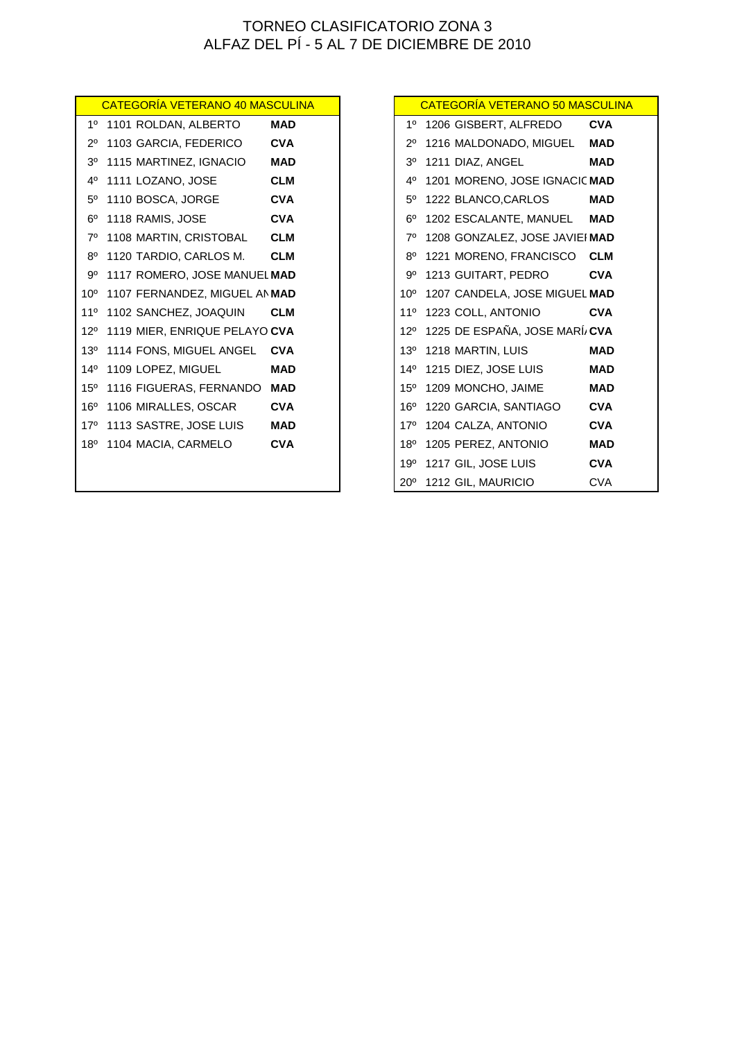| CATEGORÍA VETERANO 40 MASCULINA   |            |                | <b>CATEGORÍA VETERANO 50 MASCUL</b> |            |
|-----------------------------------|------------|----------------|-------------------------------------|------------|
| 1º 1101 ROLDAN, ALBERTO           | <b>MAD</b> |                | 1º 1206 GISBERT, ALFREDO            | <b>CVA</b> |
| 2º 1103 GARCIA, FEDERICO          | <b>CVA</b> |                | 2º 1216 MALDONADO, MIGUEL           | <b>MAD</b> |
| 3º 1115 MARTINEZ, IGNACIO         | <b>MAD</b> | 3 <sup>0</sup> | 1211 DIAZ, ANGEL                    | <b>MAD</b> |
| 4º 1111 LOZANO, JOSE              | <b>CLM</b> | 4°             | 1201 MORENO, JOSE IGNACIC MAD       |            |
| 5º 1110 BOSCA, JORGE              | <b>CVA</b> | $5^{\circ}$    | 1222 BLANCO, CARLOS                 | <b>MAD</b> |
| $6^{\circ}$ 1118 RAMIS, JOSE      | <b>CVA</b> | 60             | 1202 ESCALANTE, MANUEL              | <b>MAD</b> |
| 7º 1108 MARTIN, CRISTOBAL         | <b>CLM</b> | 70             | 1208 GONZALEZ, JOSE JAVIEI MAD      |            |
| 8º 1120 TARDIO, CARLOS M.         | <b>CLM</b> | $8^{\circ}$    | 1221 MORENO, FRANCISCO              | <b>CLM</b> |
| 9º 1117 ROMERO, JOSE MANUEL MAD   |            | 9°             | 1213 GUITART, PEDRO                 | <b>CVA</b> |
| 10° 1107 FERNANDEZ, MIGUEL AN MAD |            |                | 10° 1207 CANDELA, JOSE MIGUEL MAD   |            |
| 11º 1102 SANCHEZ, JOAQUIN         | <b>CLM</b> | $11^{\circ}$   | 1223 COLL, ANTONIO                  | <b>CVA</b> |
| 12º 1119 MIER, ENRIQUE PELAYO CVA |            |                | 12º 1225 DE ESPAÑA, JOSE MARÍ/CVA   |            |
| 13º 1114 FONS, MIGUEL ANGEL CVA   |            |                | 13º 1218 MARTIN, LUIS               | <b>MAD</b> |
| 14º 1109 LOPEZ, MIGUEL            | <b>MAD</b> |                | 14º 1215 DIEZ, JOSE LUIS            | <b>MAD</b> |
| 15º 1116 FIGUERAS, FERNANDO MAD   |            |                | 15º 1209 MONCHO, JAIME              | <b>MAD</b> |
| 16º 1106 MIRALLES, OSCAR          | <b>CVA</b> | $16^{\circ}$   | 1220 GARCIA, SANTIAGO               | <b>CVA</b> |
| 17º 1113 SASTRE, JOSE LUIS        | <b>MAD</b> |                | 17º 1204 CALZA, ANTONIO             | <b>CVA</b> |
| 18º 1104 MACIA, CARMELO           | <b>CVA</b> |                | 18º 1205 PEREZ, ANTONIO             | <b>MAD</b> |
|                                   |            |                | 19º 1217 GIL, JOSE LUIS             | <b>CVA</b> |
|                                   |            |                | 20° 1212 GIL, MAURICIO              | <b>CVA</b> |

| <u>CATEGORÍA VETERANO 40 MASCULINA</u> |            |                 | CATEGORÍA VETERANO 50 MASCULINA |            |
|----------------------------------------|------------|-----------------|---------------------------------|------------|
| 1101 ROLDAN, ALBERTO                   | <b>MAD</b> | $1^{\circ}$     | 1206 GISBERT, ALFREDO           | <b>CVA</b> |
| 1103 GARCIA, FEDERICO                  | <b>CVA</b> | $2^{\circ}$     | 1216 MALDONADO, MIGUEL          | <b>MAD</b> |
| 1115 MARTINEZ, IGNACIO                 | <b>MAD</b> | 3 <sup>o</sup>  | 1211 DIAZ, ANGEL                | <b>MAD</b> |
| 1111 LOZANO, JOSE                      | <b>CLM</b> | 40              | 1201 MORENO, JOSE IGNACIC MAD   |            |
| 1110 BOSCA, JORGE                      | <b>CVA</b> | $5^{\circ}$     | 1222 BLANCO,CARLOS              | <b>MAD</b> |
| 1118 RAMIS, JOSE                       | <b>CVA</b> | $6^{\circ}$     | 1202 ESCALANTE, MANUEL          | <b>MAD</b> |
| 1108 MARTIN, CRISTOBAL                 | <b>CLM</b> | 70              | 1208 GONZALEZ, JOSE JAVIEI MAD  |            |
| 1120 TARDIO, CARLOS M.                 | <b>CLM</b> | $8^{\circ}$     | 1221 MORENO, FRANCISCO CLM      |            |
| 1117 ROMERO, JOSE MANUEL MAD           |            | 9°              | 1213 GUITART, PEDRO             | <b>CVA</b> |
| 1107 FERNANDEZ, MIGUEL AN MAD          |            | 10 <sup>o</sup> | 1207 CANDELA, JOSE MIGUEL MAD   |            |
| 1102 SANCHEZ, JOAQUIN                  | <b>CLM</b> | 110             | 1223 COLL, ANTONIO              | <b>CVA</b> |
| 1119 MIER, ENRIQUE PELAYO CVA          |            | 120             | 1225 DE ESPAÑA, JOSE MARÍ/CVA   |            |
| 1114 FONS, MIGUEL ANGEL                | <b>CVA</b> | $13^{o}$        | 1218 MARTIN, LUIS               | <b>MAD</b> |
| 1109 LOPEZ, MIGUEL                     | <b>MAD</b> | 14 <sup>0</sup> | 1215 DIEZ, JOSE LUIS            | <b>MAD</b> |
| 1116 FIGUERAS, FERNANDO                | <b>MAD</b> | $15^{o}$        | 1209 MONCHO, JAIME              | <b>MAD</b> |
| 1106 MIRALLES, OSCAR                   | <b>CVA</b> | 16 <sup>o</sup> | 1220 GARCIA, SANTIAGO           | <b>CVA</b> |
| 1113 SASTRE, JOSE LUIS                 | <b>MAD</b> | 17°             | 1204 CALZA, ANTONIO             | <b>CVA</b> |
| 1104 MACIA, CARMELO                    | <b>CVA</b> | 18 <sup>o</sup> | 1205 PEREZ, ANTONIO             | <b>MAD</b> |
|                                        |            | 19 <sup>o</sup> | 1217 GIL, JOSE LUIS             | <b>CVA</b> |
|                                        |            |                 | 20° 1212 GIL, MAURICIO          | <b>CVA</b> |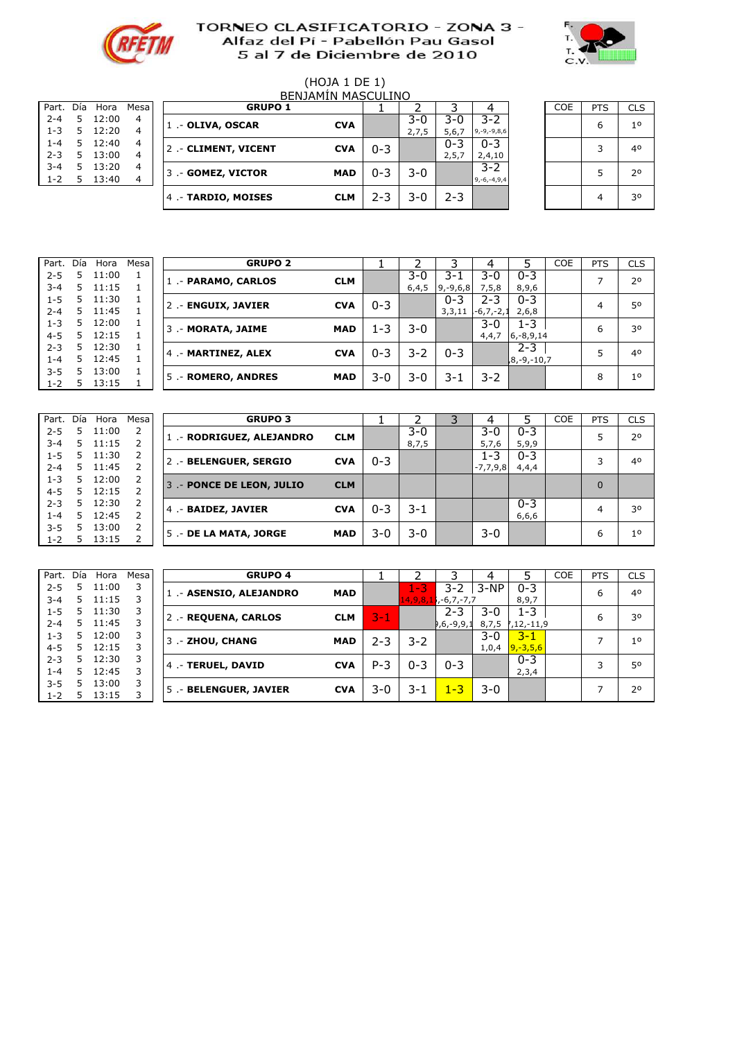



# (HOJA 1 DE 1)

| Part.   | Día | Hora  | Mesa |
|---------|-----|-------|------|
| $2 - 4$ | 5   | 12:00 | 4    |
|         |     |       |      |
| $1 - 3$ | 5   | 12:20 | 4    |
| $1 - 4$ | 5   | 12:40 | 4    |
| $2 - 3$ | 5   | 13:00 | 4    |
| $3 - 4$ | 5   | 13:20 | 4    |
| $1 - 2$ | 5   | 13:40 |      |
|         |     |       |      |

|         |     |       |             |                     | <b>BENJAMIN MASCULINO</b> |         |       |         |                   |            |            |                |
|---------|-----|-------|-------------|---------------------|---------------------------|---------|-------|---------|-------------------|------------|------------|----------------|
| Part.   | Día | Hora  | <b>Mesa</b> | <b>GRUPO 1</b>      |                           |         |       |         |                   | <b>COE</b> | <b>PTS</b> | <b>CLS</b>     |
| $2 - 4$ | 5.  | 12:00 | 4           | 1 .- OLIVA, OSCAR   | <b>CVA</b>                |         | $3-0$ | 3-0     | $3 - 2$           |            | 6          | 1 <sup>0</sup> |
| $1 - 3$ | 5   | 12:20 | 4           |                     |                           |         | 2,7,5 | 5,6,7   | $9, -9, -9, 8, 6$ |            |            |                |
| $1 - 4$ | 5.  | 12:40 | 4           | 2.- CLIMENT, VICENT | <b>CVA</b>                | $0 - 3$ |       | $0 - 3$ | $0 - 3$           |            | ς          | 40             |
| $2 - 3$ | 5   | 13:00 | 4           |                     |                           |         |       | 2,5,7   | 2,4,10            |            |            |                |
| $3 - 4$ | 5.  | 13:20 | 4           | 3 .- GOMEZ, VICTOR  | <b>MAD</b>                | $0 - 3$ | $3-0$ |         | $3 - 2$           |            |            | 20             |
| $1 - 2$ | 5.  | 13:40 | 4           |                     |                           |         |       |         | $9, -6, -4, 9, 4$ |            |            |                |
|         |     |       |             | 4.- TARDIO, MOISES  | <b>CLM</b>                | 2-3     | 3-0   | $2 - 3$ |                   |            |            | 30             |
|         |     |       |             |                     |                           |         |       |         |                   |            |            |                |

| <b>COE</b> | <b>PTS</b> | <b>CLS</b>     |
|------------|------------|----------------|
|            | 6          | 1 <sup>0</sup> |
|            | 3          | 40             |
|            | 5          | 2 <sup>o</sup> |
|            | 4          | 30             |

| Part.   | Día | Hora  | Mesal | <b>GRUPO 2</b>      |            |         |         |               |                |                | <b>COE</b> | <b>PTS</b> | CLS |
|---------|-----|-------|-------|---------------------|------------|---------|---------|---------------|----------------|----------------|------------|------------|-----|
| $2 - 5$ | 5   | 11:00 |       | 1.- PARAMO, CARLOS  | <b>CLM</b> |         | $3-0$   | 3-1           | $3 - 0$        | $0 - 3$        |            |            | 20  |
| $3 - 4$ | 5.  | 11:15 |       |                     |            |         | 6,4,5   | $9, -9, 6, 8$ | 7, 5, 8        | 8,9,6          |            |            |     |
| $1 - 5$ | 5.  | 11:30 |       | 2 .- ENGUIX, JAVIER | <b>CVA</b> | $0 - 3$ |         | $0 - 3$       | $2 - 3$        | $0 - 3$        |            |            | 50  |
| $2 - 4$ | 5.  | 11:45 |       |                     |            |         |         | 3,3,11        | $-6, 7, -2, 1$ | 2,6,8          |            |            |     |
| $1 - 3$ | 5.  | 12:00 |       | 3 .- MORATA, JAIME  | <b>MAD</b> | 1-3     | $3-0$   |               | $3 - 0$        | $1 - 3$        |            | 6          | 30  |
| $4 - 5$ | 5.  | 12:15 |       |                     |            |         |         |               | 4,4,7          | $6, -8, 9, 14$ |            |            |     |
| $2 - 3$ | 5.  | 12:30 |       | 4 .- MARTINEZ, ALEX | <b>CVA</b> | $0 - 3$ | $3 - 2$ | $0 - 3$       |                | $2 - 3$        |            |            | 40  |
| $1 - 4$ | 5.  | 12:45 |       |                     |            |         |         |               |                | ,8,-9,-10,7    |            |            |     |
| $3 - 5$ |     | 13:00 |       |                     | <b>MAD</b> | 3-0     | 3-0     | 3-1           | 3-2            |                |            | 8          | 10  |
| $1 - 2$ |     | 13:15 |       | 5 .- ROMERO, ANDRES |            |         |         |               |                |                |            |            |     |

| Part.   | Día | Hora  | Mesa | <b>GRUPO 3</b>            |            |         |         | 3 |            |         | COE | <b>PTS</b> | <b>CLS</b>     |
|---------|-----|-------|------|---------------------------|------------|---------|---------|---|------------|---------|-----|------------|----------------|
| $2 - 5$ |     | 11:00 |      | 1 .- RODRIGUEZ, ALEJANDRO | <b>CLM</b> |         | $3-0$   |   | 3-0        | $0 - 3$ |     |            | 2 <sup>0</sup> |
| $3 - 4$ | 5.  | 11:15 |      |                           |            |         | 8,7,5   |   | 5,7,6      | 5,9,9   |     |            |                |
| $1 - 5$ | 5.  | 11:30 |      | 2 .- BELENGUER, SERGIO    | <b>CVA</b> | $0 - 3$ |         |   | 1-3        | $0 - 3$ |     | 3          | 40             |
| $2 - 4$ | 5.  | 11:45 |      |                           |            |         |         |   | $-7,7,9,8$ | 4,4,4   |     |            |                |
| $1 - 3$ | 5.  | 12:00 | 2    | 3 .- PONCE DE LEON, JULIO | <b>CLM</b> |         |         |   |            |         |     | 0          |                |
| $4 - 5$ | 5.  | 12:15 |      |                           |            |         |         |   |            |         |     |            |                |
| $2 - 3$ | 5.  | 12:30 |      | 4 .- BAIDEZ, JAVIER       | <b>CVA</b> | $0 - 3$ | $3 - 1$ |   |            | $0 - 3$ |     |            | 30             |
| 1-4     | 5   | 12:45 |      |                           |            |         |         |   |            | 6,6,6   |     |            |                |
| $3 - 5$ |     | 13:00 |      |                           | MAD        | 3-0     | $3-0$   |   | $3 - 0$    |         |     |            | 1 <sup>0</sup> |
| $1 - 2$ | 5   | 13:15 |      | 5 .- DE LA MATA, JORGE    |            |         |         |   |            |         |     | 6          |                |

| Part.   | Día | Hora  | Mesal | <b>GRUPO 4</b>          |            |         |         |                           |         |               | COE | <b>PTS</b> | <b>CLS</b>  |
|---------|-----|-------|-------|-------------------------|------------|---------|---------|---------------------------|---------|---------------|-----|------------|-------------|
| $2 - 5$ |     | 11:00 | 3     | 1 .- ASENSIO, ALEJANDRO | <b>MAD</b> |         | 1-3     | $3 - 2$                   | $3-NP$  | $0 - 3$       |     | 6          | 40          |
| $3 - 4$ | 5.  | 11:15 | 3     |                         |            |         |         | $14,9,8,1$ , -6, 7, -7, 7 |         | 8,9,7         |     |            |             |
| $1 - 5$ | 5.  | 11:30 | 3     | 2 .- REQUENA, CARLOS    | <b>CLM</b> | $3 - 1$ |         | $2 - 3$                   | $3 - 0$ | $1 - 3$       |     | ь          | 30          |
| $2 - 4$ | 5.  | 11:45 | 3     |                         |            |         |         | $ 0,6,-9,9,1 $            | 8,7,5   | ,12,-11,9     |     |            |             |
| $1 - 3$ | 5.  | 12:00 | 3     | 3 .- ZHOU, CHANG        | <b>MAD</b> | $2 - 3$ | 3-2     |                           | 3-0     | 3-1           |     | ⇁          | $1^{\circ}$ |
| $4 - 5$ | 5   | 12:15 | 3     |                         |            |         |         |                           | 1,0,4   | $9, -3, 5, 6$ |     |            |             |
| $2 - 3$ | 5   | 12:30 | 3     | 4 .- TERUEL, DAVID      | <b>CVA</b> | $P - 3$ | $0 - 3$ | $0 - 3$                   |         | $0 - 3$       |     | 3          | 50          |
| 1-4     | 5   | 12:45 | 3     |                         |            |         |         |                           |         | 2,3,4         |     |            |             |
| $3 - 5$ |     | 13:00 | 3     | 5. - BELENGUER, JAVIER  | <b>CVA</b> | 3-0     | 3-1     | $1 - 3$                   | 3-0     |               |     |            | 20          |
| $1 - 2$ | 5.  | 13:15 | 3     |                         |            |         |         |                           |         |               |     |            |             |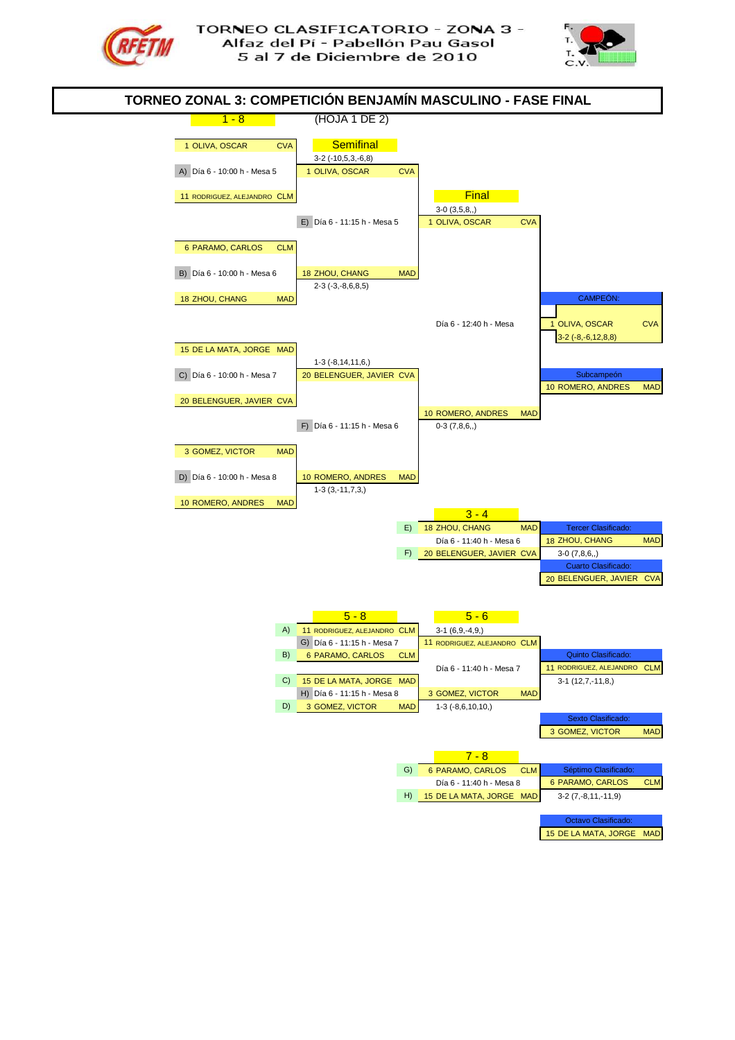



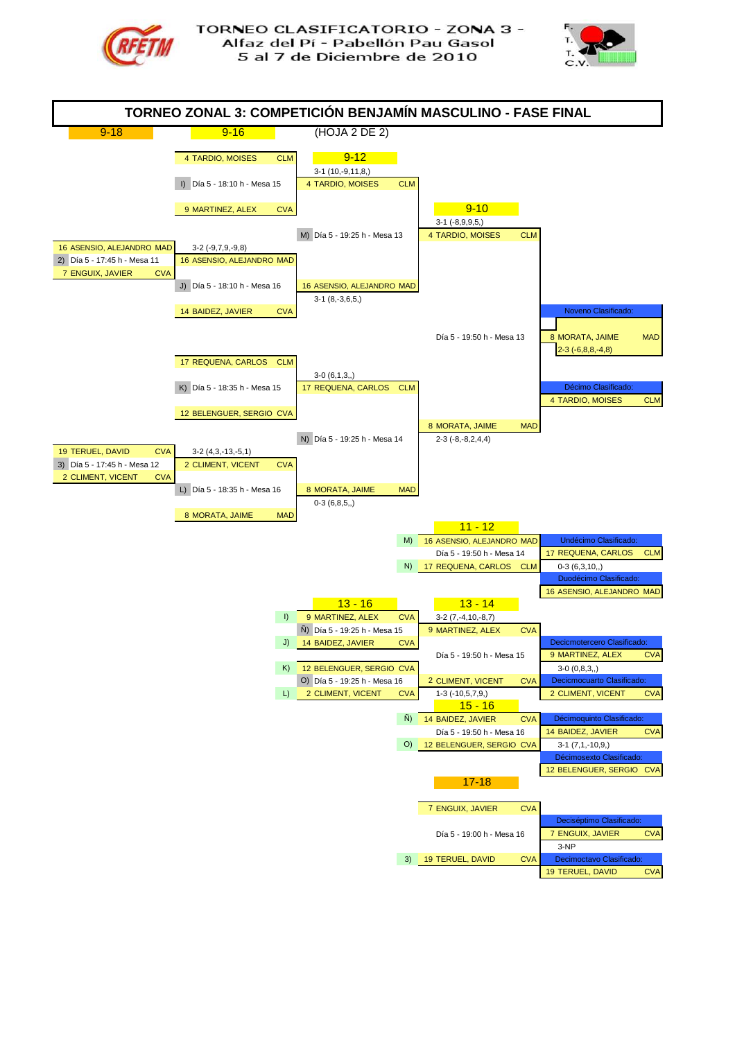



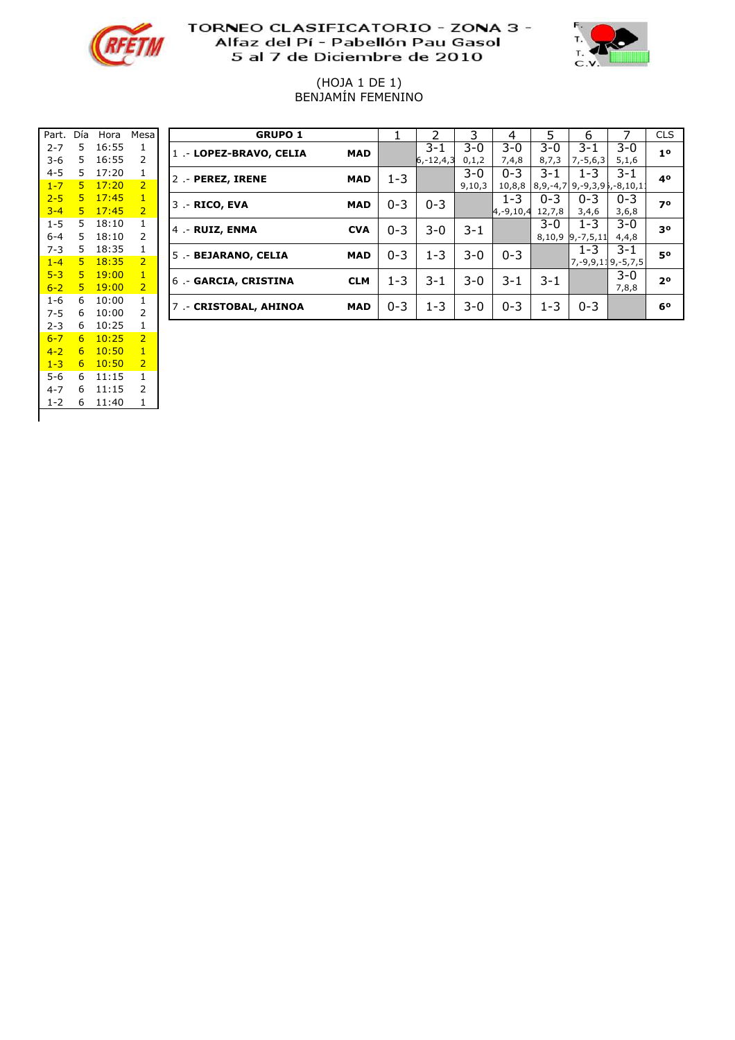



#### (HOJA 1 DE 1) BENJAMIN FEMENINO

| Part.   | Día | Hora  | Mesa           |                |
|---------|-----|-------|----------------|----------------|
| $2 - 7$ | 5   | 16:55 | 1              | $\overline{1}$ |
| $3-6$   | 5   | 16:55 | 2              |                |
| $4 - 5$ | 5   | 17:20 | 1              | $\overline{c}$ |
| $1 - 7$ | 5   | 17:20 | $\overline{2}$ |                |
| $2 - 5$ | 5   | 17:45 | $\overline{1}$ | 3              |
| $3 - 4$ | 5   | 17:45 | $\overline{2}$ |                |
| $1 - 5$ | 5   | 18:10 | 1              | 4              |
| 6-4     | 5   | 18:10 | 2              |                |
| $7 - 3$ | 5   | 18:35 | 1              | 5              |
| $1 - 4$ | 5   | 18:35 | $\overline{2}$ |                |
| $5 - 3$ | 5   | 19:00 | $\overline{1}$ | 6              |
| $6 - 2$ | 5   | 19:00 | $\overline{2}$ |                |
| 1-6     | 6   | 10:00 | 1              | $\overline{7}$ |
| 7-5     | 6   | 10:00 | 2              |                |
| $2 - 3$ | 6   | 10:25 | 1              |                |
| $6 - 7$ | 6   | 10:25 | $\overline{2}$ |                |
| $4 - 2$ | 6   | 10:50 | $\overline{1}$ |                |
| $1 - 3$ | 6   | 10:50 | $\overline{2}$ |                |
| 5-6     | 6   | 11:15 | 1              |                |
| $4 - 7$ | 6   | 11:15 | 2              |                |
| $1 - 2$ | 6   | 11:40 | 1              |                |
|         |     |       |                |                |

| Part.   | Día            | Hora  | Mesa           | <b>GRUPO 1</b>          |            |         |                 |        | 4              |         | ь                                      |         | <b>CLS</b>     |
|---------|----------------|-------|----------------|-------------------------|------------|---------|-----------------|--------|----------------|---------|----------------------------------------|---------|----------------|
| $2 - 7$ | 5.             | 16:55 |                | 1 .- LOPEZ-BRAVO, CELIA | <b>MAD</b> |         | $3 - 1$         | $3-0$  | $3 - 0$        | 3-0     | $3 - 1$                                | 3-0     | 1 <sup>0</sup> |
| $3-6$   | 5.             | 16:55 |                |                         |            |         | $ 6, -12, 4, 3$ | 0,1,2  | 7,4,8          | 8,7,3   | $7, -5, 6, 3$                          | 5,1,6   |                |
| $4 - 5$ | 5.             | 17:20 |                | 2 .- PEREZ, IRENE       | <b>MAD</b> | $1 - 3$ |                 | $3-0$  | $0 - 3$        | 3-1     | $1 - 3$                                | 3-1     | 40             |
| $1 - 7$ | 5.             | 17:20 | $\overline{2}$ |                         |            |         |                 | 9,10,3 | 10,8,8         |         | $8,9,-4,7$ 9, -9, 3, 9 $5, -8, 10, 11$ |         |                |
| $2 - 5$ | 5.             | 17:45 | 1              | 3 .- RICO, EVA          | <b>MAD</b> | $0 - 3$ | $0 - 3$         |        | $1 - 3$        | $0 - 3$ | $0 - 3$                                | $0 - 3$ | 70             |
| $3 - 4$ | 5.             | 17:45 | $\overline{2}$ |                         |            |         |                 |        | $4, -9, 10, 4$ | 12,7,8  | 3,4,6                                  | 3,6,8   |                |
| $1 - 5$ | 5.             | 18:10 |                | 4 .- RUIZ, ENMA         | <b>CVA</b> | $0 - 3$ | $3-0$           | 3-1    |                | 3-0     | 1-3                                    | 3-0     | 30             |
| $6 - 4$ | 5.             | 18:10 |                |                         |            |         |                 |        |                | 8,10,9  | $9, -7, 5, 11$                         | 4,4,8   |                |
| $7 - 3$ | 5.             | 18:35 |                | 5 .- BEJARANO, CELIA    | <b>MAD</b> | $0 - 3$ | $1 - 3$         | $3-0$  | $0 - 3$        |         | $1 - 3$                                | $3 - 1$ | 50             |
| $1 - 4$ | 5 <sup>1</sup> | 18:35 | $\overline{2}$ |                         |            |         |                 |        |                |         | 7, -9, 9, 119, -5, 7, 5                |         |                |
| $5 - 3$ | 5.             | 19:00 | 1              | 6. - GARCIA, CRISTINA   | <b>CLM</b> | $1 - 3$ | 3-1             | $3-0$  | 3-1            | $3 - 1$ |                                        | $3 - 0$ | 2 <sup>o</sup> |
| $6 - 2$ | 5.             | 19:00 | 2              |                         |            |         |                 |        |                |         |                                        | 7,8,8   |                |
| $1 - 6$ | 6              | 10:00 | 1              | 7 .- CRISTOBAL, AHINOA  | <b>MAD</b> | $0 - 3$ | $1 - 3$         | $3-0$  | $0 - 3$        | $1 - 3$ | $0 - 3$                                |         | 60             |
| $7 - 5$ | 6              | 10:00 |                |                         |            |         |                 |        |                |         |                                        |         |                |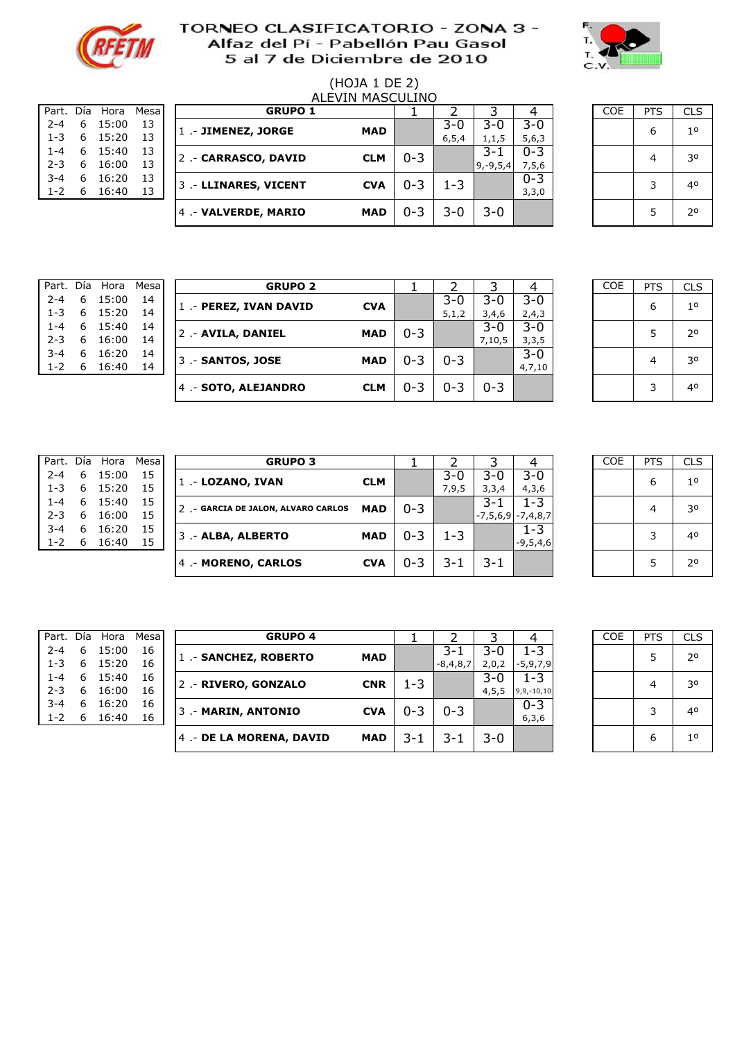



# (HOJA 1 DE 2)

| Part.   | Día | Hora  | Mesa |
|---------|-----|-------|------|
| $2 - 4$ | 6   | 15:00 | 13   |
| $1 - 3$ | 6   | 15:20 | 13   |
| 1-4     | 6   | 15:40 | 13   |
| $2 - 3$ | 6   | 16:00 | 13   |
| $3 - 4$ | 6   | 16:20 | 13   |
| $1 - 2$ | 6   | 16:40 | 13   |
|         |     |       |      |

|         |     |       |       |                       | ALEVIN MASCULINO |         |         |              |         |            |            |            |
|---------|-----|-------|-------|-----------------------|------------------|---------|---------|--------------|---------|------------|------------|------------|
| Part.   | Día | Hora  | Mesal | <b>GRUPO 1</b>        |                  |         |         |              |         | <b>COE</b> | <b>PTS</b> | <b>CLS</b> |
| $2 - 4$ | 6   | 15:00 | 13    | 1 .- JIMENEZ, JORGE   | <b>MAD</b>       |         | $3-0$   | 3-0          | 3-0     |            | 6          | 10         |
| $1 - 3$ | 6   | 15:20 | 13    |                       |                  |         | 6, 5, 4 | 1, 1, 5      | 5,6,3   |            |            |            |
| $1 - 4$ | 6   | 15:40 | 13    | 2 .- CARRASCO, DAVID  | <b>CLM</b>       | $0 - 3$ |         | 3-1          | $0 - 3$ |            | 4          | 30         |
| $2 - 3$ | 6   | 16:00 | 13    |                       |                  |         |         | $ 9,-9,5,4 $ | 7,5,6   |            |            |            |
| $3 - 4$ | 6   | 16:20 | 13    | 3 .- LLINARES, VICENT | <b>CVA</b>       |         | 1-3     |              | $0 - 3$ |            | 3          | 40         |
| $1 - 2$ | 6   | 16:40 | 13    |                       |                  | $0 - 3$ |         |              | 3,3,0   |            |            |            |
|         |     |       |       | 4 - VALVERDE, MARIO   | <b>MAD</b>       | $0 - 3$ | 3-0     | $3 - 0$      |         |            |            | 20         |

2-5 6 0,74 13 5 .- #N/A #N/A 0

| <b>COE</b> | PTS | <b>CLS</b>  |
|------------|-----|-------------|
|            | 6   | $1^{\circ}$ |
|            | 4   | 30          |
|            | 3   | 40          |
|            | 5   | $2^{\circ}$ |

| Part.   | Día | Hora  | Mesa |
|---------|-----|-------|------|
| $2 - 4$ | 6   | 15:00 | 14   |
| $1 - 3$ | 6   | 15:20 | 14   |
| $1 - 4$ | 6   | 15:40 | 14   |
| $2 - 3$ | 6   | 16:00 | 14   |
| $3 - 4$ | 6   | 16:20 | 14   |
| $1 - 2$ | 6   | 16:40 | 14   |
|         |     |       |      |

| Part.   | Día | Hora  | Mesal | <b>GRUPO 2</b>         |            |         |         |         |         | <b>COE</b> | <b>PTS</b> | <b>CLS</b> |
|---------|-----|-------|-------|------------------------|------------|---------|---------|---------|---------|------------|------------|------------|
| $2 - 4$ | 6   | 15:00 | 14    | 1 .- PEREZ, IVAN DAVID | <b>CVA</b> |         | $3-0$   | $3 - 0$ | 3-0     |            | 6          | 10         |
| $1 - 3$ | 6   | 15:20 | 14    |                        |            |         | 5,1,2   | 3,4,6   | 2,4,3   |            |            |            |
| $1 - 4$ | 6   | 15:40 | 14    | 2 - AVILA, DANIEL      | <b>MAD</b> | $0 - 3$ |         | $3 - 0$ | $3 - 0$ |            |            | 20         |
| $2 - 3$ | 6   | 16:00 | 14    |                        |            |         |         | 7,10,5  | 3,3,5   |            |            |            |
| $3 - 4$ | 6   | 16:20 | 14    | 3 - SANTOS, JOSE       | <b>MAD</b> | $0 - 3$ | $0 - 3$ |         | $3 - 0$ |            | 4          | 30         |
| $1 - 2$ | 6   | 16:40 | 14    |                        |            |         |         |         | 4,7,10  |            |            |            |
|         |     |       |       | 4 - SOTO, ALEJANDRO    | <b>CLM</b> | $0 - 3$ | $0 - 3$ | $0 - 3$ |         |            | ς          | 40         |
|         |     |       |       |                        |            |         |         |         |         |            |            |            |

2-5 6 0,74 14 5 .- #N/A #N/A 0

| <b>COE</b> | PTS | <b>CLS</b>     |
|------------|-----|----------------|
|            | 6   | $1^{\circ}$    |
|            | 5   | 2 <sup>o</sup> |
|            | 4   | 30             |
|            | 3   | 40             |

| <b>GRUP</b>               |      | Part. Día Hora Mesa |         |
|---------------------------|------|---------------------|---------|
|                           | - 15 | 6 15:00             | $2 - 4$ |
| 1 - LOZANO, IVAN          | 15   | $1-3$ 6 $15:20$     |         |
| 7 - GARCIA DE JALON, ALVA | 15   | $1-4$ 6 $15:40$     |         |
|                           | 15   | 6 16:00             | $2 - 3$ |
|                           | 15   | 6 16:20             | $3 - 4$ |
| 3 - ALBA, ALBERTO         | 15   | 6 16:40             | $1 - 2$ |
| $\sim$ DIAC               |      |                     |         |

| Part.   | Día | Hora  | Mesa | <b>GRUPO 3</b>                     |            |         |       |         |                       | <b>COE</b> | <b>PTS</b> | <b>CLS</b>     |
|---------|-----|-------|------|------------------------------------|------------|---------|-------|---------|-----------------------|------------|------------|----------------|
| $2 - 4$ | 6   | 15:00 | 15   | 1 - LOZANO, IVAN                   | <b>CLM</b> |         | $3-0$ | 3-0     | $3 - 0$               |            | 6          | $1^{\circ}$    |
| $1 - 3$ | 6   | 15:20 | 15   |                                    |            |         | 7,9,5 | 3,3,4   | 4,3,6                 |            |            |                |
| $1 - 4$ | 6   | 15:40 | 15   | 2 - GARCIA DE JALON, ALVARO CARLOS | <b>MAD</b> | $0 - 3$ |       | 3-1     | $L - 3$               |            |            | 30             |
| $2 - 3$ | 6   | 16:00 | 15   |                                    |            |         |       |         | $-7,5,6,9$ $-7,4,8,7$ |            |            |                |
| $3 - 4$ | 6   | 16:20 | 15   | 3 - ALBA, ALBERTO                  | <b>MAD</b> | $0 - 3$ | 1-3   |         | $1 - 3$               |            |            | 40             |
| $1 - 2$ | 6   | 16:40 | 15   |                                    |            |         |       |         | $-9,5,4,6$            |            |            |                |
|         |     |       |      | 4 - MORENO, CARLOS                 | <b>CVA</b> | $0 - 3$ | 3-1   | $3 - 1$ |                       |            |            | 2 <sup>o</sup> |
|         |     |       |      |                                    |            |         |       |         |                       |            |            |                |

| ía Hora | Mesal | <b>GRUPO 3</b>                     |            |         |         |         |                      | <b>COE</b> | <b>PTS</b> | <b>CLS</b>     |
|---------|-------|------------------------------------|------------|---------|---------|---------|----------------------|------------|------------|----------------|
| 15:00   | 15    | 1 - LOZANO, IVAN                   | <b>CLM</b> |         | $3 - 0$ | $3 - 0$ | $3 - 0$              |            | 6          | 1 <sup>0</sup> |
| 15:20   | 15    |                                    |            |         | 7,9,5   | 3,3,4   | 4,3,6                |            |            |                |
| 15:40   | 15    | 2 - GARCIA DE JALON, ALVARO CARLOS | <b>MAD</b> | $0 - 3$ |         | 3-1     | $1 - 3$              |            | 4          | 30             |
| 16:00   | 15    |                                    |            |         |         |         | $ -7,5,6,9 -7,4,8,7$ |            |            |                |
| 16:20   | 15    | 3 .- ALBA, ALBERTO                 | <b>MAD</b> | $0 - 3$ | 1-3     |         | $1 - 3$              |            | 3          | 40             |
| 16:40   | 15    |                                    |            |         |         |         | $-9,5,4,6$           |            |            |                |
|         |       | 4.- MORENO, CARLOS                 | <b>CVA</b> | $0 - 3$ | 3-1     | 3-1     |                      |            | 5          | 20             |
|         |       |                                    |            |         |         |         |                      |            |            |                |

| ía Hora | Mesa | <b>GRUPO 4</b>          |            |         |            | ว       |                 | <b>COE</b> | <b>PTS</b> | <b>CLS</b>     |
|---------|------|-------------------------|------------|---------|------------|---------|-----------------|------------|------------|----------------|
| 15:00   | 16   | 1 - SANCHEZ, ROBERTO    | <b>MAD</b> |         | $3 - 1$    | 3-0     | L-3             |            |            | 2 <sup>o</sup> |
| 15:20   | 16   |                         |            |         | $-8,4,8,7$ | 2,0,2   | $-5,9,7,9$      |            |            |                |
| 15:40   | 16   | 2 .- RIVERO, GONZALO    | <b>CNR</b> | $1 - 3$ |            | $3 - 0$ | $1 - 3$         |            | 4          | 30             |
| 16:00   | 16   |                         |            |         |            | 4, 5, 5 | $9, 9, -10, 10$ |            |            |                |
| 16:20   | 16   | 3 .- MARIN, ANTONIO     | <b>CVA</b> | $0 - 3$ | $0 - 3$    |         | $0 - 3$         |            | っ          | 40             |
| 16:40   | 16   |                         |            |         |            |         | 6, 3, 6         |            |            |                |
|         |      | 4 - DE LA MORENA, DAVID | <b>MAD</b> | $3 - 1$ | 3-1        | $3-0$   |                 |            | 6          | 1 <sup>0</sup> |
|         |      |                         |            |         |            |         |                 |            |            |                |

| Part.   | Día | Hora  | Mesa |
|---------|-----|-------|------|
| 2-4     | 6   | 15:00 | 16   |
| $1 - 3$ | 6   | 15:20 | 16   |
| 1-4     | 6   | 15:40 | 16   |
| $2 - 3$ | 6   | 16:00 | 16   |
| $3 - 4$ | 6   | 16:20 | 16   |
| $1 - 2$ | 6   | 16:40 | 16   |
|         |     |       |      |

| Part.   | Día | Hora  | Mesal | <b>GRUPO 4</b>           |            |         |            |         |                 | COE | <b>PTS</b> | <b>CLS</b> |
|---------|-----|-------|-------|--------------------------|------------|---------|------------|---------|-----------------|-----|------------|------------|
| $2 - 4$ | 6   | 15:00 | 16    | 1 - SANCHEZ, ROBERTO     | <b>MAD</b> |         | 3-1        | 3-0     | -3              |     |            | 20         |
| $1 - 3$ | -6  | 15:20 | 16    |                          |            |         | $-8,4,8,7$ | 2,0,2   | $-5,9,7,9$      |     |            |            |
| $1 - 4$ | 6   | 15:40 | 16    | 2 .- RIVERO, GONZALO     | <b>CNR</b> | $1 - 3$ |            | 3-0     | L-3             |     |            | 30         |
| $2 - 3$ | 6   | 16:00 | 16    |                          |            |         |            | 4, 5, 5 | $9, 9, -10, 10$ |     |            |            |
| $3 - 4$ | 6   | 16:20 | 16    | 3 - MARIN, ANTONIO       | <b>CVA</b> | $0 - 3$ | $0 - 3$    |         | $0 - 3$         |     | っ          | 40         |
| $1 - 2$ | 6   | 16:40 | 16    |                          |            |         |            |         | 6, 3, 6         |     |            |            |
|         |     |       |       | 4 .- DE LA MORENA, DAVID | <b>MAD</b> | 3-      | $3 - 1$    | $3-0$   |                 |     | b          | 10         |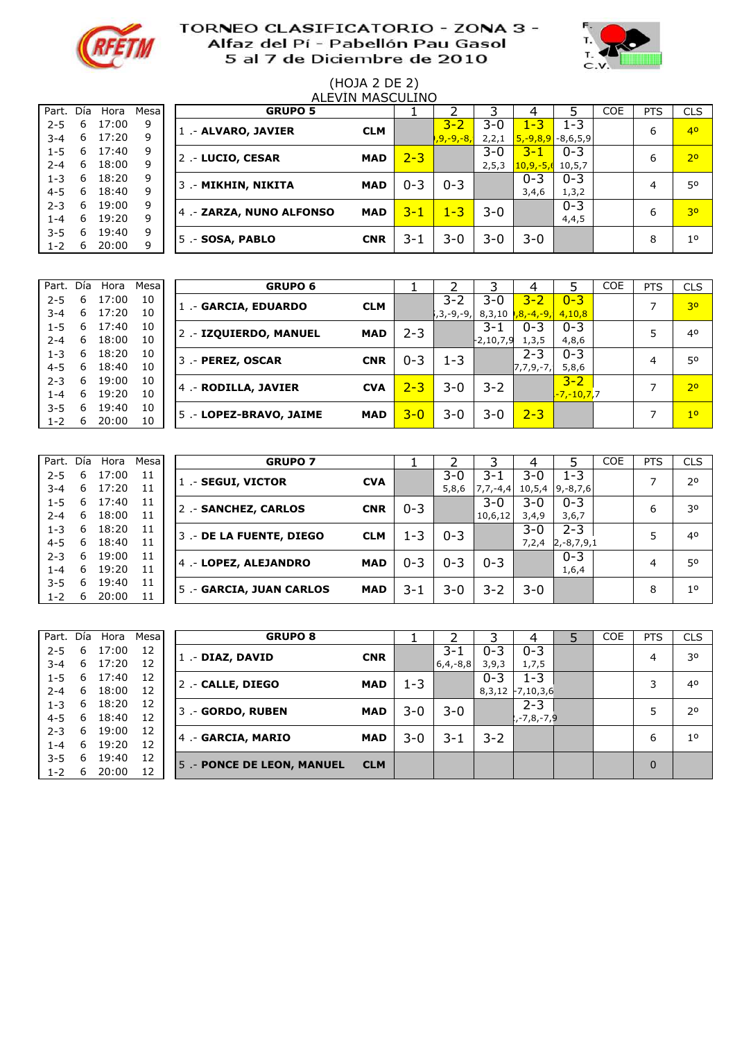



# (HOJA 2 DE 2)

|         | ALEVIN MASCULINO |       |       |  |                          |            |         |           |         |               |            |            |            |             |
|---------|------------------|-------|-------|--|--------------------------|------------|---------|-----------|---------|---------------|------------|------------|------------|-------------|
| Part.   | Día              | Hora  | Mesal |  | <b>GRUPO 5</b>           |            |         |           |         |               |            | <b>COE</b> | <b>PTS</b> | <b>CLS</b>  |
| $2 - 5$ | 6                | 17:00 | 9     |  | 1 - ALVARO, JAVIER       | <b>CLM</b> |         | $3 - 2$   | 3-0     | <u>l -3</u>   | 1-3        |            | 6          | 40          |
| $3 - 4$ | 6                | 17:20 | 9     |  |                          |            |         | ,9,-9,-8, | 2, 2, 1 | $5, -9, 8, 9$ | $-8,6,5,9$ |            |            |             |
| $1 - 5$ | 6                | 17:40 | 9     |  | 2 .- LUCIO, CESAR        | <b>MAD</b> | $2 - 3$ |           | $3 - 0$ | $3 - 1$       | $0 - 3$    |            | 6          | 70          |
| $2 - 4$ | 6                | 18:00 | 9     |  |                          |            |         |           | 2, 5, 3 | $10,9,-5,6$   | 10,5,7     |            |            |             |
| $1 - 3$ | 6                | 18:20 | 9     |  | 3 .- MIKHIN, NIKITA      | <b>MAD</b> | 0-3     | $0 - 3$   |         | $0 - 3$       | $0 - 3$    |            | 4          | 50          |
| $4 - 5$ | 6                | 18:40 | 9     |  |                          |            |         |           |         | 3,4,6         | 1, 3, 2    |            |            |             |
| $2 - 3$ | 6                | 19:00 | 9     |  | 4 .- ZARZA, NUNO ALFONSO | <b>MAD</b> | 3-1     | $1 - 3$   | $3 - 0$ |               | $0 - 3$    |            | 6          | 30          |
| $1 - 4$ | 6                | 19:20 | 9     |  |                          |            |         |           |         |               | 4,4,5      |            |            |             |
| $3 - 5$ | 6                | 19:40 | 9     |  | 5 .- SOSA, PABLO         | <b>CNR</b> | 3-1     | $3-0$     | $3 - 0$ | $3 - 0$       |            |            | 8          | $1^{\circ}$ |
| $1 - 2$ | 6                | 20:00 | q     |  |                          |            |         |           |         |               |            |            |            |             |

| Part. Día |   | Hora  | Mesal | <b>GRUPO 6</b>          |            |         |            |           | 4                               |                           | <b>COE</b> | <b>PTS</b> | <b>CLS</b>     |
|-----------|---|-------|-------|-------------------------|------------|---------|------------|-----------|---------------------------------|---------------------------|------------|------------|----------------|
| $2 - 5$   | 6 | 17:00 | 10    | 1 - GARCIA, EDUARDO     | <b>CLM</b> |         | 3-2        | 3-0       | $3 - 2$                         | $0 - 3$                   |            |            | 3 <sup>o</sup> |
| $3 - 4$   | 6 | 17:20 | 10    |                         |            |         | i,3,-9,-9, |           | 8,3,10 <b>1,8,-4,-9, 4,10,8</b> |                           |            |            |                |
| $1 - 5$   | 6 | 17:40 | 10    | 2 .- IZQUIERDO, MANUEL  | <b>MAD</b> | 2-3     |            | 3-1       | $0 - 3$                         | $0 - 3$                   |            | 5          | 40             |
| $2 - 4$   | 6 | 18:00 | 10    |                         |            |         |            | -2,10,7,9 | 1, 3, 5                         | 4,8,6                     |            |            |                |
| $1 - 3$   | 6 | 18:20 | 10    | 3 .- PEREZ, OSCAR       | <b>CNR</b> | $0 - 3$ | 1-3        |           | $2 - 3$                         | $0 - 3$                   |            | 4          | 50             |
| $4 - 5$   | 6 | 18:40 | 10    |                         |            |         |            |           | $7,7,9,-7,$                     | 5,8,6                     |            |            |                |
| $2 - 3$   | 6 | 19:00 | 10    |                         |            |         |            |           |                                 | $3 - 2$                   |            |            |                |
| 1-4       | 6 | 19:20 | 10    | 4 .- RODILLA, JAVIER    | <b>CVA</b> | $2 - 3$ | $3-0$      | $3 - 2$   |                                 | <mark>,-7,-10,7,</mark> 7 |            |            | 2 <sup>o</sup> |
| $3 - 5$   | 6 | 19:40 | 10    |                         |            |         |            |           |                                 |                           |            |            |                |
| $1 - 2$   | 6 | 20:00 | 10    | 5 .- LOPEZ-BRAVO, JAIME | <b>MAD</b> | $3 - 0$ | 3-0        | 3-0       | $2 - 3$                         |                           |            |            | 1 <sup>0</sup> |

| Part.   | Día | Hora  | Mesal | <b>GRUPO 7</b>          |            |         |         |               |         |               | <b>COE</b> | <b>PTS</b> | <b>CLS</b>     |
|---------|-----|-------|-------|-------------------------|------------|---------|---------|---------------|---------|---------------|------------|------------|----------------|
| $2 - 5$ | 6   | 17:00 | 11    | 1 - SEGUI, VICTOR       | <b>CVA</b> |         | $3-0$   | 3-1           | 3-0     | 1-3           |            | ⇁          | 20             |
| $3 - 4$ | 6   | 17:20 | 11    |                         |            |         | 5,8,6   | $7, 7, -4, 4$ | 10,5,4  | $9, -8, 7, 6$ |            |            |                |
| $1 - 5$ | 6   | 17:40 | 11    | 2 .- SANCHEZ, CARLOS    | <b>CNR</b> | $0 - 3$ |         | 3-0           | 3-0     | $0 - 3$       |            | 6          | 30             |
| $2 - 4$ | 6   | 18:00 | 11    |                         |            |         |         | 10,6,12       | 3,4,9   | 3,6,7         |            |            |                |
| $1 - 3$ | 6   | 18:20 | 11    | 3 - DE LA FUENTE, DIEGO | <b>CLM</b> | 1-3     | $0 - 3$ |               | $3 - 0$ | $2 - 3$       |            | 5          | 40             |
| $4 - 5$ | 6   | 18:40 | 11    |                         |            |         |         |               | 7,2,4   | $2,-8,7,9,1$  |            |            |                |
| $2 - 3$ | 6   | 19:00 | 11    | 4 - LOPEZ, ALEJANDRO    | <b>MAD</b> | $0 - 3$ | $0 - 3$ | $0 - 3$       |         | $0 - 3$       |            | 4          | 50             |
| $1 - 4$ | 6   | 19:20 | 11    |                         |            |         |         |               |         | 1,6,4         |            |            |                |
| $3 - 5$ | 6   | 19:40 | 11    |                         |            |         |         |               |         |               |            |            |                |
| $1 - 2$ | 6   | 20:00 | 11    | 5 - GARCIA, JUAN CARLOS | <b>MAD</b> | 3-1     | $3 - 0$ | $3 - 2$       | $3 - 0$ |               |            | 8          | 1 <sup>0</sup> |

| Part. Día |   | Hora  | Mesal | <b>GRUPO 8</b>            |            |     |               |         | 4                  | <b>COE</b> | <b>PTS</b> | <b>CLS</b>     |
|-----------|---|-------|-------|---------------------------|------------|-----|---------------|---------|--------------------|------------|------------|----------------|
| $2 - 5$   | 6 | 17:00 | 12    | 1 .- DIAZ, DAVID          | <b>CNR</b> |     | $3 - 1$       | $0 - 3$ | $0 - 3$            |            | 4          | 30             |
| $3 - 4$   | 6 | 17:20 | 12    |                           |            |     | $6, 4, -8, 8$ | 3,9,3   | 1,7,5              |            |            |                |
| $1 - 5$   | 6 | 17:40 | 12    | 2 .- CALLE, DIEGO         | <b>MAD</b> | 1-3 |               | $0 - 3$ | $1 - 3$            |            | 3          | 40             |
| $2 - 4$   | 6 | 18:00 | 12    |                           |            |     |               |         | $8,3,12$ -7,10,3,6 |            |            |                |
| $1 - 3$   | 6 | 18:20 | 12    | 3 .- GORDO, RUBEN         | <b>MAD</b> | 3-0 | $3 - 0$       |         | $2 - 3$            |            |            | 20             |
| $4 - 5$   | 6 | 18:40 | 12    |                           |            |     |               |         | $2, -7, 8, -7, 9$  |            |            |                |
| $2 - 3$   | 6 | 19:00 | 12    |                           | <b>MAD</b> | 3-0 | 3-1           | $3 - 2$ |                    |            | 6          | 1 <sup>0</sup> |
| 1-4       | 6 | 19:20 | 12    | 4 - GARCIA, MARIO         |            |     |               |         |                    |            |            |                |
| $3 - 5$   | 6 | 19:40 | 12    |                           |            |     |               |         |                    |            |            |                |
| $1 - 2$   | 6 | 20:00 | 12    | 5 - PONCE DE LEON, MANUEL | <b>CLM</b> |     |               |         |                    |            | $\Omega$   |                |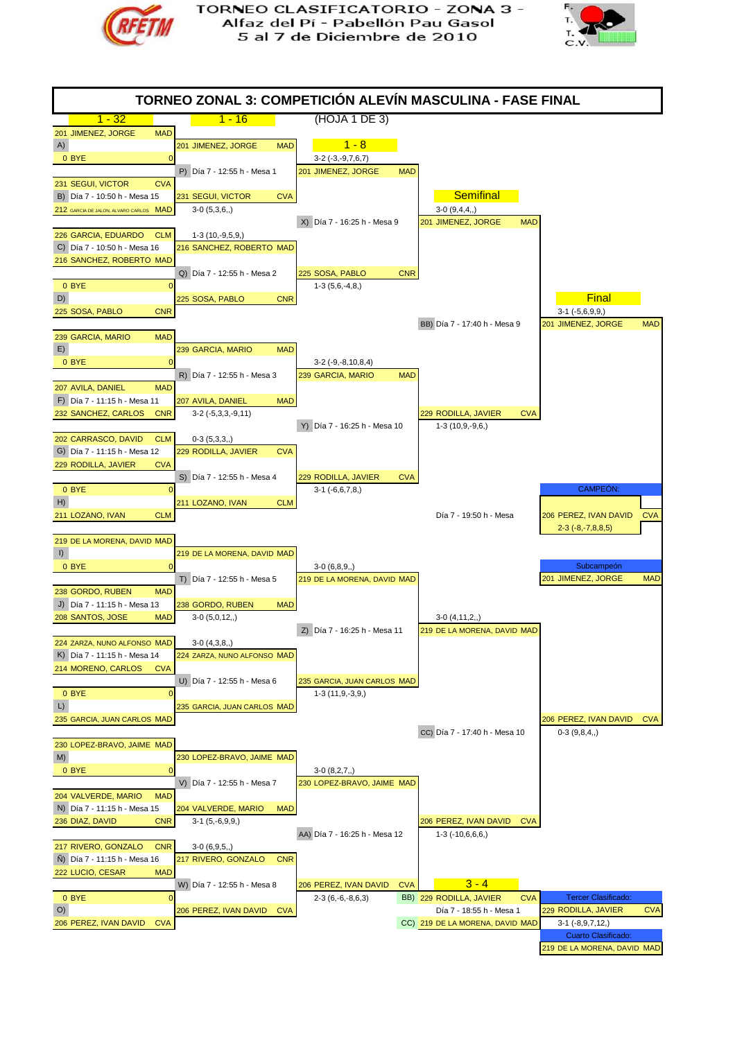



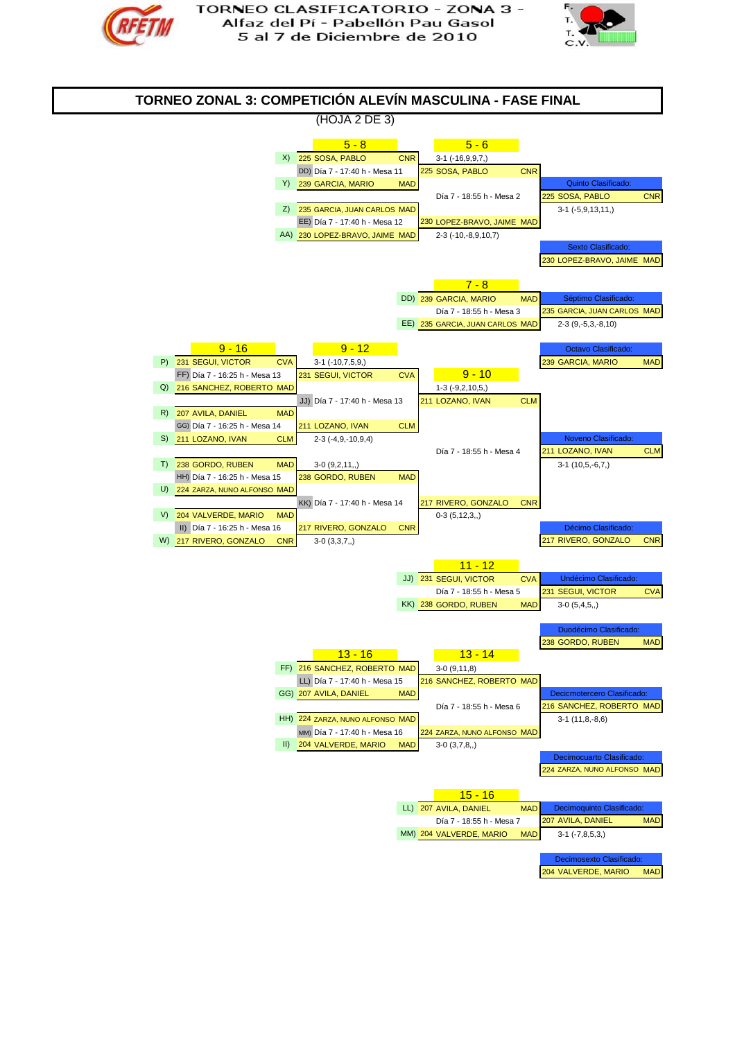



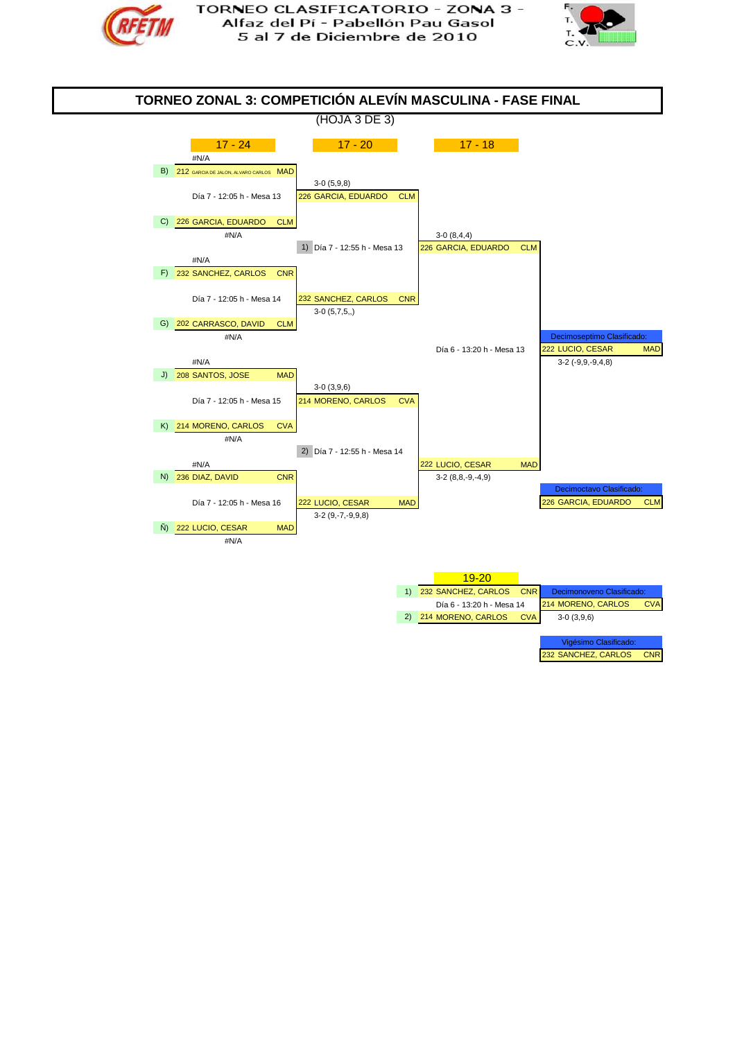



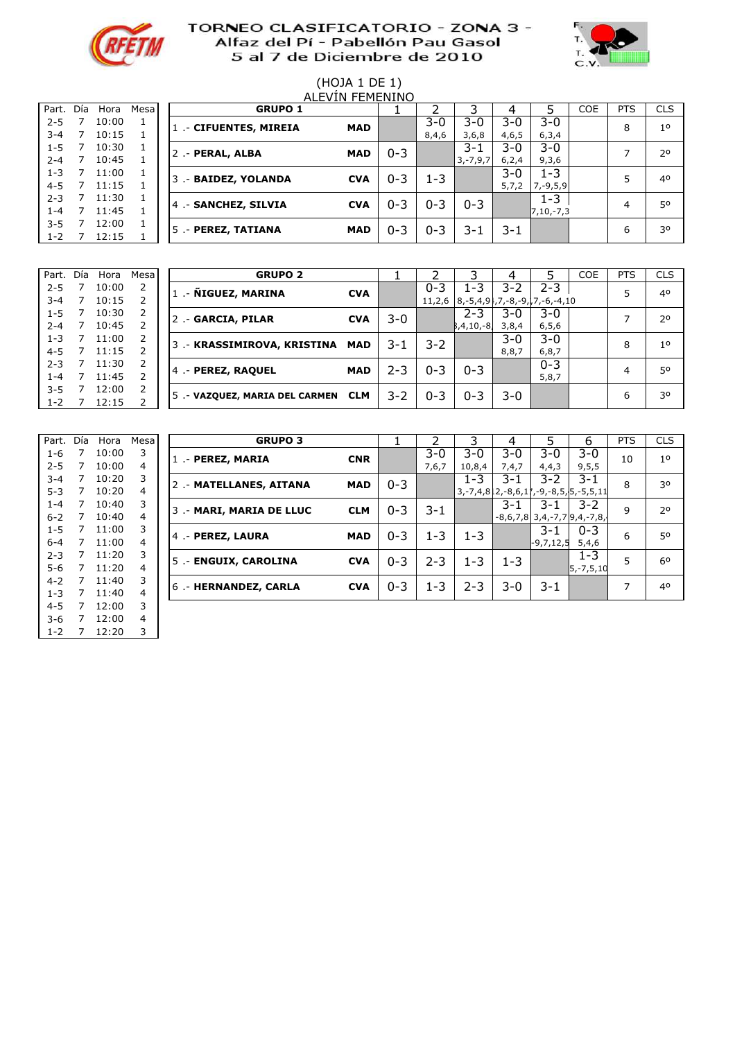



#### (HOJA 1 DE 1) alevin Femenino

| Part.   | Día | Hora  | Mesa |
|---------|-----|-------|------|
| $2 - 5$ | 7   | 10:00 | 1    |
| $3 - 4$ | 7   | 10:15 | 1    |
| 1-5     | 7   | 10:30 | 1    |
| $2 - 4$ | 7   | 10:45 | 1    |
| $1 - 3$ | 7   | 11:00 | 1    |
| 4-5     | 7   | 11:15 | 1    |
| $2 - 3$ | 7   | 11:30 | 1    |
| $1 - 4$ | 7   | 11:45 | 1    |
| $3 - 5$ | 7   | 12:00 | 1    |
| 1-2     | 7   | 12:15 | 1    |
|         |     |       |      |

|         |     |       |        |                        | , \__ , _ , _ , _ _ , _ , _ , _ , _ , |         |         |               |         |               |            |            |                |
|---------|-----|-------|--------|------------------------|---------------------------------------|---------|---------|---------------|---------|---------------|------------|------------|----------------|
| Part.   | Día | Hora  | Mesa l | <b>GRUPO 1</b>         |                                       |         |         |               |         |               | <b>COE</b> | <b>PTS</b> | <b>CLS</b>     |
| $2 - 5$ |     | 10:00 |        | 1 .- CIFUENTES, MIREIA | <b>MAD</b>                            |         | 3-0     | $3 - 0$       | $3-0$   | 3-0           |            | 8          | 1 <sup>0</sup> |
| $3 - 4$ |     | 10:15 |        |                        |                                       |         | 8,4,6   | 3,6,8         | 4,6,5   | 6, 3, 4       |            |            |                |
| $1 - 5$ |     | 10:30 |        | 2 .- PERAL, ALBA       | <b>MAD</b>                            | $0 - 3$ |         | $3 - 1$       | $3-0$   | $3 - 0$       |            |            | 20             |
| $2 - 4$ |     | 10:45 |        |                        |                                       |         |         | $3, -7, 9, 7$ | 6,2,4   | 9,3,6         |            |            |                |
| $1 - 3$ |     | 11:00 |        | 3 .- BAIDEZ, YOLANDA   | <b>CVA</b>                            | $0 - 3$ | 1-3     |               | $3 - 0$ | $1 - 3$       |            |            | 4 <sup>0</sup> |
| $4 - 5$ |     | 11:15 |        |                        |                                       |         |         |               | 5,7,2   | $7, -9, 5, 9$ |            |            |                |
| $2 - 3$ |     | 11:30 |        | 4 .- SANCHEZ, SILVIA   | <b>CVA</b>                            | $0 - 3$ | $0 - 3$ | $0 - 3$       |         | 1-3           |            | 4          | 50             |
| $1 - 4$ |     | 11:45 |        |                        |                                       |         |         |               |         | 7,10,-7,3     |            |            |                |
| $3 - 5$ |     | 12:00 |        | 5 .- PEREZ, TATIANA    | <b>MAD</b>                            | $0 - 3$ | $0 - 3$ | 3-1           | $3 - 1$ |               |            | 6          | 30             |
| $1 - 2$ |     | 12:15 |        |                        |                                       |         |         |               |         |               |            |            |                |

| Part.   | Día | Hora  | Mesa | <b>GRUPO 2</b>                 |            |         |         |                | 4     |                                                  | COE | <b>PTS</b> | <b>CLS</b>     |
|---------|-----|-------|------|--------------------------------|------------|---------|---------|----------------|-------|--------------------------------------------------|-----|------------|----------------|
| $2 - 5$ |     | 10:00 | 2    | 1 .- ÑIGUEZ, MARINA            | <b>CVA</b> |         | $0 - 3$ | 1-3            | 3-2   | $2 - 3$                                          |     |            | 40             |
| $3 - 4$ |     | 10:15 |      |                                |            |         |         |                |       | $11,2,6$   8, -5, 4, 9, 7, -8, -9, 7, -6, -4, 10 |     |            |                |
| $1 - 5$ |     | 10:30 | 2    | 2 .- GARCIA, PILAR             | <b>CVA</b> | $3-0$   |         | $2 - 3$        | 3-0   | $3 - 0$                                          |     |            | 2 <sup>0</sup> |
| $2 - 4$ |     | 10:45 |      |                                |            |         |         | $B, 4, 10, -8$ | 3,8,4 | 6, 5, 6                                          |     |            |                |
| $1 - 3$ |     | 11:00 | 2    | 3 .- KRASSIMIROVA, KRISTINA    | MAD        | 3-1     | 3-2     |                | 3-0   | $3 - 0$                                          |     | 8          | 1 <sup>0</sup> |
| $4 - 5$ |     | 11:15 |      |                                |            |         |         |                | 8,8,7 | 6, 8, 7                                          |     |            |                |
| $2 - 3$ |     | 11:30 | 2    | 4 .- PEREZ, RAQUEL             | <b>MAD</b> | 2-3     | $0 - 3$ | $0 - 3$        |       | $0 - 3$                                          |     | 4          | 50             |
| 1-4     |     | 11:45 |      |                                |            |         |         |                |       | 5,8,7                                            |     |            |                |
| $3 - 5$ |     | 12:00 | 2    |                                | <b>CLM</b> | $3 - 2$ | $0 - 3$ | $0 - 3$        | 3-0   |                                                  |     | 6          | 30             |
| $1 - 2$ |     | 12:15 | ∍    | 5 .- VAZQUEZ, MARIA DEL CARMEN |            |         |         |                |       |                                                  |     |            |                |

| Part.   | Día            | Hora  | Mesa |
|---------|----------------|-------|------|
| 1-6     | 7              | 10:00 | 3    |
| $2 - 5$ | 7              | 10:00 | 4    |
| $3 - 4$ | $\overline{7}$ | 10:20 | 3    |
| $5 - 3$ | $\overline{7}$ | 10:20 | 4    |
| $1 - 4$ | $\overline{7}$ | 10:40 | 3    |
| $6 - 2$ | $\overline{7}$ | 10:40 | 4    |
| $1 - 5$ | 7              | 11:00 | 3    |
| $6 - 4$ | $\overline{7}$ | 11:00 | 4    |
| $2 - 3$ | 7              | 11:20 | 3    |
| $5 - 6$ | $\overline{7}$ | 11:20 | 4    |
| $4 - 2$ | $\overline{7}$ | 11:40 | 3    |
| $1 - 3$ | 7              | 11:40 | 4    |
| $4 - 5$ | 7              | 12:00 | 3    |
| $3-6$   | 7              | 12:00 | 4    |
| 1-2     | 7              | 12:20 | 3    |

| Part.   | Día | Hora  | Mesa | <b>GRUPO 3</b>           |            |         |         |         | 4       |             | 6                                                   | <b>PTS</b> | <b>CLS</b>     |
|---------|-----|-------|------|--------------------------|------------|---------|---------|---------|---------|-------------|-----------------------------------------------------|------------|----------------|
| $1 - 6$ |     | 10:00 | 3    | 1 .- PEREZ, MARIA        | <b>CNR</b> |         | 3-0     | $3-0$   | $3-0$   | $3 - 0$     | $3-0$                                               | 10         | 1 <sup>0</sup> |
| $2 - 5$ |     | 10:00 | 4    |                          |            |         | 7,6,7   | 10,8,4  | 7,4,7   | 4,4,3       | 9,5,5                                               |            |                |
| $3 - 4$ |     | 10:20 | 3    | 2 .- MATELLANES, AITANA  | <b>MAD</b> | $0 - 3$ |         | $1 - 3$ | 3-1     | $3-2$       | $3 - 1$                                             | 8          | 30             |
| $5-3$   | 7   | 10:20 | 4    |                          |            |         |         |         |         |             | $3, -7, 4, 812, -8, 6, 11, -9, -8, 5, 5, -5, 5, 11$ |            |                |
| $1 - 4$ | 7   | 10:40 | 3    | 3 .- MARI, MARIA DE LLUC | <b>CLM</b> | $0 - 3$ | $3 - 1$ |         | 3-1     | 3-1         | $3 - 2$                                             | 9          | 20             |
| $6 - 2$ |     | 10:40 | 4    |                          |            |         |         |         |         |             | $-8,6,7,8$ 3,4,-7,7 9,4,-7,8,                       |            |                |
| $1 - 5$ |     | 11:00 | 3    | 4 .- PEREZ, LAURA        | <b>MAD</b> | $0 - 3$ | $1 - 3$ | $1 - 3$ |         | $3 - 1$     | $0 - 3$                                             | 6          | 50             |
| $6 - 4$ |     | 11:00 | 4    |                          |            |         |         |         |         | $-9,7,12,5$ | 5,4,6                                               |            |                |
| $2 - 3$ | 7   | 11:20 | 3    | 5 .- ENGUIX, CAROLINA    | <b>CVA</b> | $0 - 3$ | $2 - 3$ | $1 - 3$ | $1 - 3$ |             | $1 - 3$                                             | 5          | 60             |
| 5-6     |     | 11:20 | 4    |                          |            |         |         |         |         |             | 5,-7,5,10                                           |            |                |
| $4 - 2$ |     | 11:40 | 3    | 6.- HERNANDEZ, CARLA     | <b>CVA</b> | $0 - 3$ | $1 - 3$ | $2 - 3$ | 3-0     | $3 - 1$     |                                                     | ⇁          | 40             |
| $1 - 3$ |     | 11:40 | 4    |                          |            |         |         |         |         |             |                                                     |            |                |
|         |     |       |      |                          |            |         |         |         |         |             |                                                     |            |                |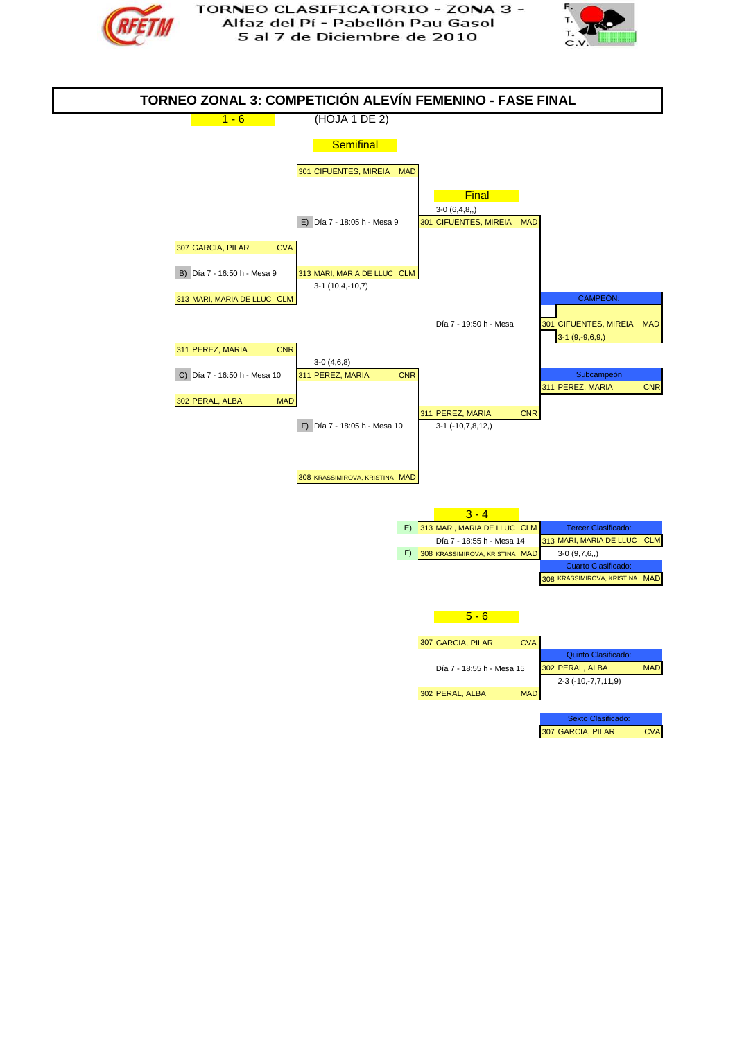



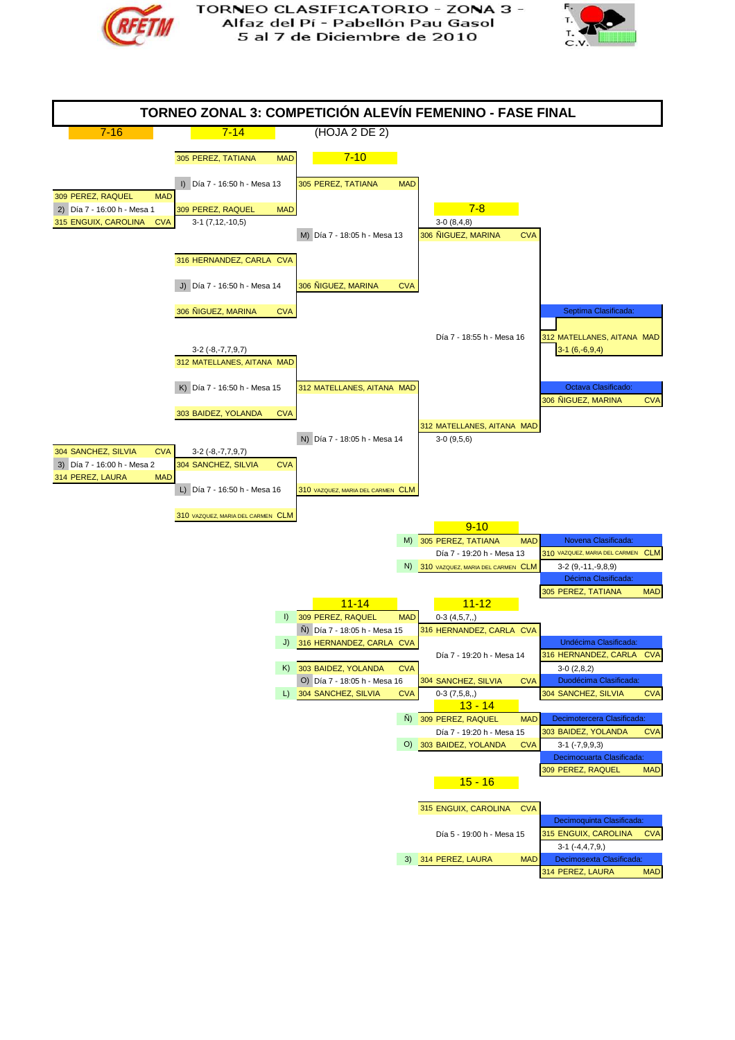



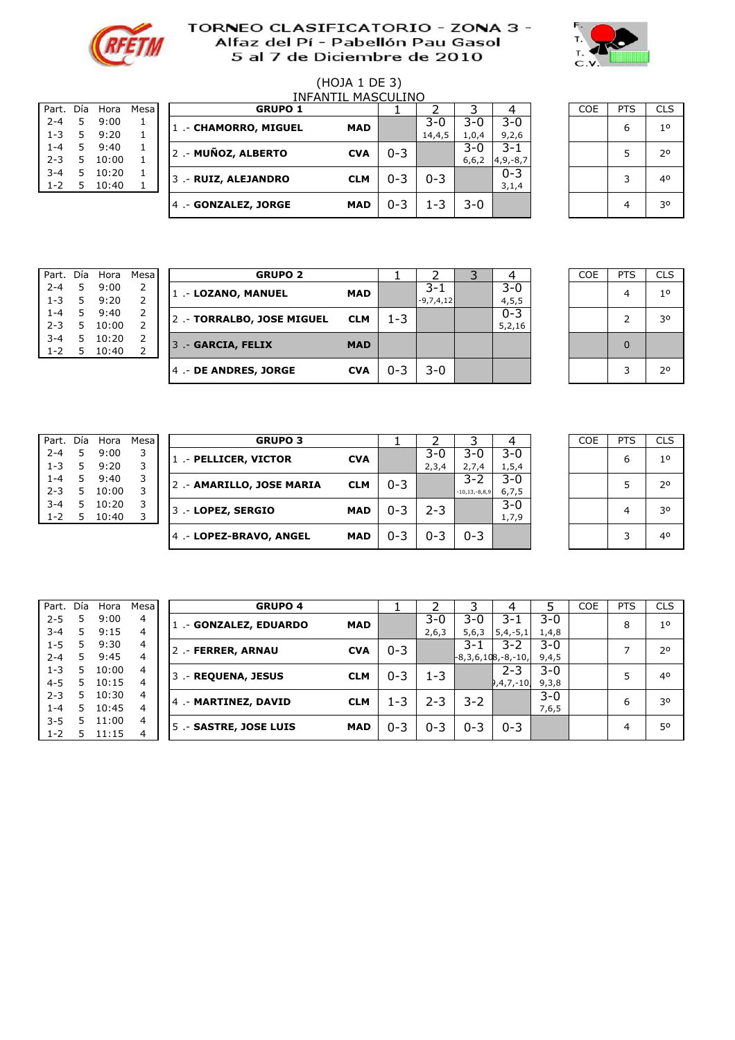



# (HOJA 1 DE 3)

| Part.   | Día | Hora  | Mesa |
|---------|-----|-------|------|
| $2 - 4$ | 5   | 9:00  | 1    |
| $1 - 3$ | 5   | 9:20  | 1.   |
| $1 - 4$ | 5   | 9:40  | 1    |
| $2 - 3$ | 5   | 10:00 | 1    |
| $3 - 4$ | 5   | 10:20 | 1    |
| $1 - 2$ | 5   | 10:40 |      |
|         |     |       |      |

|    | Hora      |                 | <b>GRUPO 1</b> |                                                                                             |                                                    |                    |                      |         |               | <b>COE</b> | <b>PTS</b> | <b>CLS</b>     |
|----|-----------|-----------------|----------------|---------------------------------------------------------------------------------------------|----------------------------------------------------|--------------------|----------------------|---------|---------------|------------|------------|----------------|
| 5  | 9:00      |                 |                |                                                                                             |                                                    | $3-0$              | $3-0$                | $3 - 0$ |               |            |            | 1 <sup>0</sup> |
| 5. | 9:20      |                 |                |                                                                                             |                                                    | 14,4,5             | 1,0,4                | 9,2,6   |               |            |            |                |
| 5  | 9:40      |                 |                |                                                                                             |                                                    |                    | 3-0                  | $3 - 1$ |               |            |            | 2 <sup>0</sup> |
| 5  | 10:00     |                 |                |                                                                                             |                                                    |                    | 6,6,2                |         |               |            |            |                |
| 5  |           |                 |                |                                                                                             |                                                    |                    |                      | $0 - 3$ |               |            |            | 40             |
| 5  | 10:40     |                 |                |                                                                                             |                                                    |                    |                      | 3,1,4   |               |            |            |                |
|    |           |                 |                | <b>MAD</b>                                                                                  | $0 - 3$                                            | -3                 | $3 - 0$              |         |               |            |            | 30             |
|    | Part. Día | Mesa I<br>10:20 |                | 1 .- CHAMORRO, MIGUEL<br>2.- MUÑOZ, ALBERTO<br>3 .- RUIZ, ALEJANDRO<br>4 .- GONZALEZ, JORGE | INFANTII<br><b>MAD</b><br><b>CVA</b><br><b>CLM</b> | $0 - 3$<br>$0 - 3$ | MASCULINO<br>$0 - 3$ |         | $4, 9, -8, 7$ |            |            | 6              |

5 0,49 1 5 .- #N/A #N/A 0

| <b>COE</b> | PTS | <b>CLS</b>     |
|------------|-----|----------------|
|            | 6   | 1 <sup>o</sup> |
|            | 5   | $2^{\circ}$    |
|            | 3   | 40             |
|            |     | 30             |

| Día | Hora  | Mesa          |
|-----|-------|---------------|
| 5   | 9:00  | $\mathcal{P}$ |
| 5   | 9:20  | $\mathcal{P}$ |
| 5   | 9:40  | 2             |
| 5   | 10:00 | $\mathcal{P}$ |
| 5   | 10:20 | 2             |
| 5   | 10:40 | 2             |
|     |       |               |

| Part. Día |    | Hora  | Mesa | <b>GRUPO 2</b>            |            |         |             |         | COE | <b>PTS</b> | <b>CLS</b>     |
|-----------|----|-------|------|---------------------------|------------|---------|-------------|---------|-----|------------|----------------|
| $2 - 4$   | 5. | 9:00  |      | 1.- LOZANO, MANUEL        | MAD        |         | 3-1         | $3 - 0$ |     |            | 1 <sup>0</sup> |
| $1 - 3$   | 5. | 9:20  |      |                           |            |         | $-9,7,4,12$ | 4, 5, 5 |     |            |                |
| $1 - 4$   | 5. | 9:40  |      | 2.- TORRALBO, JOSE MIGUEL | <b>CLM</b> | $1 - 3$ |             | $0 - 3$ |     |            | 30             |
| $2 - 3$   | 5. | 10:00 |      |                           |            |         |             | 5,2,16  |     |            |                |
| $3 - 4$   | 5. | 10:20 |      | 3 .- GARCIA, FELIX        | <b>MAD</b> |         |             |         |     | $\Omega$   |                |
| $1 - 2$   | 5. | 10:40 |      |                           |            |         |             |         |     |            |                |
|           |    |       |      | 4 .- DE ANDRES, JORGE     | <b>CVA</b> | $0 - 3$ | $3 - 0$     |         |     | 3          | 20             |
|           |    |       |      |                           |            |         |             |         |     |            |                |

| COE | PTS | <b>CLS</b>     |
|-----|-----|----------------|
|     | 4   | 1 <sup>0</sup> |
|     | 2   | 30             |
|     | 0   |                |
|     | 3   | 2 <sup>o</sup> |

| Part.   | Dia | Hora  | Mesa |
|---------|-----|-------|------|
| $2 - 4$ | 5   | 9:00  | 3    |
| $1 - 3$ | 5   | 9:20  | 3    |
| $1 - 4$ | 5   | 9:40  | 3    |
| $2 - 3$ | 5   | 10:00 | 3    |
| $3 - 4$ | 5   | 10:20 | 3    |
| $1 - 2$ | 5   | 10:40 | 3    |
|         |     |       |      |

| Part. Día |    | Hora  | Mesa I | <b>GRUPO 3</b>            |            |         |         |                     |         | <b>COE</b> | PTS | <b>CLS</b>     |
|-----------|----|-------|--------|---------------------------|------------|---------|---------|---------------------|---------|------------|-----|----------------|
| $2 - 4$   | 5  | 9:00  |        | 1 .- PELLICER, VICTOR     | <b>CVA</b> |         | $3-0$   | 3-0                 | $3 - 0$ |            | 6   | 1 <sup>0</sup> |
| $1 - 3$   | 5  | 9:20  |        |                           |            |         | 2,3,4   | 2,7,4               | 1, 5, 4 |            |     |                |
| $1 - 4$   |    | 9:40  |        |                           | <b>CLM</b> | $0 - 3$ |         | 3-2                 | $3 - 0$ |            |     | 20             |
| $2 - 3$   | 5. | 10:00 |        | 2 .- AMARILLO, JOSE MARIA |            |         |         | $-10, 13, -8, 8, 9$ | 6, 7, 5 |            |     |                |
| $3 - 4$   | 5. | 10:20 | 3      |                           | <b>MAD</b> | $0 - 3$ | $2 - 3$ |                     | $3-0$   |            |     | 30             |
| $1 - 2$   |    | 10:40 |        | 3 .- LOPEZ, SERGIO        |            |         |         |                     | 1,7,9   |            |     |                |
|           |    |       |        | 4.- LOPEZ-BRAVO, ANGEL    | <b>MAD</b> | $0 - 3$ | $0 - 3$ | $0 - 3$             |         |            |     | 40             |
|           |    |       |        |                           |            |         |         |                     |         |            |     |                |

5 0,49 3 5 .- #N/A #N/A 0

| <b>COE</b> | <b>PTS</b> | <b>CLS</b>  |
|------------|------------|-------------|
|            | 6          | $1^{\circ}$ |
|            | 5          | 20          |
|            | 4          | 30          |
|            | 3          | 40          |

| Part.   | Dia | Hora  | Mesa |
|---------|-----|-------|------|
| $2 - 5$ | 5   | 9:00  | 4    |
| $3 - 4$ | 5   | 9:15  | 4    |
| $1 - 5$ | 5   | 9:30  | 4    |
| $2 - 4$ | 5   | 9:45  | 4    |
| $1 - 3$ | 5   | 10:00 | 4    |
| $4 - 5$ | 5   | 10:15 | 4    |
| $2 - 3$ | 5   | 10:30 | 4    |
| $1 - 4$ | 5   | 10:45 | 4    |
| $3 - 5$ | 5   | 11:00 | 4    |
| $1 - 2$ | 5   | 11:15 | 4    |
|         |     |       |      |

| Part.   | Día | Hora  | Mesa l | <b>GRUPO 4</b>         |            |         |         |                      | 4           |         | <b>COE</b> | <b>PTS</b> | <b>CLS</b>     |
|---------|-----|-------|--------|------------------------|------------|---------|---------|----------------------|-------------|---------|------------|------------|----------------|
| $2 - 5$ | 5   | 9:00  | 4      | 1 .- GONZALEZ, EDUARDO | <b>MAD</b> |         | $3-0$   | $3-0$                | 3-1         | $3-0$   |            | 8          | 1 <sup>0</sup> |
| $3 - 4$ | 5.  | 9:15  | 4      |                        |            |         | 2,6,3   | 5,6,3                | $5,4,-5,1$  | 1,4,8   |            |            |                |
| $1 - 5$ | 5   | 9:30  | 4      | 2 .- FERRER, ARNAU     | <b>CVA</b> | $0 - 3$ |         | $3 - 1$              | 3-2         | $3-0$   |            |            | 20             |
| $2 - 4$ | 5.  | 9:45  | 4      |                        |            |         |         | $-8,3,6,108,-8,-10,$ |             | 9,4,5   |            |            |                |
| $1 - 3$ | 5.  | 10:00 | 4      | 3 .- REQUENA, JESUS    | <b>CLM</b> | $0 - 3$ | $1 - 3$ |                      | $2 - 3$     | $3 - 0$ |            |            | 40             |
| $4 - 5$ | 5.  | 10:15 | 4      |                        |            |         |         |                      | $9,4,7,-10$ | 9,3,8   |            |            |                |
| $2 - 3$ | 5.  | 10:30 | 4      | 4 .- MARTINEZ, DAVID   | <b>CLM</b> | 1-3     | $2 - 3$ | $3 - 2$              |             | $3 - 0$ |            |            | 30             |
| $1 - 4$ | 5.  | 10:45 | 4      |                        |            |         |         |                      |             | 7,6,5   |            | ь          |                |
| $3 - 5$ | 5   | 11:00 | 4      | 5. - SASTRE, JOSE LUIS | <b>MAD</b> | $0 - 3$ | $0 - 3$ | $0 - 3$              | $0 - 3$     |         |            | 4          | 50             |
| $1 - 2$ | 5   | 11:15 | 4      |                        |            |         |         |                      |             |         |            |            |                |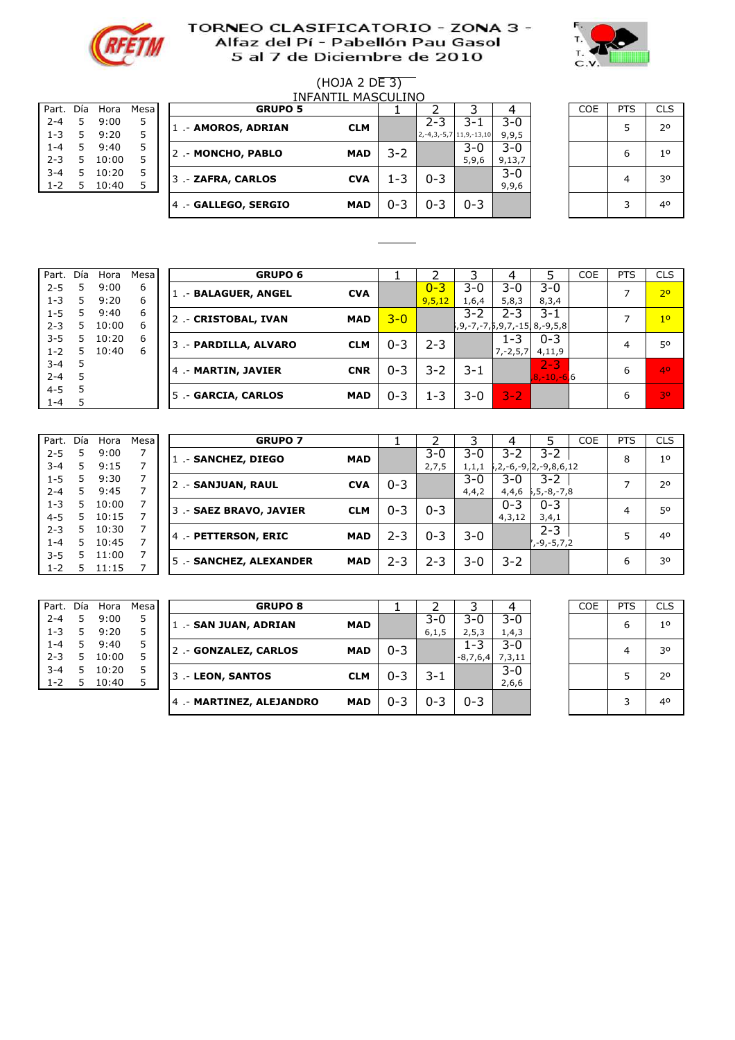



# (HOJA 2 DE 3)

| Part.   | Día | Hora  | Mesa |
|---------|-----|-------|------|
| $2 - 4$ | 5   | 9:00  | 5    |
| $1 - 3$ | 5   | 9:20  | 5    |
| $1 - 4$ | 5   | 9:40  | 5    |
| $2 - 3$ | 5   | 10:00 | 5    |
| $3 - 4$ | 5   | 10:20 | 5    |
| $1 - 2$ | 5   | 10:40 | 5    |
|         |     |       |      |

|         | MASCULINO<br>INFANTII |       |      |  |                      |            |         |         |                                  |         |  |            |            |                |
|---------|-----------------------|-------|------|--|----------------------|------------|---------|---------|----------------------------------|---------|--|------------|------------|----------------|
| Part.   | Día                   | Hora  | Mesa |  | <b>GRUPO 5</b>       |            |         |         |                                  |         |  | <b>COE</b> | <b>PTS</b> | <b>CLS</b>     |
| $2 - 4$ | 5                     | 9:00  |      |  | 1 .- AMOROS, ADRIAN  | <b>CLM</b> |         | $2 - 3$ | 3-1                              | $3 - 0$ |  |            |            | 2 <sup>o</sup> |
| $1 - 3$ | 5.                    | 9:20  |      |  |                      |            |         |         | $2, -4, 3, -5, 7$ 11, 9, -13, 10 | 9,9,5   |  |            |            |                |
| $1 - 4$ | 5.                    | 9:40  | 5    |  | 2.- MONCHO, PABLO    | <b>MAD</b> | 3-2     |         | $3 - 0$                          | 3-0     |  |            | 6          | 10             |
| $2 - 3$ | 5.                    | 10:00 |      |  |                      |            |         |         | 5,9,6                            | 9,13,7  |  |            |            |                |
| $3 - 4$ | 5                     | 10:20 | 5    |  | 3 .- ZAFRA, CARLOS   | <b>CVA</b> | 1-3     | $0 - 3$ |                                  | $3 - 0$ |  |            |            | 30             |
| $1 - 2$ | 5                     | 10:40 |      |  |                      |            |         |         |                                  | 9,9,6   |  |            |            |                |
|         |                       |       |      |  | 4 .- GALLEGO, SERGIO | <b>MAD</b> | $0 - 3$ | $0 - 3$ | $0 - 3$                          |         |  |            |            | 40             |
|         |                       |       |      |  |                      |            |         |         |                                  |         |  |            |            |                |

| <b>COE</b> | <b>PTS</b> | <b>CLS</b>     |
|------------|------------|----------------|
|            | 5          | 2 <sup>o</sup> |
|            | 6          | 1 <sup>o</sup> |
|            | 4          | 30             |
|            | 3          | 40             |

| Part.   | Día | Hora  | Mesa |   | <b>GRUPO 6</b>        |            |         |         |                                             |               |                 | COE | <b>PTS</b> | CLS.           |
|---------|-----|-------|------|---|-----------------------|------------|---------|---------|---------------------------------------------|---------------|-----------------|-----|------------|----------------|
| $2 - 5$ | 5   | 9:00  | 6    |   | 1 .- BALAGUER, ANGEL  | <b>CVA</b> |         | $0 - 3$ | 3-0                                         | 3-0           | $3 - 0$         |     |            | 2 <sup>o</sup> |
| $1 - 3$ | 5.  | 9:20  | 6    |   |                       |            |         | 9,5,12  | 1,6,4                                       | 5,8,3         | 8,3,4           |     |            |                |
| $1 - 5$ | 5   | 9:40  | 6    |   | 2.- CRISTOBAL, IVAN   | <b>MAD</b> | $3 - 0$ |         | $3 - 2$                                     | $2 - 3$       | 3-1             |     |            | 1 <sup>0</sup> |
| $2 - 3$ | 5.  | 10:00 | 6    |   |                       |            |         |         | 15, 8, -7, -7, 5, 9, 7, -15, 8, -9, 5, 8, 5 |               |                 |     |            |                |
| $3 - 5$ | 5   | 10:20 | 6    |   | 3 .- PARDILLA, ALVARO | <b>CLM</b> | $0 - 3$ | 2-3     |                                             | $1 - 3$       | $0 - 3$         |     | 4          | 50             |
| $1 - 2$ | 5   | 10:40 | 6    |   |                       |            |         |         |                                             | $7, -2, 5, 7$ | 4,11,9          |     |            |                |
| $3 - 4$ |     |       |      | 4 | .- MARTIN, JAVIER     | <b>CNR</b> | $0 - 3$ | 3-2     | $3 - 1$                                     |               | $2 - 3$         |     | 6          | 40             |
| $2 - 4$ |     |       |      |   |                       |            |         |         |                                             |               | $8, -10, -6, 6$ |     |            |                |
| $4 - 5$ |     |       |      |   | 5 .- GARCIA, CARLOS   | <b>MAD</b> | $0 - 3$ | 1-3     | $3-0$                                       | $3 - 2$       |                 |     | 6          | 30             |
| $1 - 4$ |     |       |      |   |                       |            |         |         |                                             |               |                 |     |            |                |

5 0,59 5 <del>.- 0,59 5 .- 0,59 5 .- 0,59 5 .- 0,59 5 .- 0,59 5 .- 0,59 5 .- 0,59 5 .- 0,59 5 .- 0,59 5 .- 0,59 5 .-</del>

| Part.   | Día | Hora  | Mesa |
|---------|-----|-------|------|
| $2 - 5$ | 5   | 9:00  | 7    |
| $3 - 4$ | 5   | 9:15  | 7    |
| $1 - 5$ | 5   | 9:30  | 7    |
| $2 - 4$ | 5   | 9:45  | 7    |
| $1 - 3$ | 5   | 10:00 | 7    |
| $4 - 5$ | 5   | 10:15 | 7    |
| $2 - 3$ | 5   | 10:30 | 7    |
| $1 - 4$ | 5   | 10:45 | 7    |
| $3 - 5$ | 5   | 11:00 | 7    |
| $1 - 2$ | 5   | 11:15 | 7    |
|         |     |       |      |

| Part.   | Día | Hora  | Mesa |                         | <b>GRUPO 7</b> |         |         |         |         |                       | <b>COE</b> | <b>PTS</b> | <b>CLS</b>     |
|---------|-----|-------|------|-------------------------|----------------|---------|---------|---------|---------|-----------------------|------------|------------|----------------|
| $2 - 5$ | 5   | 9:00  |      | 1. - SANCHEZ, DIEGO     | <b>MAD</b>     |         | 3-0     | $3-0$   | $3-2$   | $3 - 2$               |            | 8          | 1 <sup>0</sup> |
| $3 - 4$ | 5.  | 9:15  |      |                         |                |         | 2,7,5   | 1, 1, 1 |         | ,2,-6,-9, 2,-9,8,6,12 |            |            |                |
| $1 - 5$ | 5.  | 9:30  |      | 2 .- SANJUAN, RAUL      | <b>CVA</b>     | $0 - 3$ |         | $3-0$   | 3-0     | 3-2                   |            | ⇁          | 20             |
| $2 - 4$ | 5.  | 9:45  |      |                         |                |         |         | 4,4,2   | 4,4,6   | , 5, -8, -7, 8        |            |            |                |
| $1 - 3$ | 5.  | 10:00 |      | 3 .- SAEZ BRAVO, JAVIER | <b>CLM</b>     | $0 - 3$ | $0 - 3$ |         | $0 - 3$ | $0 - 3$               |            | 4          | 50             |
| $4 - 5$ | 5.  | 10:15 |      |                         |                |         |         |         | 4,3,12  | 3,4,1                 |            |            |                |
| $2 - 3$ | 5.  | 10:30 |      | 4 - PETTERSON, ERIC     | <b>MAD</b>     | $2 - 3$ | $0 - 3$ | $3-0$   |         | $2 - 3$               |            | 5          | 40             |
| $1 - 4$ | 5.  | 10:45 |      |                         |                |         |         |         |         | , -9, -5, 7, 2        |            |            |                |
| $3 - 5$ | 5.  | 11:00 |      | 5 .- SANCHEZ, ALEXANDER | <b>MAD</b>     | $2 - 3$ | $2 - 3$ | 3-0     | $3 - 2$ |                       |            | 6          | 30             |
| $1 - 2$ | 5.  | 11:15 |      |                         |                |         |         |         |         |                       |            |            |                |

| Part.   | Día | Hora  | Mesa |
|---------|-----|-------|------|
| $2 - 4$ | 5   | 9:00  | 5    |
| $1 - 3$ | 5   | 9:20  | 5    |
| $1 - 4$ | 5   | 9:40  | 5    |
| $2 - 3$ | 5   | 10:00 | 5    |
| $3 - 4$ | 5   | 10:20 | 5    |
| $1 - 2$ | 5   | 10:40 | 5    |
|         |     |       |      |

| Part.   | Día | Hora  | Mesa I |  | <b>GRUPO 8</b>           |            |         |         |            | 4       |  | <b>COE</b> | <b>PTS</b> | <b>CLS</b>     |
|---------|-----|-------|--------|--|--------------------------|------------|---------|---------|------------|---------|--|------------|------------|----------------|
| $2 - 4$ | 5.  | 9:00  |        |  | 1 .- SAN JUAN, ADRIAN    | <b>MAD</b> |         | $3-0$   | 3-0        | $3 - 0$ |  |            | 6          | 1 <sup>0</sup> |
| $1 - 3$ | 5.  | 9:20  |        |  |                          |            |         | 6,1,5   | 2, 5, 3    | 1,4,3   |  |            |            |                |
| $1 - 4$ | 5.  | 9:40  |        |  | 2.- GONZALEZ, CARLOS     | <b>MAD</b> | $0 - 3$ |         | $1 - 3$    | $3 - 0$ |  |            | 30         |                |
| $2 - 3$ | 5.  | 10:00 |        |  |                          |            |         |         | $-8,7,6,4$ | 7,3,11  |  |            |            |                |
| $3 - 4$ | 5.  | 10:20 |        |  | 3 .- LEON, SANTOS        | <b>CLM</b> | $0 - 3$ | 3-1     |            | $3 - 0$ |  |            |            | 2 <sup>0</sup> |
| $1 - 2$ | 5   | 10:40 |        |  |                          |            |         |         |            | 2,6,6   |  |            |            |                |
|         |     |       |        |  | 4 .- MARTINEZ, ALEJANDRO | <b>MAD</b> | $0 - 3$ | $0 - 3$ | $0 - 3$    |         |  |            | ₹          | 40             |
|         |     |       |        |  |                          |            |         |         |            |         |  |            |            |                |

| a Hora<br>Mesa         | <b>GRUPO 8</b>           |            |         |                |                       |                  | <b>COE</b> | <b>PTS</b> | <b>CLS</b>     |
|------------------------|--------------------------|------------|---------|----------------|-----------------------|------------------|------------|------------|----------------|
| 9:00<br>5<br>9:20<br>5 | 1 .- SAN JUAN, ADRIAN    | <b>MAD</b> |         | $3-0$<br>6,1,5 | 3-0<br>2, 5, 3        | $3 - 0$<br>1,4,3 |            | 6          | 1 <sup>0</sup> |
| 9:40<br>5<br>10:00     | 2 .- GONZALEZ, CARLOS    | <b>MAD</b> | $0 - 3$ |                | $1 - 3$<br>$-8,7,6,4$ | $3-0$<br>7,3,11  |            | 4          | 30             |
| 10:20<br>10:40<br>5    | 3 .- LEON, SANTOS        | <b>CLM</b> | $0 - 3$ | 3-1            |                       | $3 - 0$<br>2,6,6 |            |            | 2 <sup>0</sup> |
|                        | 4 .- MARTINEZ, ALEJANDRO | <b>MAD</b> | $0 - 3$ | $0 - 3$        | $0 - 3$               |                  |            | 3          | 40             |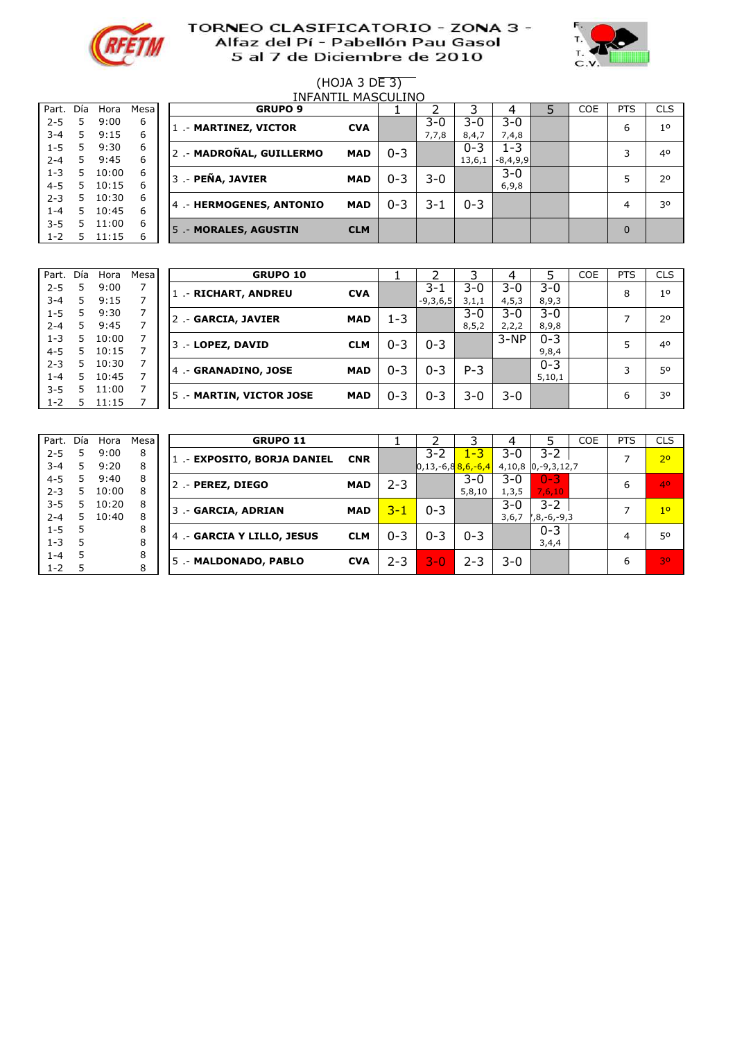



#### (HOJA 3 DE 3) 0:18 9 INFANTIL MASCULINO

| Part.   | Día | Hora  | Mesa |
|---------|-----|-------|------|
| $2 - 5$ | 5   | 9:00  | 6    |
| $3 - 4$ | 5   | 9:15  | 6    |
| $1 - 5$ | 5   | 9:30  | 6    |
| $2 - 4$ | 5   | 9:45  | 6    |
| $1 - 3$ | 5   | 10:00 | 6    |
| $4 - 5$ | 5   | 10:15 | 6    |
| $2 - 3$ | 5   | 10:30 | 6    |
| $1 - 4$ | 5   | 10:45 | 6    |
| $3 - 5$ | 5   | 11:00 | 6    |
| $1 - 2$ | 5   | 11:15 | 6    |
|         |     |       |      |

| Part.   | Día | Hora  | Mesal | <b>GRUPO 9</b>          |            |         |       |         |            | <b>COE</b> | <b>PTS</b> | <b>CLS</b>     |
|---------|-----|-------|-------|-------------------------|------------|---------|-------|---------|------------|------------|------------|----------------|
| $2 - 5$ |     | 9:00  | 6     | 1.- MARTINEZ, VICTOR    | <b>CVA</b> |         | 3-0   | $3 - 0$ | $3-0$      |            | 6          | 1 <sup>0</sup> |
| $3 - 4$ | 5.  | 9:15  | 6     |                         |            |         | 7,7,8 | 8,4,7   | 7,4,8      |            |            |                |
| $1 - 5$ | 5   | 9:30  | 6     | 2.- MADROÑAL, GUILLERMO | <b>MAD</b> | $0 - 3$ |       | $0 - 3$ | 1-3        |            |            | 40             |
| $2 - 4$ | 5.  | 9:45  | 6     |                         |            |         |       | 13,6,1  | $-8,4,9,9$ |            |            |                |
| $1 - 3$ | 5.  | 10:00 | 6     | 3 .- PEÑA, JAVIER       | <b>MAD</b> | $0 - 3$ | 3-0   |         | $3 - 0$    |            |            | 2 <sup>0</sup> |
| $4 - 5$ | 5   | 10:15 | 6     |                         |            |         |       |         | 6,9,8      |            |            |                |
| $2 - 3$ | 5.  | 10:30 | 6     | 4.- HERMOGENES, ANTONIO | <b>MAD</b> | $0 - 3$ | 3-1   | $0 - 3$ |            |            | 4          | 30             |
| $1 - 4$ | 5.  | 10:45 | 6     |                         |            |         |       |         |            |            |            |                |
| $3 - 5$ | 5   | 11:00 | 6     | 5 .- MORALES, AGUSTIN   | <b>CLM</b> |         |       |         |            |            | $\Omega$   |                |
| $1 - 2$ |     | 11:15 | 6     |                         |            |         |       |         |            |            |            |                |

| Part.   | Día | Hora  | <b>Mesa</b> | <b>GRUPO 10</b>          |            |         |            |         |         |         | <b>COE</b> | <b>PTS</b> | <b>CLS</b>     |
|---------|-----|-------|-------------|--------------------------|------------|---------|------------|---------|---------|---------|------------|------------|----------------|
| $2 - 5$ |     | 9:00  |             | .- RICHART, ANDREU       | <b>CVA</b> |         | $3 - 1$    | $3-0$   | 3-0     | $3 - 0$ |            | 8          | 1 <sup>0</sup> |
| $3 - 4$ | 5.  | 9:15  |             |                          |            |         | $-9,3,6,5$ | 3,1,1   | 4, 5, 3 | 8, 9, 3 |            |            |                |
| $1 - 5$ | 5   | 9:30  |             | 2 .- GARCIA, JAVIER      | <b>MAD</b> | 1-3     |            | $3 - 0$ | 3-0     | $3 - 0$ |            |            | 20             |
| $2 - 4$ | 5   | 9:45  |             |                          |            |         |            | 8, 5, 2 | 2, 2, 2 | 8,9,8   |            |            |                |
| $1 - 3$ | 5.  | 10:00 |             | 3 .- LOPEZ, DAVID        | <b>CLM</b> | $0 - 3$ | $0 - 3$    |         | $3-NP$  | $0 - 3$ |            |            | 40             |
| $4 - 5$ | 5.  | 10:15 |             |                          |            |         |            |         |         | 9,8,4   |            |            |                |
| $2 - 3$ | 5   | 10:30 |             | 4 .- GRANADINO, JOSE     | <b>MAD</b> | $0 - 3$ | $0 - 3$    | $P-3$   |         | $0 - 3$ |            | ิว         | 50             |
| $1 - 4$ | 5.  | 10:45 |             |                          |            |         |            |         |         | 5,10,1  |            |            |                |
| $3 - 5$ | 5   | 11:00 |             | 5 .- MARTIN, VICTOR JOSE | <b>MAD</b> | $0 - 3$ | $0 - 3$    | 3-0     | 3-0     |         |            | 6          | 30             |
| $1 - 2$ |     | 11:15 |             |                          |            |         |            |         |         |         |            |            |                |

| Part.   | Día | Hora  | Mesa |
|---------|-----|-------|------|
| $2 - 5$ | 5   | 9:00  | 8    |
| $3 - 4$ | 5   | 9:20  | 8    |
| $4 - 5$ | 5   | 9:40  | 8    |
| $2 - 3$ | 5   | 10:00 | 8    |
| $3 - 5$ | 5   | 10:20 | 8    |
| $2 - 4$ | 5   | 10:40 | 8    |
| $1 - 5$ | 5   |       | 8    |
| 1-3     | 5   |       | 8    |
| $1 - 4$ | 5   |       | 8    |
| $1 - 2$ | 5   |       | 8    |

| Part.   | Día | Hora  | Mesa l | <b>GRUPO 11</b>             |            |         |                                 |         |         |               | <b>COE</b> | <b>PTS</b> | <b>CLS</b>     |
|---------|-----|-------|--------|-----------------------------|------------|---------|---------------------------------|---------|---------|---------------|------------|------------|----------------|
| $2 - 5$ |     | 9:00  | 8      | 1 .- EXPOSITO, BORJA DANIEL | <b>CNR</b> |         | $3 - 2$                         | $1 - 3$ | $3 - 0$ | 3-2           |            |            | 2 <sup>o</sup> |
| $3 - 4$ | 5.  | 9:20  | 8      |                             |            |         | 0,13,-6,8 <mark>8,6,-6,4</mark> |         | 4,10,8  | $0,-9,3,12,7$ |            |            |                |
| $4 - 5$ | 5   | 9:40  | 8      | 2 .- PEREZ, DIEGO           | <b>MAD</b> | $2 - 3$ |                                 | $3 - 0$ | $3-0$   | $0 - 3$       |            | 6          | 40             |
| $2 - 3$ | 5   | 10:00 | 8      |                             |            |         |                                 | 5,8,10  | 1, 3, 5 | 7,6,10        |            |            |                |
| $3 - 5$ | 5.  | 10:20 | 8      | 3 .- GARCIA, ADRIAN         | <b>MAD</b> | $3 - 1$ | $0 - 3$                         |         | $3 - 0$ | 3-2           |            |            | 1 <sup>0</sup> |
| $2 - 4$ | 5   | 10:40 | 8      |                             |            |         |                                 |         | 3,6,7   | ,8,-6,-9,3    |            |            |                |
| $1 - 5$ |     |       | 8      | 4 .- GARCIA Y LILLO, JESUS  | <b>CLM</b> | $0 - 3$ | $0 - 3$                         | $0 - 3$ |         | $0 - 3$       |            | 4          | 50             |
| $1 - 3$ | 5   |       | 8      |                             |            |         |                                 |         |         | 3,4,4         |            |            |                |
| $1 - 4$ | 5   |       | 8      | 5.- MALDONADO, PABLO        | <b>CVA</b> | 2-3     | 3-0,                            | $2 - 3$ | $3-0$   |               |            | 6          | 30             |
| $1 - 2$ |     |       | 8      |                             |            |         |                                 |         |         |               |            |            |                |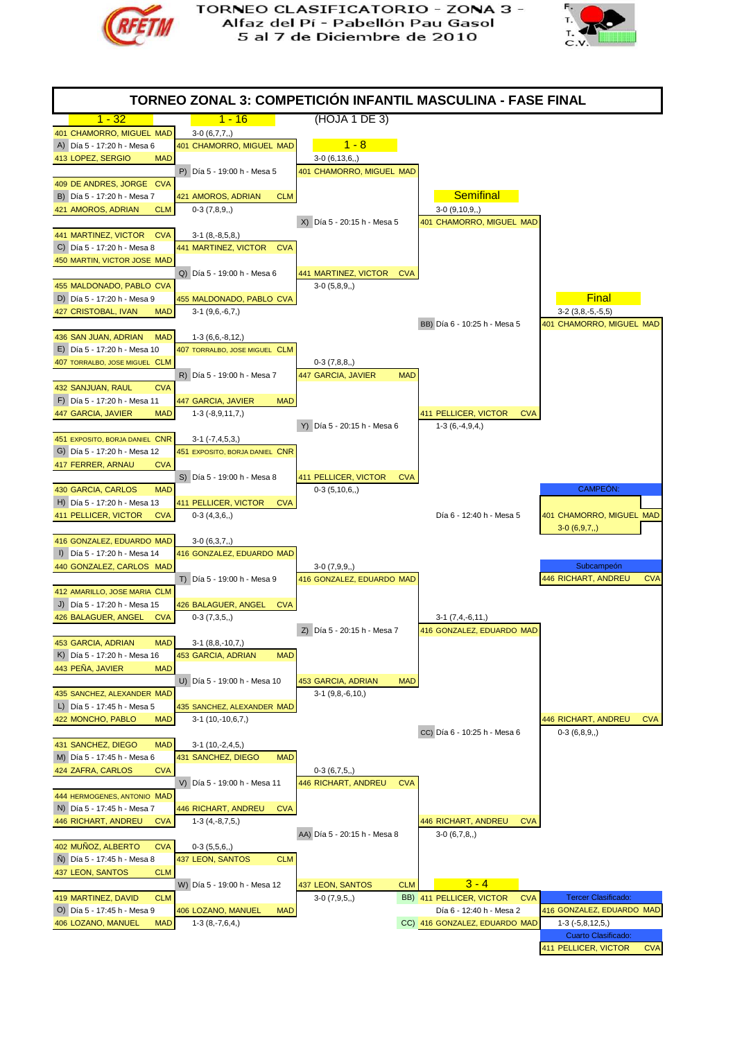



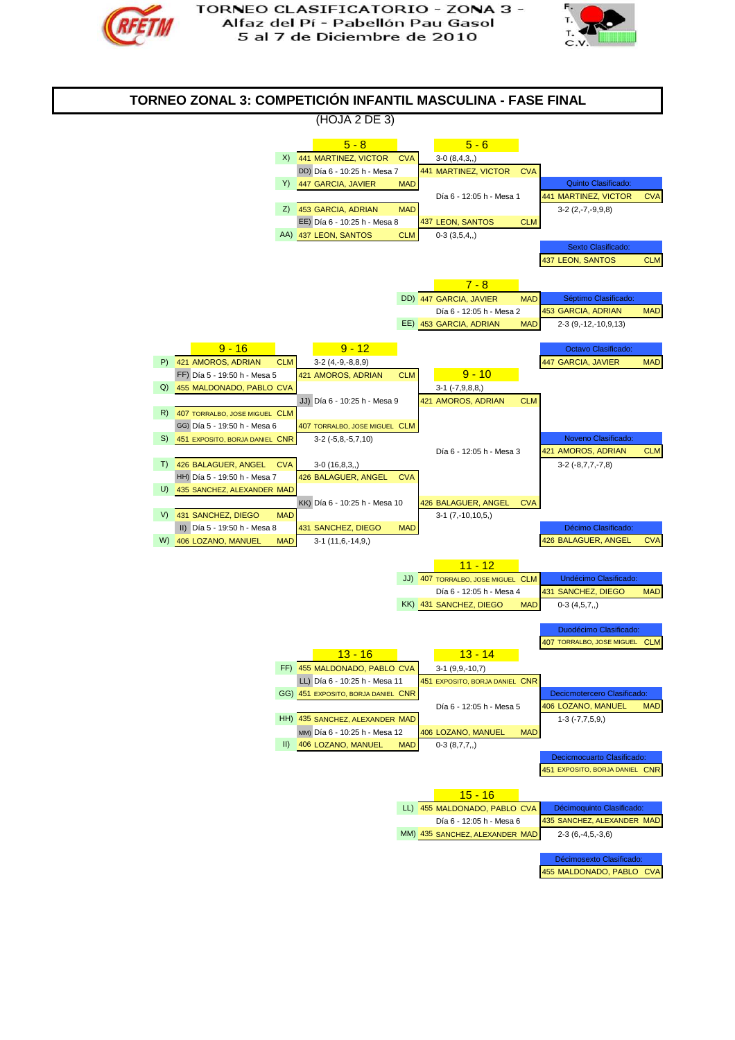



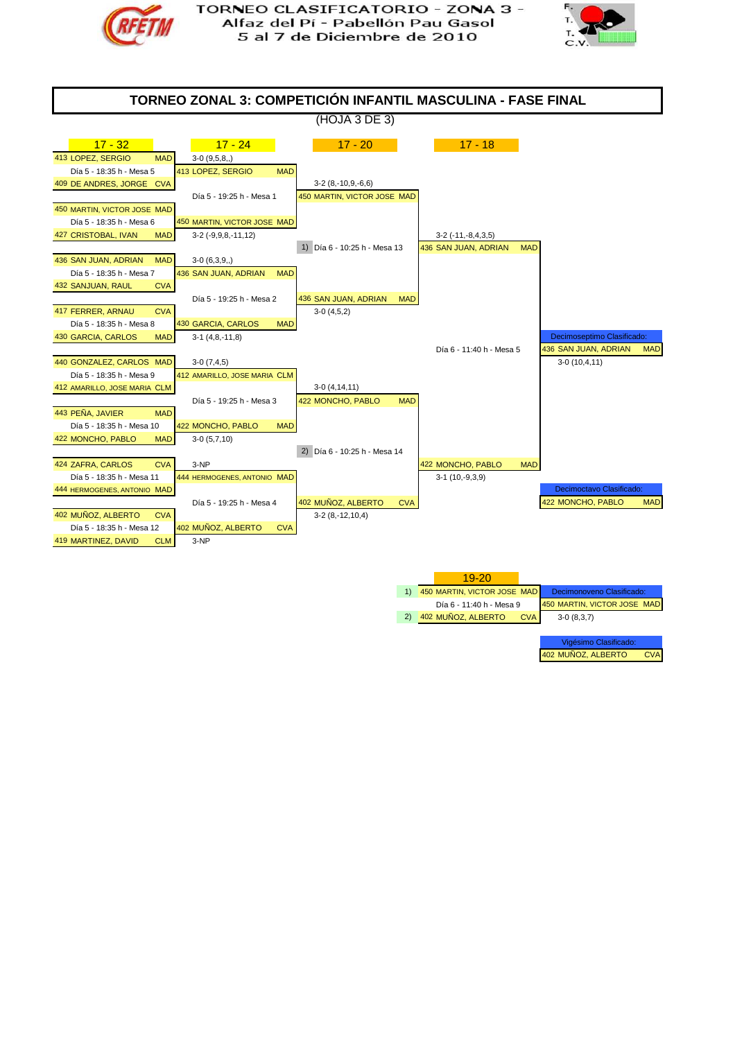





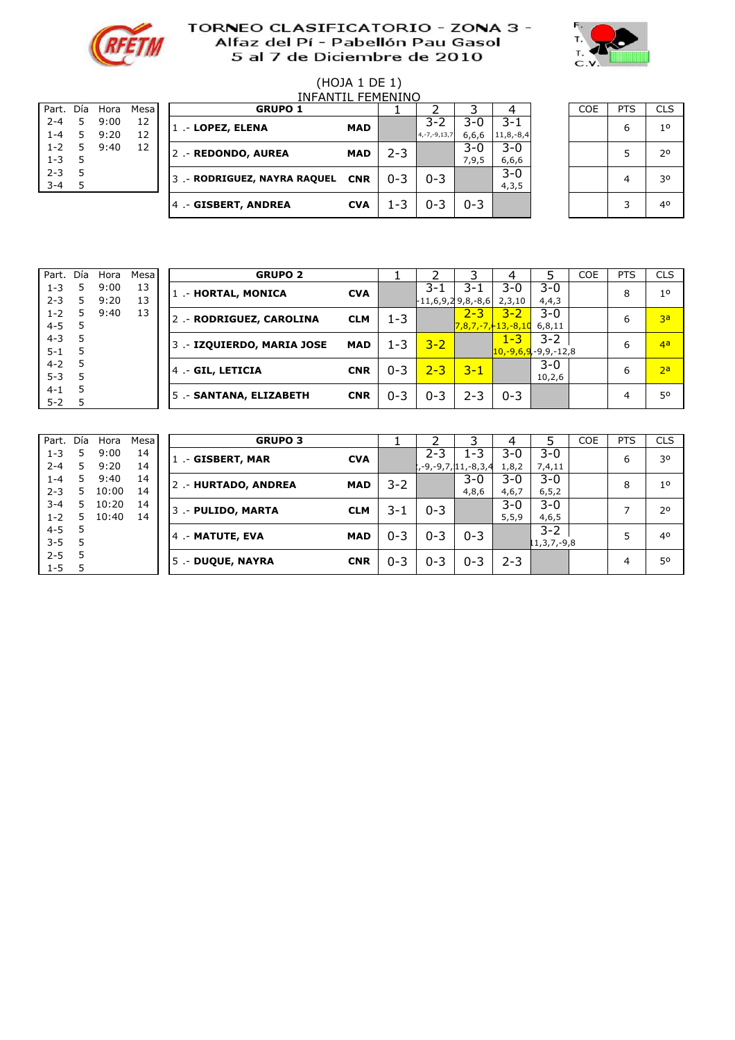



# (HOJA 1 DE 1)

| Part. Día |   | Hora | Mesa |
|-----------|---|------|------|
| $2 - 4$   | 5 | 9:00 | 12   |
| $1 - 4$   | 5 | 9:20 | 12   |
| $1 - 2$   | 5 | 9:40 | 12   |
| $1 - 3$   | 5 |      |      |
| $2 - 3$   | 5 |      |      |
| $3 - 4$   | 5 |      |      |
|           |   |      |      |

|                    | INFANTII FFMFNINO |              |          |  |                              |            |         |                    |                         |                             |  |            |            |            |
|--------------------|-------------------|--------------|----------|--|------------------------------|------------|---------|--------------------|-------------------------|-----------------------------|--|------------|------------|------------|
| Part.              | Día               | Hora         | Mesa     |  | <b>GRUPO 1</b>               |            |         |                    |                         |                             |  | <b>COE</b> | <b>PTS</b> | <b>CLS</b> |
| $2 - 4$<br>$1 - 4$ | 5                 | 9:00<br>9:20 | 12<br>12 |  | 1 .- LOPEZ, ELENA            | <b>MAD</b> |         | $3 - 2$            | $3-0$                   | $3 - 1$                     |  |            | 6          | 10         |
| $1 - 2$<br>$1 - 3$ |                   | 9:40         | 12       |  | 2 .- REDONDO, AUREA          | <b>MAD</b> | 2-3     | $4, -7, -9, 13, 7$ | 6,6,6<br>$3-0$<br>7,9,5 | $11,8,-8,4$<br>3-0<br>6,6,6 |  |            |            | 20         |
| $2 - 3$<br>$3 - 4$ |                   |              |          |  | 3 .- RODRIGUEZ, NAYRA RAQUEL | <b>CNR</b> | $0 - 3$ | $0 - 3$            |                         | $3-0$<br>4, 3, 5            |  |            |            | 30         |
|                    |                   |              |          |  | 4 .- GISBERT, ANDREA         | <b>CVA</b> | 1-3     | $0 - 3$            | $0 - 3$                 |                             |  |            |            | 40         |

5 0,03 0 5 .- #N/A #N/A 0

| <b>COE</b> | <b>PTS</b> | <b>CLS</b>     |
|------------|------------|----------------|
|            | 6          | 1 <sup>o</sup> |
|            | 5          | 2°             |
|            | 4          | 30             |
|            | 3          | 40             |

| Part.   | Día | Hora | Mesa | <b>GRUPO 2</b>             |            |         |         |                     | 4                             |         | <b>COE</b> | <b>PTS</b> | <b>CLS</b>     |
|---------|-----|------|------|----------------------------|------------|---------|---------|---------------------|-------------------------------|---------|------------|------------|----------------|
| $1 - 3$ |     | 9:00 | 13   | 1 .- HORTAL, MONICA        | <b>CVA</b> |         | 3-1     | $3 - 1$             | $3-0$                         | $3 - 0$ |            | 8          | 1 <sup>0</sup> |
| $2 - 3$ | 5.  | 9:20 | 13   |                            |            |         |         | $-11,6,9,29,8,-8,6$ | 2,3,10                        | 4,4,3   |            |            |                |
| $1 - 2$ | 5   | 9:40 | 13   | 2 - RODRIGUEZ, CAROLINA    | <b>CLM</b> | $1 - 3$ |         | $2 - 3$             | $3 - 2$                       | $3-0$   |            | 6          | 3a             |
| $4 - 5$ |     |      |      |                            |            |         |         |                     | $7,8,7,-7,+13,-8,10$          | 6,8,11  |            |            |                |
| $4 - 3$ |     |      |      | 3 .- IZQUIERDO, MARIA JOSE | <b>MAD</b> | $1 - 3$ | $3 - 2$ |                     | $1 - 3$                       | $3 - 2$ |            | 6          | 4 <sub>a</sub> |
| $5 - 1$ | 5   |      |      |                            |            |         |         |                     | $10, -9, 6, 9, -9, 9, -12, 8$ |         |            |            |                |
| $4 - 2$ |     |      |      | 4 .- GIL, LETICIA          | <b>CNR</b> | $0 - 3$ | $2 - 3$ | $3 - 1$             |                               | $3 - 0$ |            | 6          | 2a             |
| $5 - 3$ | 5   |      |      |                            |            |         |         |                     |                               | 10,2,6  |            |            |                |
| $4 - 1$ | 5   |      |      | 5 .- SANTANA, ELIZABETH    | <b>CNR</b> | $0 - 3$ | $0 - 3$ | $2 - 3$             | $0 - 3$                       |         |            |            | 50             |
| $5 - 2$ |     |      |      |                            |            |         |         |                     |                               |         |            |            |                |

| Part. Día |   | Hora  | Mesa |
|-----------|---|-------|------|
| $1 - 3$   | 5 | 9:00  | 14   |
| $2 - 4$   | 5 | 9:20  | 14   |
| $1 - 4$   | 5 | 9:40  | 14   |
| $2 - 3$   | 5 | 10:00 | 14   |
| $3 - 4$   | 5 | 10:20 | 14   |
| $1 - 2$   | 5 | 10:40 | 14   |
| $4 - 5$   | 5 |       |      |
| $3 - 5$   | 5 |       |      |
| $2 - 5$   | 5 |       |      |
| $1 - 5$   | 5 |       |      |

| Part.   | Día | Hora  | Mesa | <b>GRUPO 3</b>     |            |         |         |                      | 4       |                  | <b>COE</b> | <b>PTS</b> | <b>CLS</b>     |
|---------|-----|-------|------|--------------------|------------|---------|---------|----------------------|---------|------------------|------------|------------|----------------|
| $1 - 3$ | 5   | 9:00  | 14   | 1 .- GISBERT, MAR  | <b>CVA</b> |         | $2 - 3$ | $1 - 3$              | $3-0$   | $3 - 0$          |            | 6          | 30             |
| $2 - 4$ | 5   | 9:20  | 14   |                    |            |         |         | ,-9,-9,7, 11, -8,3,4 | 1,8,2   | 7,4,11           |            |            |                |
| $1 - 4$ | 5   | 9:40  | 14   | 2.-HURTADO, ANDREA | <b>MAD</b> | $3 - 2$ |         | $3-0$                | $3-0$   | $3 - 0$          |            | 8          | 1 <sup>0</sup> |
| $2 - 3$ | 5.  | 10:00 | 14   |                    |            |         |         | 4,8,6                | 4,6,7   | 6, 5, 2          |            |            |                |
| $3 - 4$ | 5.  | 10:20 | 14   | 3 .- PULIDO, MARTA | <b>CLM</b> | $3 - 1$ | $0 - 3$ |                      | $3-0$   | $3 - 0$          |            |            | 20             |
| $1 - 2$ | 5.  | 10:40 | 14   |                    |            |         |         |                      | 5, 5, 9 | 4,6,5            |            |            |                |
| $4 - 5$ | 5   |       |      | 4 .- MATUTE, EVA   | <b>MAD</b> | $0 - 3$ | $0 - 3$ | $0 - 3$              |         | $3 - 2$          |            |            | 4 <sup>0</sup> |
| $3 - 5$ | 5   |       |      |                    |            |         |         |                      |         | $1, 3, 7, -9, 8$ |            |            |                |
| $2 - 5$ | 5   |       |      | 5 .- DUQUE, NAYRA  | <b>CNR</b> | $0 - 3$ | $0 - 3$ | $0 - 3$              | $2 - 3$ |                  |            |            | 50             |
| $1 - 5$ |     |       |      |                    |            |         |         |                      |         |                  |            | 4          |                |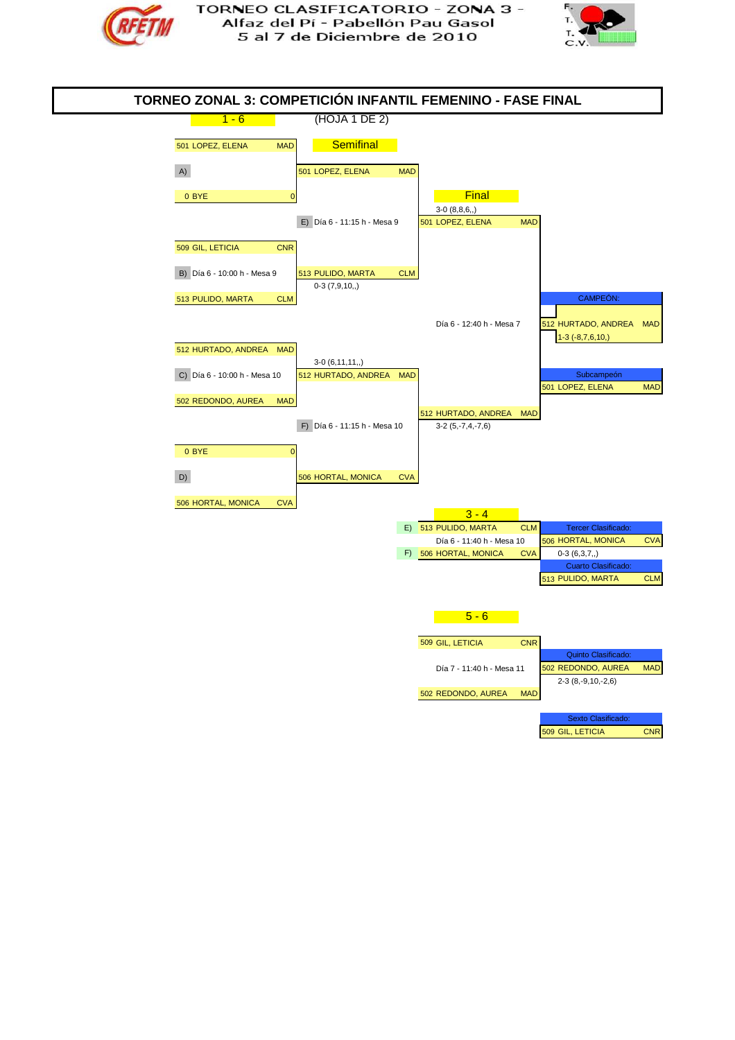



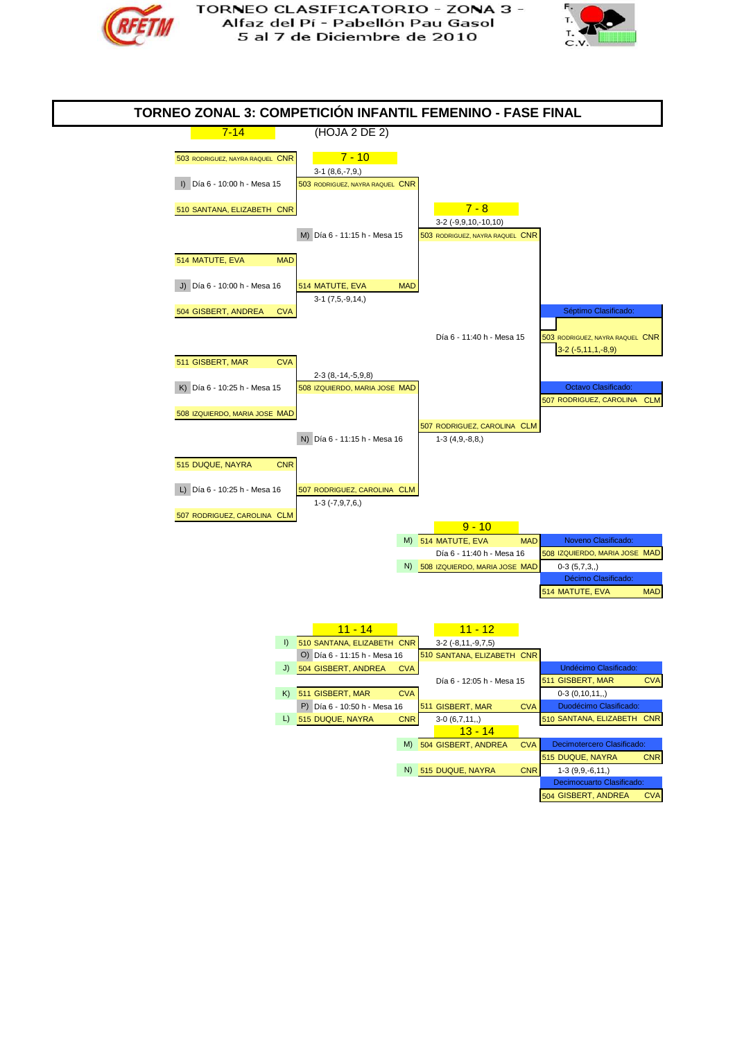



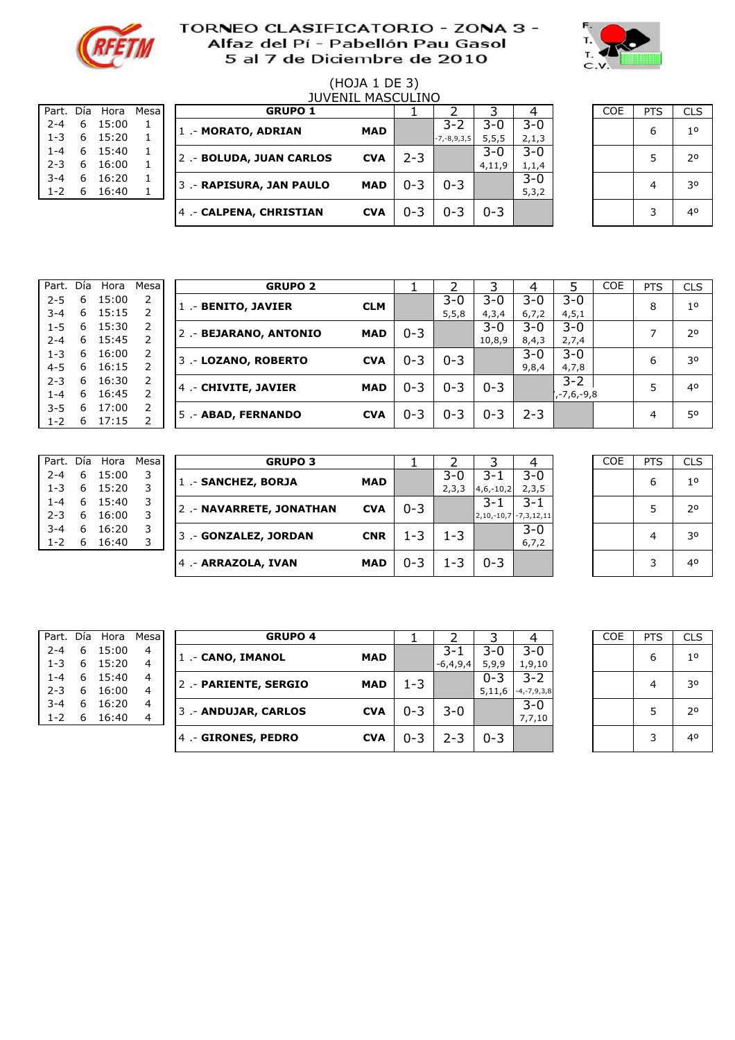



#### (HOJA 1 DE 3) 0:15 1 1 JUVENIL MASCULINO

| Part. Día |    | Hora  | Mesa |
|-----------|----|-------|------|
| $2 - 4$   | 6  | 15:00 | 1    |
| $1 - 3$   | 6. | 15:20 | 1    |
| 1-4       | 6  | 15:40 | 1    |
| $2 - 3$   | 6  | 16:00 | 1    |
| $3 - 4$   | 6  | 16:20 | 1    |
| $1 - 2$   | 6  | 16:40 | ı    |
|           |    |       |      |

|         |   |                |       |                          | JUVLIJIL MAJUULIIVU |         |                   |         |         |            |            |            |
|---------|---|----------------|-------|--------------------------|---------------------|---------|-------------------|---------|---------|------------|------------|------------|
|         |   | Part. Día Hora | Mesal | <b>GRUPO 1</b>           |                     |         |                   |         |         | <b>COE</b> | <b>PTS</b> | <b>CLS</b> |
| $2 - 4$ | 6 | 15:00          |       | 1 - MORATO, ADRIAN       | <b>MAD</b>          |         | $3 - 2$           | 3-0     | 3-0     |            | 6          | 10         |
| $1 - 3$ | 6 | 15:20          |       |                          |                     |         | $-7, -8, 9, 3, 5$ | 5, 5, 5 | 2,1,3   |            |            |            |
| $1 - 4$ | 6 | 15:40          |       | 2 .- BOLUDA, JUAN CARLOS | <b>CVA</b>          | $2 - 3$ |                   | $3 - 0$ | 3-0     |            |            | 20         |
| $2 - 3$ | 6 | 16:00          |       |                          |                     |         |                   | 4,11,9  | 1,1,4   |            |            |            |
| $3 - 4$ | 6 | 16:20          |       | 3 - RAPISURA, JAN PAULO  | <b>MAD</b>          | $0 - 3$ | $0 - 3$           |         | $3 - 0$ |            | 4          | 30         |
| $1 - 2$ | 6 | 16:40          |       |                          |                     |         |                   |         | 5,3,2   |            |            |            |
|         |   |                |       | 4 - CALPENA, CHRISTIAN   | <b>CVA</b>          | $0 - 3$ | $0 - 3$           | $0 - 3$ |         |            | ∍          | 40         |
|         |   |                |       |                          |                     |         |                   |         |         |            |            |            |

| <b>COE</b> | <b>PTS</b> | <b>CLS</b>  |
|------------|------------|-------------|
|            | 6          | $1^{\circ}$ |
|            | 5          | 20          |
|            | 4          | 30          |
|            | 3          | 40          |

| Part.   | Día | Hora  | Mesal          | <b>GRUPO 2</b>        |            |         |         |         |         |            | <b>COE</b> | <b>PTS</b> | <b>CLS</b>     |
|---------|-----|-------|----------------|-----------------------|------------|---------|---------|---------|---------|------------|------------|------------|----------------|
| $2 - 5$ | 6   | 15:00 | 2              | 1 - BENITO, JAVIER    | <b>CLM</b> |         | 3-0     | $3 - 0$ | 3-0     | $3-0$      |            | 8          | 1 <sup>0</sup> |
| $3 - 4$ | 6   | 15:15 |                |                       |            |         | 5, 5, 8 | 4,3,4   | 6,7,2   | 4, 5, 1    |            |            |                |
| $1 - 5$ | 6   | 15:30 | 2              | 2 - BEJARANO, ANTONIO | <b>MAD</b> | $0 - 3$ |         | $3 - 0$ | $3-0$   | $3-0$      |            | ⇁          | 20             |
| $2 - 4$ | 6   | 15:45 |                |                       |            |         |         | 10,8,9  | 8,4,3   | 2,7,4      |            |            |                |
| $1 - 3$ | 6   | 16:00 | $\overline{2}$ | 3 .- LOZANO, ROBERTO  | <b>CVA</b> | $0 - 3$ | $0 - 3$ |         | $3 - 0$ | 3-0        |            | 6          | 30             |
| $4 - 5$ | 6   | 16:15 |                |                       |            |         |         |         | 9,8,4   | 4,7,8      |            |            |                |
| $2 - 3$ | 6   | 16:30 | 2              | 4 - CHIVITE, JAVIER   | <b>MAD</b> | $0 - 3$ | $0 - 3$ | $0 - 3$ |         | $3 - 2$    |            | 5          | 40             |
| $1 - 4$ | 6   | 16:45 |                |                       |            |         |         |         |         | ,-7,6,-9,8 |            |            |                |
| $3 - 5$ | 6   | 17:00 | 2              | 5 .- ABAD, FERNANDO   | <b>CVA</b> | $0 - 3$ | $0 - 3$ | $0 - 3$ | $2 - 3$ |            |            | 4          | 50             |
| $1 - 2$ | 6   | 17:15 |                |                       |            |         |         |         |         |            |            |            |                |

| Part.   | Día | Hora  | Mesa |
|---------|-----|-------|------|
| $2 - 4$ | 6   | 15:00 | 3    |
| $1 - 3$ | 6   | 15:20 | 3    |
| 1-4     | 6   | 15:40 | 3    |
| $2 - 3$ | 6   | 16:00 | 3    |
| $3 - 4$ | 6   | 16:20 | 3    |
| $1 - 2$ | 6   | 16:40 | 3    |
|         |     |       |      |

| Part.   | Día | Hora  | <b>Mesa</b> | <b>GRUPO 3</b>           |            |         |       |                         |         | COE | <b>PTS</b> | <b>CLS</b>     |
|---------|-----|-------|-------------|--------------------------|------------|---------|-------|-------------------------|---------|-----|------------|----------------|
| $2 - 4$ | 6   | 15:00 |             | 1 - SANCHEZ, BORJA       | <b>MAD</b> |         | $3-0$ | 3-1                     | 3-0     |     | 6          | 1 <sup>0</sup> |
| $1 - 3$ | 6   | 15:20 |             |                          |            |         | 2,3,3 | $4,6,-10,2$             | 2,3,5   |     |            |                |
| $1 - 4$ | 6   | 15:40 | 3           | 2 .- NAVARRETE, JONATHAN | <b>CVA</b> | $0 - 3$ |       | 3-1                     | $3 - 1$ |     |            | 20             |
| $2 - 3$ | 6   | 16:00 |             |                          |            |         |       | $2,10,-10,7$ -7,3,12,11 |         |     |            |                |
| $3 - 4$ | 6   | 16:20 | 3           | 3 - GONZALEZ, JORDAN     | <b>CNR</b> | $1 - 3$ | 1-3   |                         | $3-0$   |     |            | 30             |
| $1 - 2$ | 6   | 16:40 |             |                          |            |         |       |                         | 6, 7, 2 |     |            |                |
|         |     |       |             | 4 - ARRAZOLA, IVAN       | <b>MAD</b> | $0 - 3$ | 1-3   | $0 - 3$                 |         |     |            | 40             |
|         |     |       |             |                          |            |         |       |                         |         |     |            |                |

| <b>COE</b> | PTS | <b>CLS</b>     |
|------------|-----|----------------|
|            | 6   | 1 <sup>0</sup> |
|            | 5   | $2^{\circ}$    |
|            | 4   | 30             |
|            | 3   | 40             |

| Part.   | Día | Hora  | Mesal | <b>GRUPO 4</b>       |            |         |            |         |                   | <b>COE</b> | <b>PTS</b> | <b>CLS</b>  |
|---------|-----|-------|-------|----------------------|------------|---------|------------|---------|-------------------|------------|------------|-------------|
| $2 - 4$ | 6   | 15:00 | 4     | 1 .- CANO, IMANOL    | <b>MAD</b> |         | 3-1        | $3-0$   | 3-0               |            | 6          | $1^{\circ}$ |
| $1 - 3$ | -6  | 15:20 | 4     |                      |            |         | $-6,4,9,4$ | 5,9,9   | 1,9,10            |            |            |             |
| $1 - 4$ | 6   | 15:40 | 4     | 2 - PARIENTE, SERGIO | <b>MAD</b> | $1 - 3$ |            | $0 - 3$ | 3-2               |            |            | 30          |
| $2 - 3$ | 6   | 16:00 | 4     |                      |            |         |            | 5,11,6  | $-4, -7, 9, 3, 8$ |            |            |             |
| $3 - 4$ | 6   | 16:20 | 4     | 3 - ANDUJAR, CARLOS  | <b>CVA</b> | $0 - 3$ | 3-0        |         | $3 - 0$           |            |            | 20          |
| $1 - 2$ | 6   | 16:40 | 4     |                      |            |         |            |         | 7,7,10            |            |            |             |
|         |     |       |       | 4 - GIRONES, PEDRO   | <b>CVA</b> | $0 - 3$ | 2-3        | $0 - 3$ |                   |            |            | 40          |

| ía Hora | Mesa | <b>GRUPO 4</b>       |            |         |            |         |                   | <b>COE</b> | <b>PTS</b> | <b>CLS</b>  |
|---------|------|----------------------|------------|---------|------------|---------|-------------------|------------|------------|-------------|
| 15:00   | 4    | 1 .- CANO, IMANOL    | <b>MAD</b> |         | $3 - 1$    | 3-0     | $3 - 0$           |            | 6          | $1^{\circ}$ |
| 15:20   | 4    |                      |            |         | $-6,4,9,4$ | 5,9,9   | 1,9,10            |            |            |             |
| 15:40   | 4    | 2 - PARIENTE, SERGIO | <b>MAD</b> | $1 - 3$ |            | $0 - 3$ | $3 - 2$           |            | 4          | 30          |
| 16:00   | 4    |                      |            |         |            | 5,11,6  | $-4, -7, 9, 3, 8$ |            |            |             |
| 16:20   | 4    | 3.- ANDUJAR, CARLOS  | <b>CVA</b> | $0 - 3$ | 3-0        |         | $3 - 0$           |            |            | 20          |
| 16:40   | 4    |                      |            |         |            |         | 7,7,10            |            |            |             |
|         |      | 4 .- GIRONES, PEDRO  | <b>CVA</b> | $0 - 3$ | $2 - 3$    | $0 - 3$ |                   |            | 3          | 40          |
|         |      |                      |            |         |            |         |                   |            |            |             |
|         |      |                      |            |         |            |         |                   |            |            |             |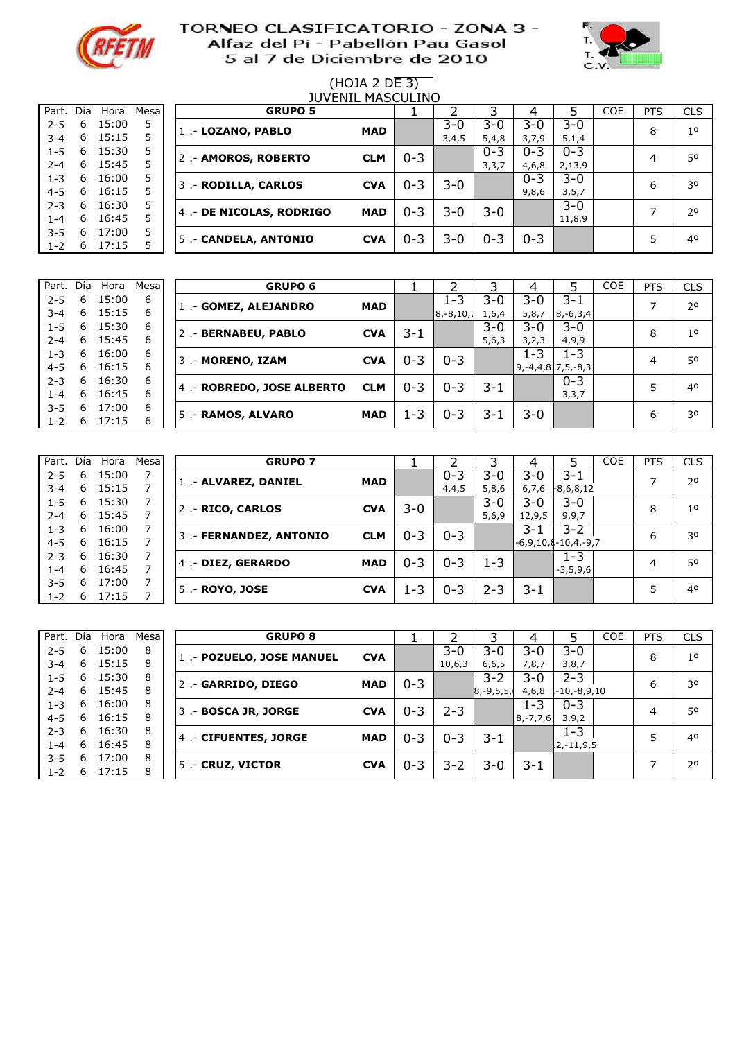



# (HOJA 2 DE 3)

|         |     |       |       |                      |                         | <b>JUVENIL MASCULINO</b> |         |         |         |         |         |            |            |                |
|---------|-----|-------|-------|----------------------|-------------------------|--------------------------|---------|---------|---------|---------|---------|------------|------------|----------------|
| Part.   | Día | Hora  | Mesal |                      | <b>GRUPO 5</b>          |                          |         |         |         |         |         | <b>COE</b> | <b>PTS</b> | <b>CLS</b>     |
| $2 - 5$ | 6   | 15:00 | 5.    | 1 .- LOZANO, PABLO   |                         | <b>MAD</b>               |         | $3 - 0$ | 3-0     | $3 - 0$ | 3-0     |            | 8          | 1 <sup>0</sup> |
| $3 - 4$ | 6   | 15:15 |       |                      |                         |                          |         | 3,4,5   | 5,4,8   | 3,7,9   | 5,1,4   |            |            |                |
| $1 - 5$ | 6   | 15:30 | 5     | 2 .- AMOROS, ROBERTO |                         | <b>CLM</b>               | $0 - 3$ |         | $0 - 3$ | $0 - 3$ | $0 - 3$ |            | 4          | 50             |
| $2 - 4$ | 6   | 15:45 |       |                      |                         |                          |         |         | 3,3,7   | 4,6,8   | 2,13,9  |            |            |                |
| $1 - 3$ | 6   | 16:00 | 5     | 3 .- RODILLA, CARLOS |                         | <b>CVA</b>               | $0 - 3$ | 3-0     |         | $0 - 3$ | 3-0     |            | 6          | 30             |
| $4 - 5$ | 6   | 16:15 |       |                      |                         |                          |         |         |         | 9,8,6   | 3, 5, 7 |            |            |                |
| $2 - 3$ | 6   | 16:30 | 5     |                      | 4 - DE NICOLAS, RODRIGO | <b>MAD</b>               | $0 - 3$ | 3-0     | 3-0     |         | $3-0$   |            |            | 20             |
| 1-4     | 6   | 16:45 | 5     |                      |                         |                          |         |         |         |         | 11,8,9  |            |            |                |
| $3 - 5$ | 6   | 17:00 | 5     | 5 - CANDELA, ANTONIO |                         | <b>CVA</b>               | $0 - 3$ | $3-0$   | $0 - 3$ | $0 - 3$ |         |            | 5          | 40             |
| $1 - 2$ | 6   | 17:15 |       |                      |                         |                          |         |         |         |         |         |            |            |                |

|                    |        | Part. Día Hora | Mesa   | <b>GRUPO 6</b>             |            |         |                         |              | 4                |                                        | <b>COE</b> | <b>PTS</b> | <b>CLS</b>     |
|--------------------|--------|----------------|--------|----------------------------|------------|---------|-------------------------|--------------|------------------|----------------------------------------|------------|------------|----------------|
| $2 - 5$<br>$3 - 4$ | 6<br>6 | 15:00<br>15:15 | 6<br>6 | 1 - GOMEZ, ALEJANDRO       | <b>MAD</b> |         | $1 - 3$<br>$ 8,-8,10,1$ | 3-0<br>1,6,4 | $3 - 0$<br>5,8,7 | $3 - 1$<br>$8, -6, 3, 4$               |            |            | 20             |
| $1 - 5$<br>$2 - 4$ | 6<br>6 | 15:30<br>15:45 | 6<br>6 | 2.- BERNABEU, PABLO        | <b>CVA</b> | 3-1     |                         | 3-0<br>5,6,3 | 3-0<br>3,2,3     | $3 - 0$<br>4,9,9                       |            | 8          | 1 <sup>0</sup> |
| $1 - 3$<br>$4 - 5$ | 6<br>6 | 16:00<br>16:15 | 6<br>6 | 3 .- MORENO, IZAM          | <b>CVA</b> | $0 - 3$ | $0 - 3$                 |              | $1 - 3$          | $1 - 3$<br>$9, -4, 4, 8$ 7, 5, $-8, 3$ |            | 4          | 50             |
| $2 - 3$<br>1-4     | 6<br>6 | 16:30<br>16:45 | 6<br>6 | 4 .- ROBREDO, JOSE ALBERTO | <b>CLM</b> | $0 - 3$ | $0 - 3$                 | $3 - 1$      |                  | $0 - 3$<br>3,3,7                       |            |            | 40             |
| $3 - 5$<br>$1 - 2$ | 6<br>6 | 17:00<br>17:15 | 6<br>6 | 5 .- RAMOS, ALVARO         | <b>MAD</b> | 1-3     | $0 - 3$                 | 3-1          | $3 - 0$          |                                        |            | 6          | 30             |

| Part.   | Día | Hora  | Mesal | <b>GRUPO 7</b>          |            |         |         |         | 4      |                            | <b>COE</b> | <b>PTS</b> | <b>CLS</b>     |
|---------|-----|-------|-------|-------------------------|------------|---------|---------|---------|--------|----------------------------|------------|------------|----------------|
| $2 - 5$ | 6   | 15:00 |       | 1 - ALVAREZ, DANIEL     | <b>MAD</b> |         | $0 - 3$ | $3 - 0$ | 3-0    | $3 - 1$                    |            |            | 2 <sup>o</sup> |
| $3 - 4$ | 6   | 15:15 |       |                         |            |         | 4,4,5   | 5,8,6   | 6,7,6  | $-8,6,8,12$                |            |            |                |
| $1 - 5$ | 6   | 15:30 |       | 2 - RICO, CARLOS        | <b>CVA</b> | 3-0     |         | $3-0$   | 3-0    | $3 - 0$                    |            | 8          | 1 <sup>0</sup> |
| $2 - 4$ | 6   | 15:45 |       |                         |            |         |         | 5,6,9   | 12,9,5 | 9,9,7                      |            |            |                |
| $1 - 3$ | 6   | 16:00 |       | 3 .- FERNANDEZ, ANTONIO | <b>CLM</b> | $0 - 3$ | $0 - 3$ |         | 3-1    | $3 - 2$                    |            | 6          | 30             |
| $4 - 5$ | 6   | 16:15 |       |                         |            |         |         |         |        | $-6,9,10$ , $\{-10,4,-9,7$ |            |            |                |
| $2 - 3$ | 6   | 16:30 |       | 4 .- DIEZ, GERARDO      | <b>MAD</b> | $0 - 3$ | $0 - 3$ | $1 - 3$ |        | $1 - 3$                    |            | 4          | 50             |
| 1-4     | 6   | 16:45 |       |                         |            |         |         |         |        | $-3,5,9,6$                 |            |            |                |
| $3 - 5$ | 6   | 17:00 |       |                         | <b>CVA</b> |         |         |         |        |                            |            |            | 40             |
| $1 - 2$ | 6   | 17:15 |       | 5 .- ROYO, JOSE         |            | 1-3     | $0 - 3$ | $2 - 3$ | 3-1    |                            |            |            |                |

| Part. Día |   | Hora  | Mesa | <b>GRUPO 8</b>           |            |         |         |              | 4             |             | <b>COE</b> | <b>PTS</b> | <b>CLS</b> |
|-----------|---|-------|------|--------------------------|------------|---------|---------|--------------|---------------|-------------|------------|------------|------------|
| $2 - 5$   | 6 | 15:00 | 8    | 1 - POZUELO, JOSE MANUEL | <b>CVA</b> |         | $3 - 0$ | $3-0$        | $3 - 0$       | $3 - 0$     |            | 8          | 10         |
| $3 - 4$   | 6 | 15:15 | 8    |                          |            |         | 10,6,3  | 6, 6, 5      | 7,8,7         | 3,8,7       |            |            |            |
| $1 - 5$   | 6 | 15:30 | 8    | 2 - GARRIDO, DIEGO       | <b>MAD</b> | $0 - 3$ |         | $3 - 2$      | 3-0           | $2 - 3$     |            | 6          | 30         |
| $2 - 4$   | 6 | 15:45 | 8    |                          |            |         |         | $ 8,-9,5,5,$ | 4,6,8         | -10,-8,9,10 |            |            |            |
| $1 - 3$   | 6 | 16:00 | 8    |                          | <b>CVA</b> | $0 - 3$ | $2 - 3$ |              | 1-3           | $0 - 3$     |            | 4          | 50         |
| $4 - 5$   | 6 | 16:15 | 8    | 3 .- BOSCA JR, JORGE     |            |         |         |              | $8, -7, 7, 6$ | 3,9,2       |            |            |            |
| $2 - 3$   | 6 | 16:30 | 8    |                          |            |         |         |              |               | $1 - 3$     |            |            | 40         |
| $1 - 4$   | 6 | 16:45 | 8    | 4 - CIFUENTES, JORGE     | <b>MAD</b> | $0 - 3$ | $0 - 3$ | 3-1          |               | 12,-11,9,5  |            |            |            |
| $3 - 5$   | 6 | 17:00 | 8    |                          |            |         |         |              |               |             |            |            | 20         |
| $1 - 2$   | 6 | 17:15 | 8    | 5 .- CRUZ, VICTOR        | <b>CVA</b> | $0 - 3$ | $3 - 2$ | $3 - 0$      | 3-1           |             |            |            |            |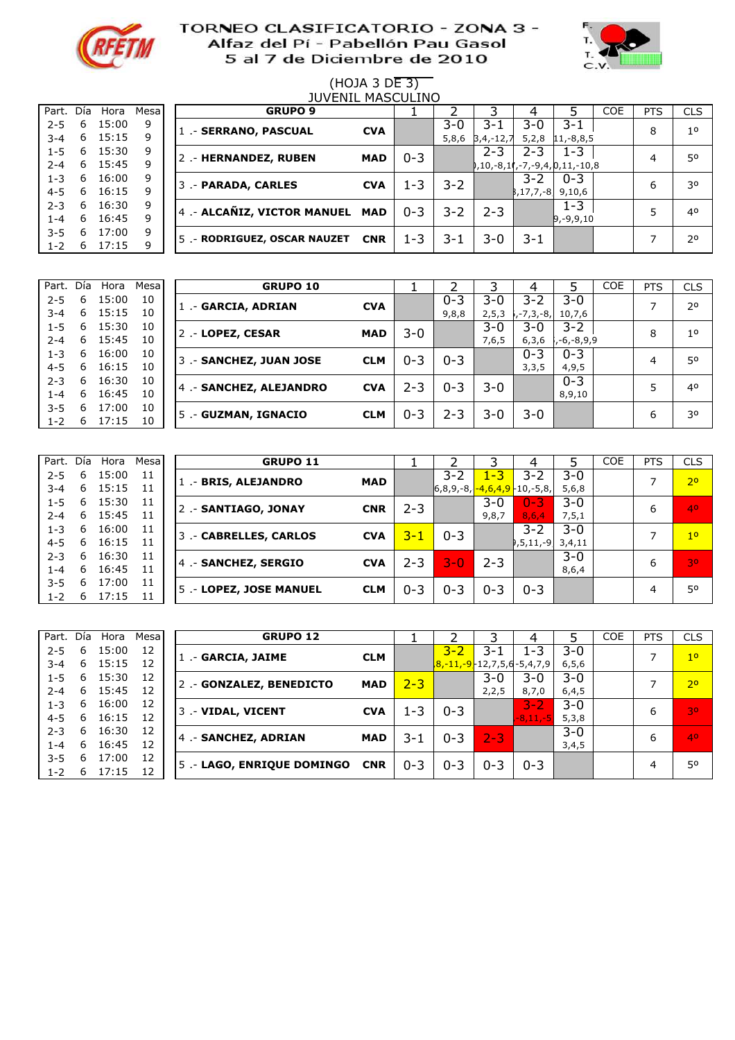



# (HOJA 3 DE 3)

| <b>JUVENIL MASCULINO</b> |    |       |       |  |                                |            |         |       |           |                  |                               |            |            |                |
|--------------------------|----|-------|-------|--|--------------------------------|------------|---------|-------|-----------|------------------|-------------------------------|------------|------------|----------------|
| Part. Día                |    | Hora  | Mesal |  | <b>GRUPO 9</b>                 |            |         |       |           | 4                |                               | <b>COE</b> | <b>PTS</b> | <b>CLS</b>     |
| $2 - 5$                  | 6  | 15:00 | 9     |  | 1 - SERRANO, PASCUAL           | <b>CVA</b> |         | 3-0   | $3 - 1$   | $3 - 0$          | $3 - 1$                       |            | 8          | 1 <sup>0</sup> |
| $3 - 4$                  | 6  | 15:15 | 9     |  |                                |            |         | 5,8,6 | 3,4,-12,7 | 5,2,8            | $11,-8,8,5$                   |            |            |                |
| $1 - 5$                  | 6  | 15:30 | 9     |  | 2 .- HERNANDEZ, RUBEN          | <b>MAD</b> | $0 - 3$ |       | $2 - 3$   | 2-3              | $1 - 3$                       |            | 4          | 50             |
| $2 - 4$                  | 6  | 15:45 | 9     |  |                                |            |         |       |           |                  | 0,10,-8,11,-7,-9,4,0,11,-10,8 |            |            |                |
| $1 - 3$                  | 6. | 16:00 | 9     |  | 3 .- PARADA, CARLES            | <b>CVA</b> | $1 - 3$ | 3-2   |           | $3 - 2$          | $0 - 3$                       |            | 6          | 30             |
| $4 - 5$                  | 6  | 16:15 | 9     |  |                                |            |         |       |           | $ 3, 17, 7, -8 $ | 9,10,6                        |            |            |                |
| $2 - 3$                  | 6  | 16:30 | 9     |  | 4 - ALCAÑIZ, VICTOR MANUEL MAD |            | $0 - 3$ | 3-2   | $2 - 3$   |                  | $1 - 3$                       |            |            | 40             |
| $1 - 4$                  | 6  | 16:45 | 9     |  |                                |            |         |       |           |                  | $ 9, -9, 9, 10$               |            |            |                |
| $3 - 5$                  | 6  | 17:00 | 9     |  |                                |            | $1 - 3$ |       | $3 - 0$   | 3-1              |                               |            |            | 20             |
| $1 - 2$                  | 6  | 17:15 | 9     |  | 5 - RODRIGUEZ, OSCAR NAUZET    | <b>CNR</b> |         | 3-1   |           |                  |                               |            |            |                |

| Part.   | Día | Hora  | Mesa | <b>GRUPO 10</b>         |            |         |         |         |           |                   | <b>COE</b> | <b>PTS</b> | <b>CLS</b>     |
|---------|-----|-------|------|-------------------------|------------|---------|---------|---------|-----------|-------------------|------------|------------|----------------|
| $2 - 5$ | 6   | 15:00 | 10   | 1 .- GARCIA, ADRIAN     | <b>CVA</b> |         | $0 - 3$ | 3-0     | 3-2       | $3 - 0$           |            |            | 2 <sup>0</sup> |
| $3 - 4$ | 6   | 15:15 | 10   |                         |            |         | 9,8,8   | 2, 5, 3 | ,-7,3,-8, | 10,7,6            |            |            |                |
| $1 - 5$ | 6   | 15:30 | 10   | 2 - LOPEZ, CESAR        | <b>MAD</b> | $3 - 0$ |         | $3-0$   | 3-0       | $3 - 2$           |            | 8          | 1 <sup>0</sup> |
| $2 - 4$ | 6   | 15:45 | 10   |                         |            |         |         | 7,6,5   | 6, 3, 6   | 5, -6, -8, 9, 9-, |            |            |                |
| $1 - 3$ | 6   | 16:00 | 10   | 3 .- SANCHEZ, JUAN JOSE | <b>CLM</b> | $0 - 3$ | $0 - 3$ |         | $0 - 3$   | $0 - 3$           |            | 4          | 50             |
| $4 - 5$ | 6   | 16:15 | 10   |                         |            |         |         |         | 3,3,5     | 4,9,5             |            |            |                |
| $2 - 3$ | 6.  | 16:30 | 10   | 4 - SANCHEZ, ALEJANDRO  | <b>CVA</b> | $2 - 3$ | $0 - 3$ | 3-0     |           | $0 - 3$           |            |            | 40             |
| L-4     | 6   | 16:45 | 10   |                         |            |         |         |         |           | 8,9,10            |            |            |                |
| $3 - 5$ | 6   | 17:00 | 10   |                         | <b>CLM</b> | $0 - 3$ | $2 - 3$ | 3-0     | 3-0       |                   |            | 6          | 30             |
| $1 - 2$ | 6   | 17:15 | 10   | 5 .- GUZMAN, IGNACIO    |            |         |         |         |           |                   |            |            |                |

| Part.   | Día. | Hora  | Mesa | <b>GRUPO 11</b>             |            |         |                                 |         | 4                  |         | <b>COE</b> | <b>PTS</b> | <b>CLS</b>     |
|---------|------|-------|------|-----------------------------|------------|---------|---------------------------------|---------|--------------------|---------|------------|------------|----------------|
| $2 - 5$ | 6    | 15:00 | 11   | 1 - BRIS, ALEJANDRO         | <b>MAD</b> |         | $3 - 2$                         | $1 - 3$ | $3 - 2$            | 3-0     |            | ⇁          | 2 <sup>o</sup> |
| $3 - 4$ | 6    | 15:15 | -11  |                             |            |         | $ 6,8,9,-8, -4,6,4,9 -10,-5,8,$ |         |                    | 5,6,8   |            |            |                |
| $1 - 5$ | 6    | 15:30 | 11   | 2 .- <b>SANTIAGO, JONAY</b> | <b>CNR</b> | $2 - 3$ |                                 | 3-0     | $0 - 3$            | $3 - 0$ |            | 6          | 40             |
| $2 - 4$ | 6    | 15:45 | 11   |                             |            |         |                                 | 9,8,7   | 8,6,4              | 7, 5, 1 |            |            |                |
| $1 - 3$ | 6    | 16:00 | 11   | 3 - CABRELLES, CARLOS       | <b>CVA</b> | $3 - 1$ | $0 - 3$                         |         | $3 - 2$            | $3 - 0$ |            |            | 1 <sup>0</sup> |
| $4 - 5$ | 6    | 16:15 | -11  |                             |            |         |                                 |         | $9,5,11,-9$ 3,4,11 |         |            |            |                |
| $2 - 3$ | 6    | 16:30 | 11   | 4 .- SANCHEZ, SERGIO        | <b>CVA</b> | $2 - 3$ | $3 - 0$                         | $2 - 3$ |                    | $3 - 0$ |            | 6          | 30             |
| $1 - 4$ | 6    | 16:45 | 11   |                             |            |         |                                 |         |                    | 8,6,4   |            |            |                |
| $3 - 5$ | 6    | 17:00 | 11   |                             |            |         |                                 |         |                    |         |            |            | 50             |
| $1 - 2$ | 6    | 17:15 | 11   | 5 - LOPEZ, JOSE MANUEL      | <b>CLM</b> | $0 - 3$ | $0 - 3$                         | $0 - 3$ | $0 - 3$            |         |            | 4          |                |

| Part. Día |   | Hora  | Mesa | <b>GRUPO 12</b>           |            |         |                                |         | 4            |         | <b>COE</b> | <b>PTS</b> | <b>CLS</b>     |
|-----------|---|-------|------|---------------------------|------------|---------|--------------------------------|---------|--------------|---------|------------|------------|----------------|
| $2 - 5$   | 6 | 15:00 | 12   | 1 - GARCIA, JAIME         | <b>CLM</b> |         | $3 - 2$                        | $3 - 1$ | $1 - 3$      | $3 - 0$ |            |            | 1 <sup>0</sup> |
| $3 - 4$   | 6 | 15:15 | 12   |                           |            |         | $8, -11, -9$ -12,7,5,6-5,4,7,9 |         |              | 6, 5, 6 |            |            |                |
| $1 - 5$   | 6 | 15:30 | 12   | 2 - GONZALEZ, BENEDICTO   | <b>MAD</b> | $2 - 3$ |                                | $3 - 0$ | $3 - 0$      | $3 - 0$ |            |            | 2 <sup>o</sup> |
| 2-4       | 6 | 15:45 | 12   |                           |            |         |                                | 2, 2, 5 | 8,7,0        | 6,4,5   |            |            |                |
| $1 - 3$   | 6 | 16:00 | 12   | 3 .- VIDAL, VICENT        | <b>CVA</b> | $1 - 3$ | $0 - 3$                        |         | $3 - 2$      | $3 - 0$ |            | 6          | 30             |
| $4 - 5$   | 6 | 16:15 | 12   |                           |            |         |                                |         | $-8, 11, -5$ | 5,3,8   |            |            |                |
| $2 - 3$   | 6 | 16:30 | 12   | 4 - SANCHEZ, ADRIAN       | <b>MAD</b> | 3-1     | $0 - 3$                        | $2 - 3$ |              | $3 - 0$ |            | 6          | 40             |
| l -4      | 6 | 16:45 | 12   |                           |            |         |                                |         |              | 3,4,5   |            |            |                |
| $3 - 5$   | 6 | 17:00 | 12   | 5 - LAGO, ENRIQUE DOMINGO | <b>CNR</b> | $0 - 3$ | $0 - 3$                        | $0 - 3$ | $0 - 3$      |         |            | 4          | 50             |
| $1 - 2$   | 6 | 17:15 | 12   |                           |            |         |                                |         |              |         |            |            |                |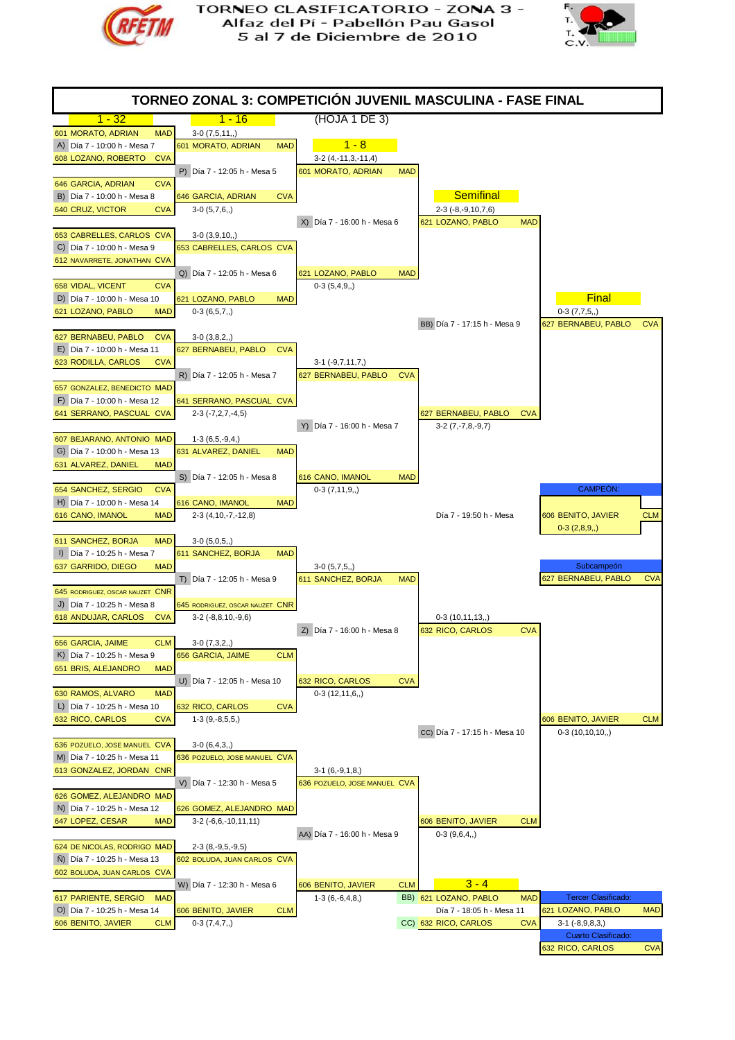



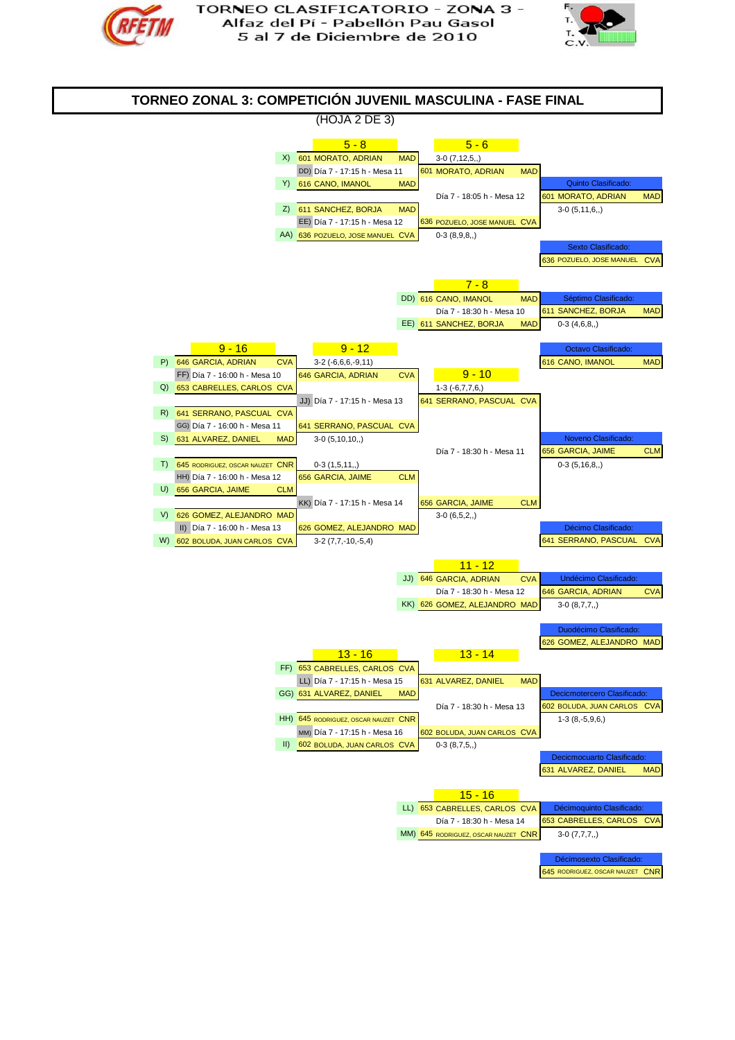



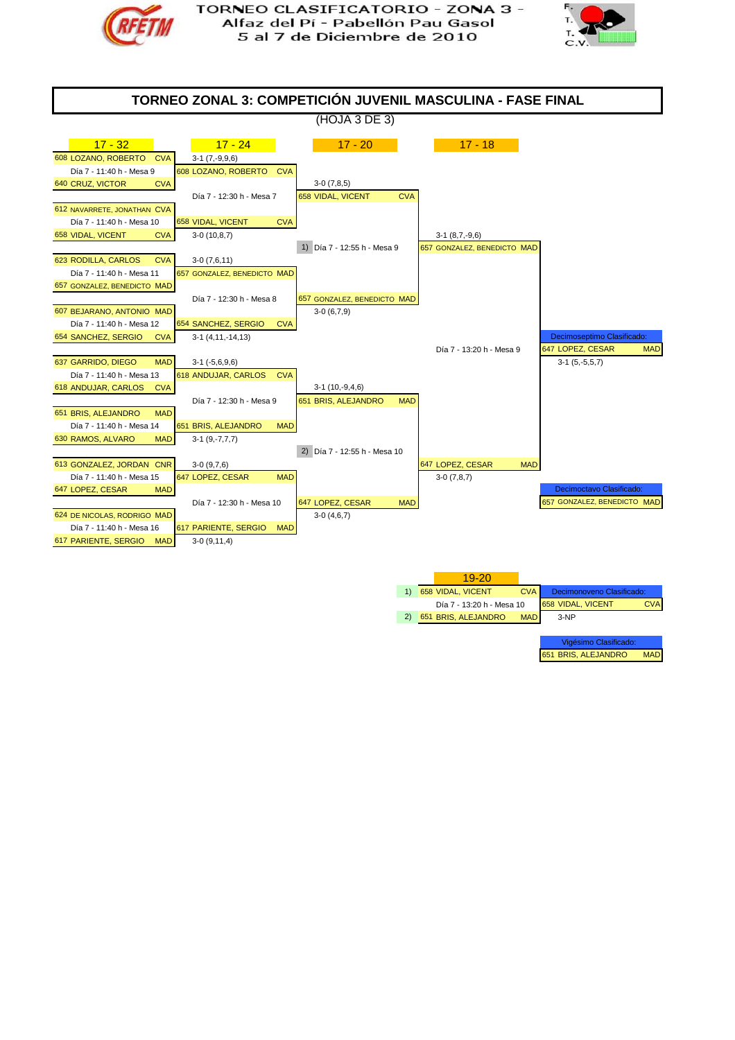



Vigésimo Clasifi 651 BRIS, ALEJANDRO MAD

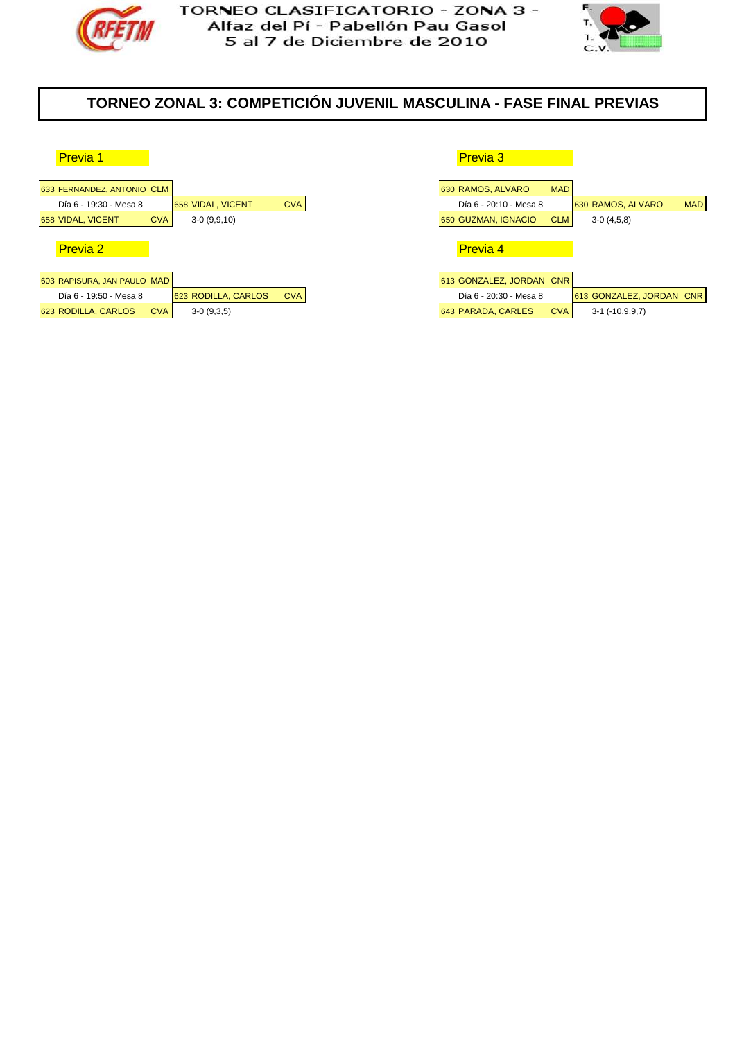



# **TORNEO ZONAL 3: COMPETICIÓN JUVENIL MASCULINA - FASE FINAL PREVIAS**

| 633 FERNANDEZ, ANTONIO CLM        |                     |            | 630 RAMOS, ALVARO        | <b>MAD</b> |
|-----------------------------------|---------------------|------------|--------------------------|------------|
| Día 6 - 19:30 - Mesa 8            | 658 VIDAL, VICENT   | <b>CVA</b> | Día 6 - 20:10 - Mesa 8   |            |
| <b>CVA</b><br>658 VIDAL, VICENT   | $3-0(9,9,10)$       |            | 650 GUZMAN, IGNACIO      | <b>CLM</b> |
|                                   |                     |            |                          |            |
| <b>Previa 2</b>                   |                     |            | <b>Previa 4</b>          |            |
|                                   |                     |            |                          |            |
| 603 RAPISURA, JAN PAULO MAD       |                     |            | 613 GONZALEZ, JORDAN CNR |            |
| Día 6 - 19:50 - Mesa 8            | 623 RODILLA, CARLOS | <b>CVA</b> | Día 6 - 20:30 - Mesa 8   |            |
| 623 RODILLA, CARLOS<br><b>CVA</b> | $3-0(9,3,5)$        |            | 643 PARADA, CARLES       | <b>CVA</b> |
|                                   |                     |            |                          |            |

| <b>Previa 1</b>         |            |                     |            | <b>Previa 3</b>          |            |                          |            |
|-------------------------|------------|---------------------|------------|--------------------------|------------|--------------------------|------------|
|                         |            |                     |            |                          |            |                          |            |
| FERNANDEZ, ANTONIO CLM  |            |                     |            | 630 RAMOS, ALVARO        | <b>MAD</b> |                          |            |
| Día 6 - 19:30 - Mesa 8  |            | 658 VIDAL, VICENT   | <b>CVA</b> | Día 6 - 20:10 - Mesa 8   |            | 630 RAMOS, ALVARO        | <b>MAD</b> |
| <b>VIDAL, VICENT</b>    | <b>CVA</b> | $3-0(9,9,10)$       |            | 650 GUZMAN, IGNACIO      | <b>CLM</b> | $3-0(4,5,8)$             |            |
|                         |            |                     |            |                          |            |                          |            |
| <b>Previa 2</b>         |            |                     |            | <b>Previa 4</b>          |            |                          |            |
|                         |            |                     |            |                          |            |                          |            |
| RAPISURA, JAN PAULO MAD |            |                     |            | 613 GONZALEZ, JORDAN CNR |            |                          |            |
| Día 6 - 19:50 - Mesa 8  |            | 623 RODILLA, CARLOS | <b>CVA</b> | Día 6 - 20:30 - Mesa 8   |            | 613 GONZALEZ, JORDAN CNR |            |
| RODILLA, CARLOS         | <b>CVA</b> | $3-0(9,3,5)$        |            | 643 PARADA, CARLES       | <b>CVA</b> | $3-1$ ( $-10,9,9,7$ )    |            |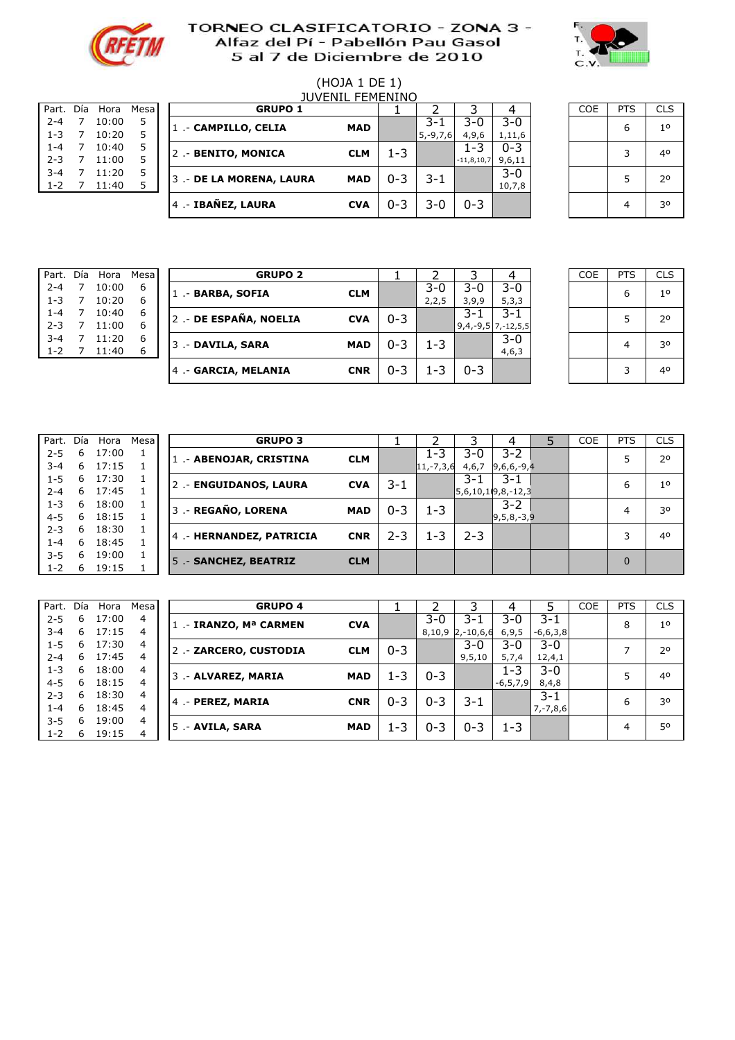



# (HOJA 1 DE 1)

| Part.   | Día | Hora  | Mesa |
|---------|-----|-------|------|
| $2 - 4$ | 7   | 10:00 | 5    |
| $1 - 3$ | 7   | 10:20 | 5    |
| $1 - 4$ | 7   | 10:40 | 5    |
| $2 - 3$ | 7   | 11:00 | 5    |
| $3 - 4$ | 7   | 11:20 | 5    |
| $1 - 2$ |     | 11:40 | 5    |
|         |     |       |      |

|           | <b>IUVENIL FEMENINO</b> |       |             |  |                          |            |         |               |              |         |  |            |            |                |
|-----------|-------------------------|-------|-------------|--|--------------------------|------------|---------|---------------|--------------|---------|--|------------|------------|----------------|
| Part. Día |                         | Hora  | <b>Mesa</b> |  | <b>GRUPO 1</b>           |            |         |               |              |         |  | <b>COE</b> | <b>PTS</b> | <b>CLS</b>     |
| $2 - 4$   |                         | 10:00 |             |  | 1 .- CAMPILLO, CELIA     | <b>MAD</b> |         | 3-1           | $3-0$        | $3 - 0$ |  |            | 6          | 1 <sup>0</sup> |
| $1 - 3$   |                         | 10:20 |             |  |                          |            |         | $5, -9, 7, 6$ | 4,9,6        | 1,11,6  |  |            |            |                |
| $1 - 4$   |                         | 10:40 | 5           |  | 2 .- BENITO, MONICA      | <b>CLM</b> | 1-3     |               | $1 - 3$      | $0 - 3$ |  |            |            | 40             |
| $2 - 3$   |                         | 11:00 |             |  |                          |            |         |               | $-11,8,10,7$ | 9,6,11  |  |            |            |                |
| $3 - 4$   |                         | 11:20 | 5           |  | 3 .- DE LA MORENA, LAURA | <b>MAD</b> | $0 - 3$ | $3 - 1$       |              | $3 - 0$ |  |            |            | 20             |
| $1 - 2$   |                         | 11:40 |             |  |                          |            |         |               |              | 10,7,8  |  |            |            |                |
|           |                         |       |             |  | 4 .- IBAÑEZ, LAURA       | <b>CVA</b> | $0 - 3$ | 3-0           | $0 - 3$      |         |  |            |            | 30             |
|           |                         |       |             |  |                          |            |         |               |              |         |  |            |            |                |

7 0,53 5 5 .- #N/A #N/A 0

| <b>COE</b> | <b>PTS</b> | <b>CLS</b>     |
|------------|------------|----------------|
|            | 6          | 1 <sup>o</sup> |
|            | 3          | 40             |
|            | 5          | 2 <sup>o</sup> |
|            | 4          | 30             |

| Part.   |   | Día Hora | Mesa |
|---------|---|----------|------|
| $2 - 4$ | 7 | 10:00    | 6    |
| $1 - 3$ | 7 | 10:20    | 6    |
| $1 - 4$ | 7 | 10:40    | 6    |
| $2 - 3$ | 7 | 11:00    | 6    |
| $3 - 4$ | 7 | 11:20    | 6    |
| $1 - 2$ |   | 11:40    | հ    |

| Part.   | Día | Hora  | Mesa | <b>GRUPO 2</b>        |            |         |       |                      |         | <b>COE</b> | <b>PTS</b> | <b>CLS</b>     |
|---------|-----|-------|------|-----------------------|------------|---------|-------|----------------------|---------|------------|------------|----------------|
| $2 - 4$ | 7   | 10:00 | 6    | 1 .- BARBA, SOFIA     | <b>CLM</b> |         | $3-0$ | $3 - 0$              | $3 - 0$ |            | 6          | 1 <sup>0</sup> |
| $1 - 3$ | 7   | 10:20 | 6    |                       |            |         | 2,2,5 | 3,9,9                | 5, 3, 3 |            |            |                |
| $1 - 4$ | 7   | 10:40 | 6    | 2.- DE ESPAÑA, NOELIA | <b>CVA</b> | $0 - 3$ |       | 3-1                  | $3 - 1$ |            |            | 2 <sup>0</sup> |
| $2 - 3$ |     | 11:00 | 6    |                       |            |         |       | $9,4,-9,5$ 7,-12,5,5 |         |            |            |                |
| $3 - 4$ |     | 11:20 | 6    | 3 .- DAVILA, SARA     | MAD        | $0 - 3$ | 1-3   |                      | $3 - 0$ |            | 4          | 30             |
| $1 - 2$ |     | 11:40 | 6    |                       |            |         |       |                      | 4,6,3   |            |            |                |
|         |     |       |      | 4 .- GARCIA, MELANIA  | <b>CNR</b> | $0 - 3$ | -3    | $0 - 3$              |         |            | 3          | 40             |
|         |     |       |      |                       |            |         |       |                      |         |            |            |                |

| <b>COE</b> | <b>PTS</b> | <b>CLS</b>     |
|------------|------------|----------------|
|            | 6          | 1 <sup>o</sup> |
|            | 5          | 20             |
|            | 4          | 30             |
|            | 3          | 40             |

| Part.   | Día | Hora  | Mesa |
|---------|-----|-------|------|
| $2 - 5$ | 6   | 17:00 | 1    |
| $3 - 4$ | 6   | 17:15 | 1    |
| $1 - 5$ | 6   | 17:30 | 1    |
| $2 - 4$ | 6   | 17:45 | 1    |
| $1 - 3$ | 6   | 18:00 | 1    |
| $4 - 5$ | 6   | 18:15 | 1    |
| $2 - 3$ | 6   | 18:30 | 1    |
| $1 - 4$ | 6   | 18:45 | 1    |
| $3 - 5$ | 6   | 19:00 | 1    |
| $1 - 2$ | 6   | 19:15 | 1    |
|         |     |       |      |

| Part.   | Día | Hora  | Mesa l |                         | <b>GRUPO 3</b> |            |         |               |         |                     | <b>COE</b> | <b>PTS</b>     | <b>CLS</b>     |
|---------|-----|-------|--------|-------------------------|----------------|------------|---------|---------------|---------|---------------------|------------|----------------|----------------|
| $2 - 5$ | 6   | 17:00 |        | 1 .- ABENOJAR, CRISTINA |                | <b>CLM</b> |         | 1-3           | $3-0$   | $3 - 2$             |            |                | 2 <sup>o</sup> |
| $3 - 4$ | 6   | 17:15 |        |                         |                |            |         | $ 11,-7,3,6 $ | 4,6,7   | $9,6,6,-9,4$        |            |                |                |
| $1 - 5$ | 6   | 17:30 |        | 2 .- ENGUIDANOS, LAURA  |                | <b>CVA</b> | $3 - 1$ |               | 3-1     | 3-1                 |            | 6              | 1 <sup>0</sup> |
| $2 - 4$ | 6   | 17:45 |        |                         |                |            |         |               |         | $5,6,10,10,8,-12,3$ |            |                |                |
| $1 - 3$ | 6   | 18:00 |        | 3 .- REGAÑO, LORENA     |                | <b>MAD</b> | $0 - 3$ | 1-3           |         | $3 - 2$             |            | $\overline{4}$ | 30             |
| $4 - 5$ | 6   | 18:15 |        |                         |                |            |         |               |         | $ 9,5,8,-3,9$       |            |                |                |
| $2 - 3$ | 6   | 18:30 |        | 4.- HERNANDEZ, PATRICIA |                | <b>CNR</b> | $2 - 3$ | 1-3           | $2 - 3$ |                     |            |                | 40             |
| $1 - 4$ | 6   | 18:45 |        |                         |                |            |         |               |         |                     |            |                |                |
| $3 - 5$ | 6   | 19:00 |        | 5 .- SANCHEZ, BEATRIZ   |                | <b>CLM</b> |         |               |         |                     |            | $\Omega$       |                |
| $1 - 2$ | 6   | 19:15 |        |                         |                |            |         |               |         |                     |            |                |                |

| Part.   | Día | Hora  | Mesal          | <b>GRUPO 4</b>         |            |         |         |                    | 4             |               | <b>COE</b> | <b>PTS</b> | <b>CLS</b>     |
|---------|-----|-------|----------------|------------------------|------------|---------|---------|--------------------|---------------|---------------|------------|------------|----------------|
| $2 - 5$ | 6   | 17:00 | 4              | 1. - IRANZO, Mª CARMEN | <b>CVA</b> |         | $3 - 0$ | $3 - 1$            | 3-0           | 3-1           |            | 8          | 1 <sup>0</sup> |
| $3 - 4$ | 6   | 17:15 | 4              |                        |            |         |         | $8,10,9$ 2,-10,6,6 | 6, 9, 5       | $-6,6,3,8$    |            |            |                |
| $1 - 5$ | 6   | 17:30 | 4              | 2. - ZARCERO, CUSTODIA | <b>CLM</b> | $0 - 3$ |         | $3 - 0$            | $3 - 0$       | $3 - 0$       |            | -          | 2 <sup>0</sup> |
| $2 - 4$ | 6   | 17:45 | $\overline{4}$ |                        |            |         |         | 9, 5, 10           | 5,7,4         | 12,4,1        |            |            |                |
| $1 - 3$ | 6   | 18:00 | 4              | 3 .- ALVAREZ, MARIA    | <b>MAD</b> | $1 - 3$ | $0 - 3$ |                    | 1-3           | $3 - 0$       |            | 5          | 4 <sup>0</sup> |
| $4 - 5$ | 6   | 18:15 | 4              |                        |            |         |         |                    | $-6, 5, 7, 9$ | 8,4,8         |            |            |                |
| $2 - 3$ | 6   | 18:30 | 4              | 4 .- PEREZ, MARIA      | <b>CNR</b> | $0 - 3$ | $0 - 3$ | $3 - 1$            |               | 3-1           |            | 6          | 30             |
| $1 - 4$ | 6   | 18:45 | 4              |                        |            |         |         |                    |               | $7, -7, 8, 6$ |            |            |                |
| $3 - 5$ | 6   | 19:00 | 4              | 5 .- AVILA, SARA       | <b>MAD</b> | $1 - 3$ | $0 - 3$ | $0 - 3$            | $1 - 3$       |               |            | 4          | 50             |
| $1 - 2$ | 6   | 19:15 | 4              |                        |            |         |         |                    |               |               |            |            |                |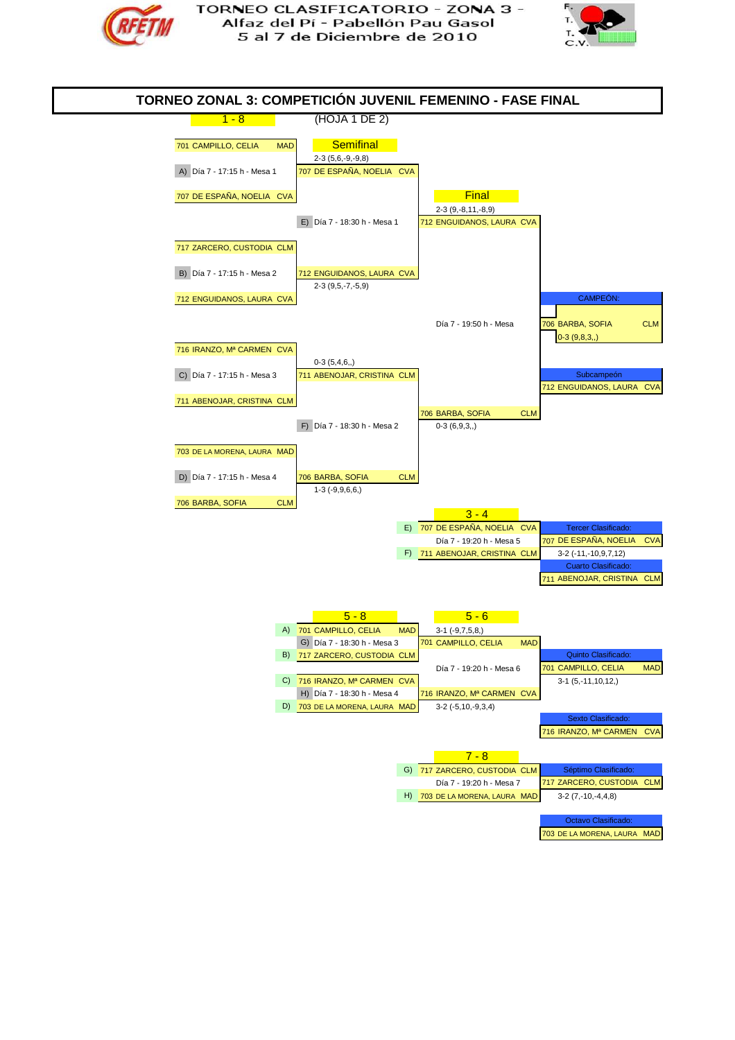



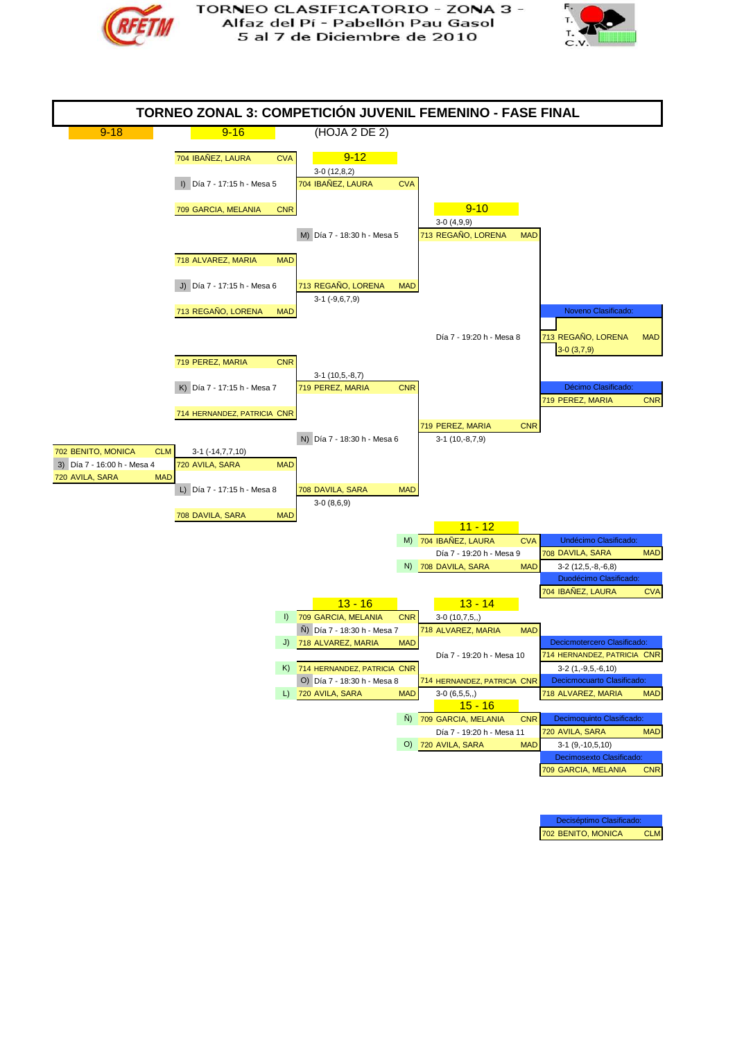





Deciséptimo Clasificado: 702 BENITO, MONICA CLM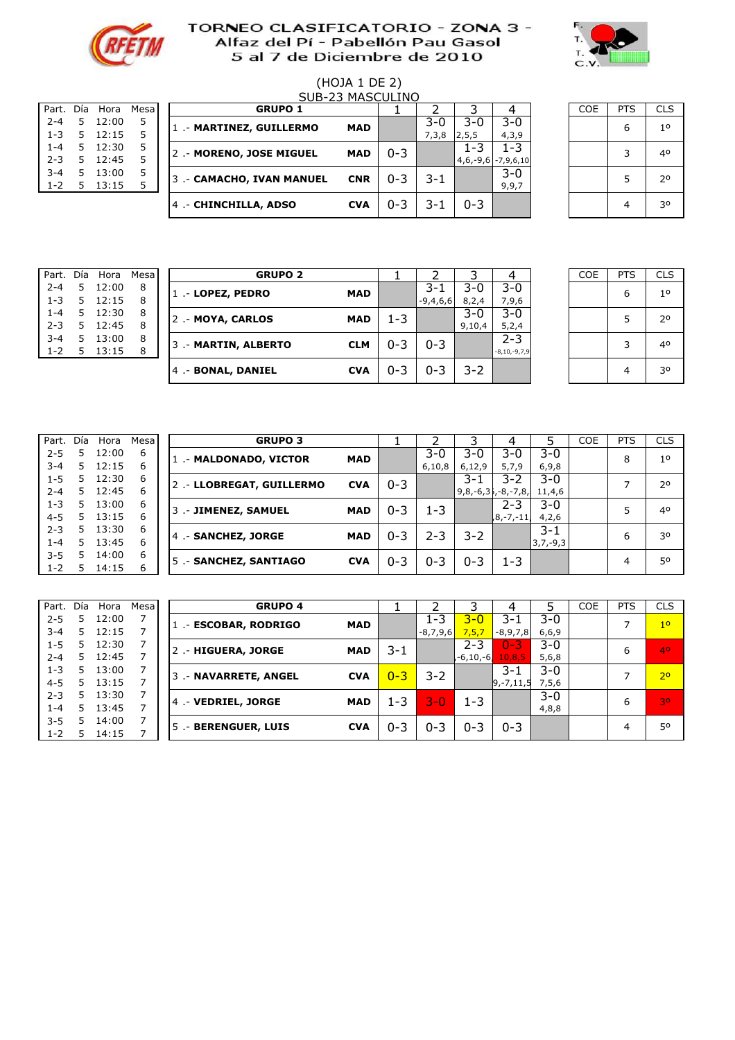



# $(HOJA 1 DE 2)$

| Part.   | Día | Hora  | Mesa |
|---------|-----|-------|------|
| $2 - 4$ | 5   | 12:00 | 5    |
| $1 - 3$ | 5   | 12:15 | 5    |
| $1 - 4$ | 5   | 12:30 | 5    |
| $2 - 3$ | 5   | 12:45 | 5    |
| $3 - 4$ | 5   | 13:00 | 5    |
| $1 - 2$ | 5   | 13:15 | 5    |
|         |     |       |      |

|           | SUB-23 MASCULINO |       |        |  |                           |            |         |       |                      |         |  |            |            |            |
|-----------|------------------|-------|--------|--|---------------------------|------------|---------|-------|----------------------|---------|--|------------|------------|------------|
| Part. Día |                  | Hora  | Mesa I |  | <b>GRUPO 1</b>            |            |         |       |                      |         |  | <b>COE</b> | <b>PTS</b> | <b>CLS</b> |
| $2 - 4$   | 5.               | 12:00 |        |  | 1 .- MARTINEZ, GUILLERMO  | <b>MAD</b> |         | 3-0   | $3-0$                | $3 - 0$ |  |            | 6          | 10         |
| $1 - 3$   | 5.               | 12:15 |        |  |                           |            |         | 7,3,8 | 2, 5, 5              | 4,3,9   |  |            |            |            |
| $1 - 4$   | 5.               | 12:30 |        |  | 2.- MORENO, JOSE MIGUEL   | <b>MAD</b> | $0 - 3$ |       | 1-3                  | $-3$    |  |            | 2          | 40         |
| $2 - 3$   | 5.               | 12:45 |        |  |                           |            |         |       | $4,6,-9,6$ -7,9,6,10 |         |  |            |            |            |
| $3 - 4$   | 5.               | 13:00 |        |  | 3 .- CAMACHO, IVAN MANUEL | <b>CNR</b> | $0 - 3$ | 3-1   |                      | $3-0$   |  |            |            | 20         |
| $1 - 2$   | 5.               | 13:15 |        |  |                           |            |         |       |                      | 9,9,7   |  |            |            |            |
|           |                  |       |        |  | 4 .- CHINCHILLA, ADSO     | <b>CVA</b> | $0 - 3$ | 3-1   | $0 - 3$              |         |  |            |            | 30         |
|           |                  |       |        |  |                           |            |         |       |                      |         |  |            |            |            |

5 0,58 5 5 .- #N/A #N/A 0

| COE | <b>PTS</b> | <b>CLS</b>  |
|-----|------------|-------------|
|     | 6          | $1^{\circ}$ |
|     | 3          | 40          |
|     | 5          | 2°          |
|     |            | 30          |

| Part.   | Día | Hora  | Mesa |
|---------|-----|-------|------|
| $2 - 4$ | 5   | 12:00 | 8    |
| $1 - 3$ | 5   | 12:15 | 8    |
| $1 - 4$ | 5   | 12:30 | 8    |
| $2 - 3$ | 5   | 12:45 | 8    |
| $3 - 4$ | 5   | 13:00 | 8    |
| $1 - 2$ | 5   | 13:15 | 8    |

| Part.   | Día | Hora  | Mesa | <b>GRUPO 2</b>       |            |         |            |         |                    | <b>COE</b> | <b>PTS</b> | <b>CLS</b>     |
|---------|-----|-------|------|----------------------|------------|---------|------------|---------|--------------------|------------|------------|----------------|
| $2 - 4$ | 5.  | 12:00 | 8    | 1 .- LOPEZ, PEDRO    | <b>MAD</b> |         | 3-1        | $3 - 0$ | $3-0$              |            | 6          | 1 <sup>0</sup> |
| $1 - 3$ | 5.  | 12:15 | 8    |                      |            |         | $-9,4,6,6$ | 8,2,4   | 7,9,6              |            |            |                |
| $1 - 4$ | 5.  | 12:30 | 8    | 2.- MOYA, CARLOS     | <b>MAD</b> | 1-3     |            | $3 - 0$ | $3 - 0$            |            |            | 2 <sup>0</sup> |
| $2 - 3$ | 5.  | 12:45 | 8    |                      |            |         |            | 9,10,4  | 5,2,4              |            |            |                |
| $3 - 4$ | 5.  | 13:00 | 8    | 3 .- MARTIN, ALBERTO | <b>CLM</b> | $0 - 3$ | $0 - 3$    |         | $2 - 3$            |            | 3          | 40             |
| $1 - 2$ | 5.  | 13:15 | 8    |                      |            |         |            |         | $-8, 10, -9, 7, 9$ |            |            |                |
|         |     |       |      | 4 .- BONAL, DANIEL   | <b>CVA</b> | $0 - 3$ | $0 - 3$    | $3 - 2$ |                    |            | 4          | 30             |
|         |     |       |      |                      |            |         |            |         |                    |            |            |                |

| COE | <b>PTS</b> | <b>CLS</b>     |
|-----|------------|----------------|
|     | 6          | 1 <sup>0</sup> |
|     | 5          | 2 <sup>o</sup> |
|     | 3          | 40             |
|     | 4          | 30             |

| Part.   | Día | Hora  | Mesa |
|---------|-----|-------|------|
| $2 - 5$ | 5   | 12:00 | 6    |
| $3 - 4$ | 5   | 12:15 | 6    |
| $1 - 5$ | 5   | 12:30 | 6    |
| $2 - 4$ | 5   | 12:45 | 6    |
| $1 - 3$ | 5   | 13:00 | 6    |
| $4 - 5$ | 5   | 13:15 | 6    |
| $2 - 3$ | 5   | 13:30 | 6    |
| $1 - 4$ | 5   | 13:45 | 6    |
| $3 - 5$ | 5   | 14:00 | 6    |
| 1-2     | 5   | 14:15 | 6    |
|         |     |       |      |

| Part.   | Día | Hora  | Mesa | <b>GRUPO 3</b>           |            |         |         |                         |           |            | <b>COE</b> | <b>PTS</b> | <b>CLS</b>     |
|---------|-----|-------|------|--------------------------|------------|---------|---------|-------------------------|-----------|------------|------------|------------|----------------|
| $2 - 5$ |     | 12:00 | 6    | 1 .- MALDONADO, VICTOR   | <b>MAD</b> |         | 3-0     | $3 - 0$                 | $3-0$     | 3-0        |            | 8          | 1 <sup>0</sup> |
| $3 - 4$ | 5.  | 12:15 | 6    |                          |            |         | 6,10,8  | 6,12,9                  | 5,7,9     | 6, 9, 8    |            |            |                |
| $1 - 5$ | 5.  | 12:30 | 6    | 2.- LLOBREGAT, GUILLERMO | <b>CVA</b> | $0 - 3$ |         | 3-1                     | $3 - 2$   | $3 - 0$    |            |            | 20             |
| $2 - 4$ | 5.  | 12:45 | 6    |                          |            |         |         | $ 9,8,-6,3$ , -8, -7,8, |           | 11,4,6     |            |            |                |
| $1 - 3$ | 5.  | 13:00 | 6    | 3 .- JIMENEZ, SAMUEL     | <b>MAD</b> | $0 - 3$ | 1-3     |                         | $2 - 3$   | $3 - 0$    |            |            | 40             |
| $4 - 5$ | 5   | 13:15 | 6    |                          |            |         |         |                         | ,8,-7,-11 | 4,2,6      |            |            |                |
| $2 - 3$ | 5.  | 13:30 | 6    | 4 .- SANCHEZ, JORGE      | <b>MAD</b> | $0 - 3$ | 2-3     | $3 - 2$                 |           | 3-1        |            | 6          | 30             |
| $1 - 4$ | 5.  | 13:45 | 6    |                          |            |         |         |                         |           | $3,7,-9,3$ |            |            |                |
| $3 - 5$ | 5   | 14:00 | 6    | 5 .- SANCHEZ, SANTIAGO   | <b>CVA</b> | $0 - 3$ | $0 - 3$ | $0 - 3$                 | 1-3       |            |            | 4          | 50             |
| $1 - 2$ |     | 14:15 | 6    |                          |            |         |         |                         |           |            |            |            |                |

| Part.   | Día | Hora  | Mesa | <b>GRUPO 4</b>           |            |         |            |              |                |         | <b>COE</b> | <b>PTS</b> | <b>CLS</b>     |
|---------|-----|-------|------|--------------------------|------------|---------|------------|--------------|----------------|---------|------------|------------|----------------|
| $2 - 5$ | 5   | 12:00 |      | 1 .- ESCOBAR, RODRIGO    | <b>MAD</b> |         | $1 - 3$    | $3 - 0$      | 3-1            | $3 - 0$ |            |            | 1 <sup>o</sup> |
| $3 - 4$ | 5.  | 12:15 |      |                          |            |         | $-8,7,9,6$ | 7,5,7        | $-8,9,7,8$     | 6,6,9   |            |            |                |
| $1 - 5$ | 5.  | 12:30 |      | 2.- HIGUERA, JORGE       | <b>MAD</b> | 3-1     |            | $2 - 3$      | $0 - 3$        | $3 - 0$ |            | 6          | 40             |
| $2 - 4$ | 5.  | 12:45 |      |                          |            |         |            | $-6, 10, -6$ | 10, 8, 5       | 5,6,8   |            |            |                |
| $1 - 3$ | 5.  | 13:00 |      | 3 .- NAVARRETE, ANGEL    | <b>CVA</b> | $0 - 3$ | $3 - 2$    |              | 3-1            | $3 - 0$ |            |            | 2 <sup>o</sup> |
| $4 - 5$ | 5.  | 13:15 |      |                          |            |         |            |              | $9, -7, 11, 5$ | 7,5,6   |            |            |                |
| $2 - 3$ | 5.  | 13:30 |      | 4 .- VEDRIEL, JORGE      | <b>MAD</b> | $1 - 3$ | $3-0$      | 1-3          |                | $3 - 0$ |            | 6          | 30             |
| $1 - 4$ | 5.  | 13:45 |      |                          |            |         |            |              |                | 4,8,8   |            |            |                |
| $3 - 5$ | 5.  | 14:00 |      | 5.<br>.- BERENGUER, LUIS | <b>CVA</b> | 0-3     | $0 - 3$    | $0 - 3$      | $0 - 3$        |         |            | 4          | 50             |
| $1 - 2$ | 5.  | 14:15 |      |                          |            |         |            |              |                |         |            |            |                |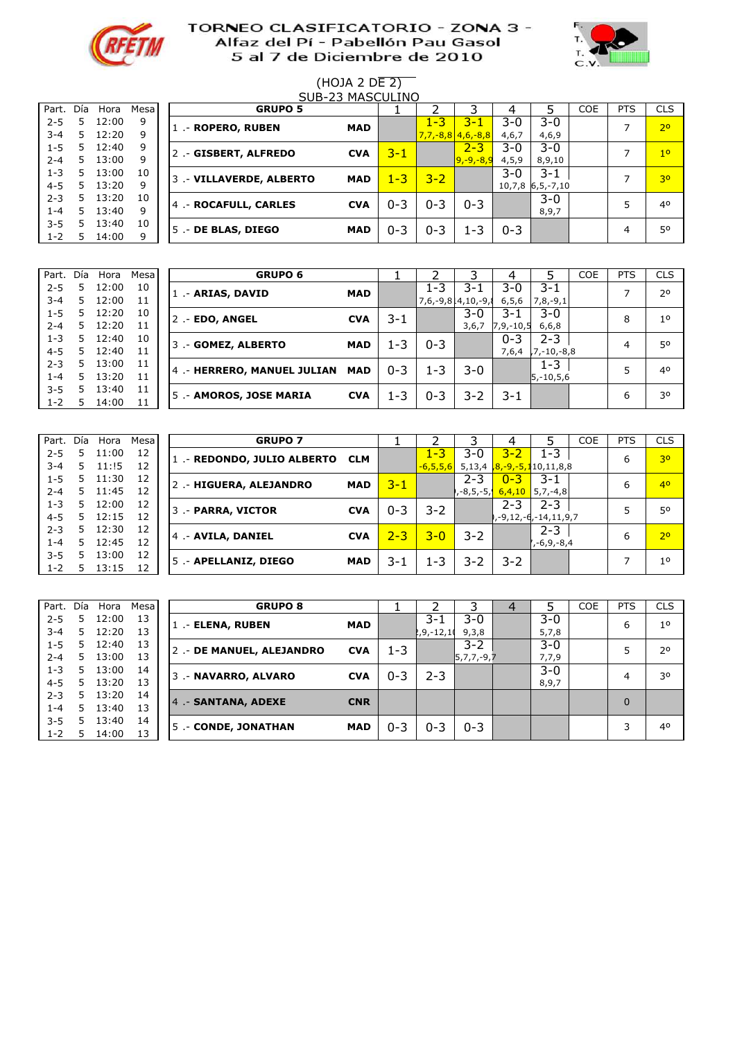



# (HOJA 2 DE 2)

| Part.   | Día | Hora  | Mesa |
|---------|-----|-------|------|
| $2 - 5$ | 5   | 12:00 | ٩    |
| $3 - 4$ | 5   | 12:20 | 9    |
| $1 - 5$ | 5   | 12:40 | 9    |
| $2 - 4$ | 5   | 13:00 | 9    |
| 1-3     | 5   | 13:00 | 10   |
| 4-5     | 5   | 13:20 | 9    |
| $2 - 3$ | 5   | 13:20 | 10   |
| $1 - 4$ | 5   | 13:40 | 9    |
| $3 - 5$ | 5   | 13:40 | 10   |
| 1-2     | 5   | 14:00 | ٩    |
|         |     |       |      |

|         | SUB-23 MASCULINO |       |        |  |                          |            |         |         |                     |         |                    |            |                |                |
|---------|------------------|-------|--------|--|--------------------------|------------|---------|---------|---------------------|---------|--------------------|------------|----------------|----------------|
| Part.   | Día              | Hora  | Mesa l |  | <b>GRUPO 5</b>           |            |         |         |                     |         |                    | <b>COE</b> | <b>PTS</b>     | <b>CLS</b>     |
| $2 - 5$ | 5.               | 12:00 | 9      |  | 1 .- ROPERO, RUBEN       | <b>MAD</b> |         | $1 - 3$ | $3 - 1$             | $3 - 0$ | 3-0                |            |                | 2 <sup>o</sup> |
| $3 - 4$ | 5.               | 12:20 | 9      |  |                          |            |         |         | $7,7,-8,8$ 4,6,-8,8 | 4,6,7   | 4,6,9              |            |                |                |
| $1 - 5$ | 5                | 12:40 | 9      |  | 2.- GISBERT, ALFREDO     | <b>CVA</b> | $3 - 1$ |         | $2 - 3$             | $3-0$   | $3 - 0$            |            |                | 1 <sup>0</sup> |
| $2 - 4$ | 5.               | 13:00 | 9      |  |                          |            |         |         | $9, -9, -8, 9$      | 4, 5, 9 | 8,9,10             |            |                |                |
| $1 - 3$ | 5.               | 13:00 | 10     |  | 3 .- VILLAVERDE, ALBERTO | <b>MAD</b> | $1 - 3$ | $3 - 2$ |                     | 3-0     | 3-1                |            |                | 30             |
| $4 - 5$ | 5.               | 13:20 | q      |  |                          |            |         |         |                     |         | $10,7,8$ 6,5,-7,10 |            |                |                |
| $2 - 3$ | 5.               | 13:20 | 10     |  | 4.- ROCAFULL, CARLES     | <b>CVA</b> | $0 - 3$ | $0 - 3$ | $0 - 3$             |         | $3 - 0$            |            |                | 40             |
| $1 - 4$ | 5.               | 13:40 | 9      |  |                          |            |         |         |                     |         | 8,9,7              |            |                |                |
| $3 - 5$ | 5                | 13:40 | 10     |  | 5 .- DE BLAS, DIEGO      | <b>MAD</b> | $0 - 3$ | $0 - 3$ | $1 - 3$             | $0 - 3$ |                    |            | $\overline{4}$ | 50             |
| $1 - 2$ | 5.               | 14:00 | 9      |  |                          |            |         |         |                     |         |                    |            |                |                |

| Part.   | Día | Hora  | Mesa | <b>GRUPO 6</b>              |            |         |                    |         |                |                 | <b>COE</b> | <b>PTS</b> | <b>CLS</b>     |
|---------|-----|-------|------|-----------------------------|------------|---------|--------------------|---------|----------------|-----------------|------------|------------|----------------|
| $2 - 5$ |     | 12:00 | 10   | 1 - ARIAS, DAVID            | <b>MAD</b> |         | 1-3                | 3-1     | $3-0$          | 3-1             |            |            | 20             |
| $3 - 4$ | 5   | 12:00 | 11   |                             |            |         | 7,6,-9,814,10,-9,8 |         | 6, 5, 6        | $7,8,-9,1$      |            |            |                |
| $1 - 5$ | 5   | 12:20 | 10   | 2 .- EDO, ANGEL             | <b>CVA</b> | $3 - 1$ |                    | $3-0$   | 3-1            | $3-0$           |            | 8          | 1 <sup>0</sup> |
| $2 - 4$ | 5   | 12:20 | 11   |                             |            |         |                    | 3,6,7   | $7, 9, -10, 5$ | 6,6,8           |            |            |                |
| $1 - 3$ | 5   | 12:40 | 10   | 3.- GOMEZ, ALBERTO          | <b>MAD</b> | $1 - 3$ | $0 - 3$            |         | $0 - 3$        | $2 - 3$         |            | 4          | 50             |
| $4 - 5$ | 5   | 12:40 | 11   |                             |            |         |                    |         | 7,6,4          | $7, -10, -8, 8$ |            |            |                |
| $2 - 3$ | 5   | 13:00 | 11   | 4 .- HERRERO, MANUEL JULIAN | <b>MAD</b> | $0 - 3$ | $1 - 3$            | $3 - 0$ |                | $1 - 3$         |            |            | 40             |
| $1 - 4$ | 5   | 13:20 | 11   |                             |            |         |                    |         |                | $5, -10, 5, 6$  |            |            |                |
| $3 - 5$ |     | 13:40 | 11   |                             | <b>CVA</b> | $1 - 3$ | $0 - 3$            | $3 - 2$ | $3 - 1$        |                 |            | 6          | 30             |
| $1 - 2$ |     | 14:00 | 11   | 5 .- AMOROS, JOSE MARIA     |            |         |                    |         |                |                 |            |            |                |

| Part.   | Día | Hora  | Mesa | <b>GRUPO 7</b>             |            |         |               |                          |         |                                        | <b>COE</b> | <b>PTS</b> | <b>CLS</b>     |
|---------|-----|-------|------|----------------------------|------------|---------|---------------|--------------------------|---------|----------------------------------------|------------|------------|----------------|
| $2 - 5$ | 5.  | 11:00 | 12   | 1.- REDONDO, JULIO ALBERTO | <b>CLM</b> |         | $1 - 3$       | $3 - 0$                  | $3 - 2$ | $1 - 3$                                |            | 6          | 3 <sup>o</sup> |
| $3 - 4$ | 5.  | 11:!5 | 12   |                            |            |         | $-6, 5, 5, 6$ |                          |         | 5,13,4 $\sqrt{8, -9, -5, 1}$ 10,11,8,8 |            |            |                |
| $1 - 5$ | 5.  | 11:30 | 12   | 2 .- HIGUERA, ALEJANDRO    | <b>MAD</b> | 3-1     |               | $2 - 3$                  | $0 - 3$ | 3-1                                    |            | 6          | 40             |
| $2 - 4$ | 5.  | 11:45 | 12   |                            |            |         |               | ,-8,5,-5, <mark>1</mark> |         | $6,4,10$ 5,7,-4,8                      |            |            |                |
| $1 - 3$ | 5.  | 12:00 | 12   | 3 .- PARRA, VICTOR         | <b>CVA</b> | $0 - 3$ | $3 - 2$       |                          | $2 - 3$ | $2 - 3$                                |            |            | 50             |
| $4 - 5$ | 5.  | 12:15 | 12   |                            |            |         |               |                          |         | ,,-9,12,-6,-14,11,9,7                  |            |            |                |
| $2 - 3$ | 5.  | 12:30 | 12   |                            | <b>CVA</b> | $2 - 3$ | $3 - 0$       | $3 - 2$                  |         | $2 - 3$                                |            | 6          | 70             |
| $1 - 4$ | 5.  | 12:45 | 12   | 4 .- AVILA, DANIEL         |            |         |               |                          |         | , -6, 9, -8, 4                         |            |            |                |
| $3 - 5$ | 5.  | 13:00 | 12   |                            | <b>MAD</b> | 3-1     | $1 - 3$       | $3 - 2$                  | $3 - 2$ |                                        |            |            | 10             |
| $1 - 2$ | 5   | 13:15 | 12   | 5.- APELLANIZ, DIEGO       |            |         |               |                          |         |                                        |            |            |                |
|         |     |       |      |                            |            |         |               |                          |         |                                        |            |            |                |

| Part.   | Día | Hora  | Mesa | <b>GRUPO 8</b>           |            |         |              |               | 4 |         | <b>COE</b> | <b>PTS</b> | <b>CLS</b>     |
|---------|-----|-------|------|--------------------------|------------|---------|--------------|---------------|---|---------|------------|------------|----------------|
| $2 - 5$ | 5.  | 12:00 | 13   | 1 .- ELENA, RUBEN        | <b>MAD</b> |         | $3 - 1$      | $3 - 0$       |   | $3 - 0$ |            | 6          | 1 <sup>0</sup> |
| $3 - 4$ | 5   | 12:20 | 13   |                          |            |         | $2,9,-12,10$ | 9,3,8         |   | 5,7,8   |            |            |                |
| $1 - 5$ | 5.  | 12:40 | 13   | 2.- DE MANUEL, ALEJANDRO | <b>CVA</b> | 1-3     |              | $3 - 2$       |   | $3 - 0$ |            | 5          | 2 <sup>o</sup> |
| $2 - 4$ | 5   | 13:00 | 13   |                          |            |         |              | $ 5,7,7,-9,7$ |   | 7,7,9   |            |            |                |
| 1-3     | 5   | 13:00 | 14   | 3.- NAVARRO, ALVARO      | <b>CVA</b> | $0 - 3$ | $2 - 3$      |               |   | $3 - 0$ |            | 4          | 30             |
| $4 - 5$ | 5.  | 13:20 | 13   |                          |            |         |              |               |   | 8,9,7   |            |            |                |
| $2 - 3$ | 5.  | 13:20 | 14   | 4 - SANTANA, ADEXE       | <b>CNR</b> |         |              |               |   |         |            | $\Omega$   |                |
| 1-4     | 5.  | 13:40 | 13   |                          |            |         |              |               |   |         |            |            |                |
| $3 - 5$ |     | 13:40 | 14   | 5. - CONDE, JONATHAN     | <b>MAD</b> | $0 - 3$ | $0 - 3$      | $0 - 3$       |   |         |            | 3          | 4 <sup>0</sup> |
| $1 - 2$ | 5.  | 14:00 | 13   |                          |            |         |              |               |   |         |            |            |                |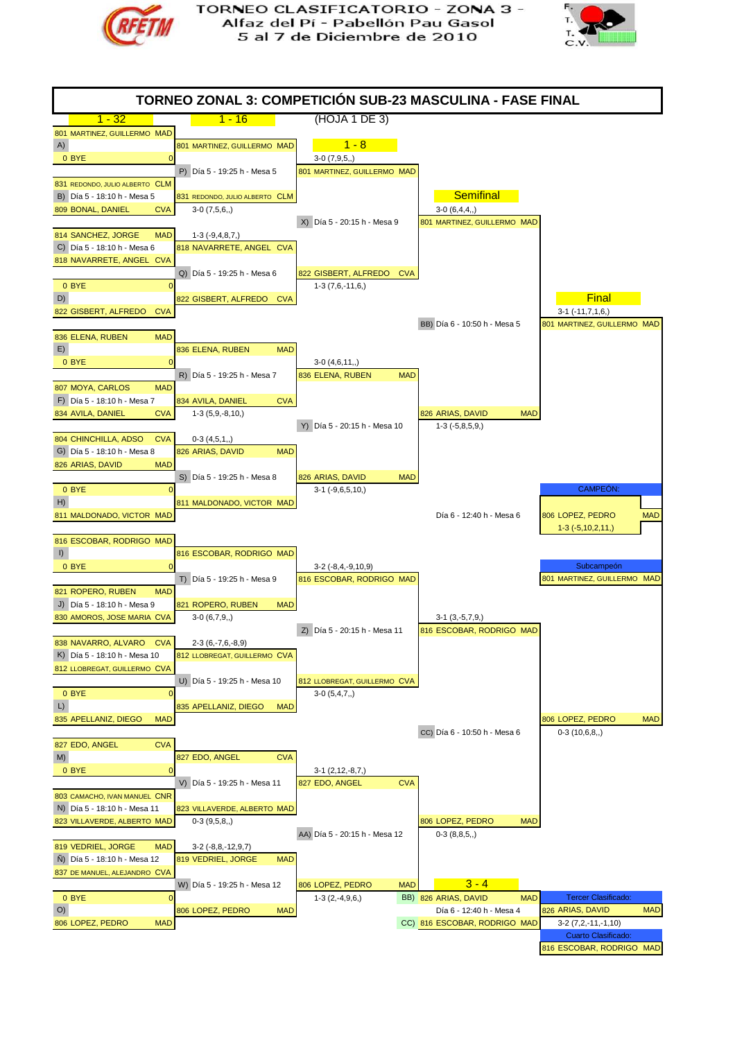



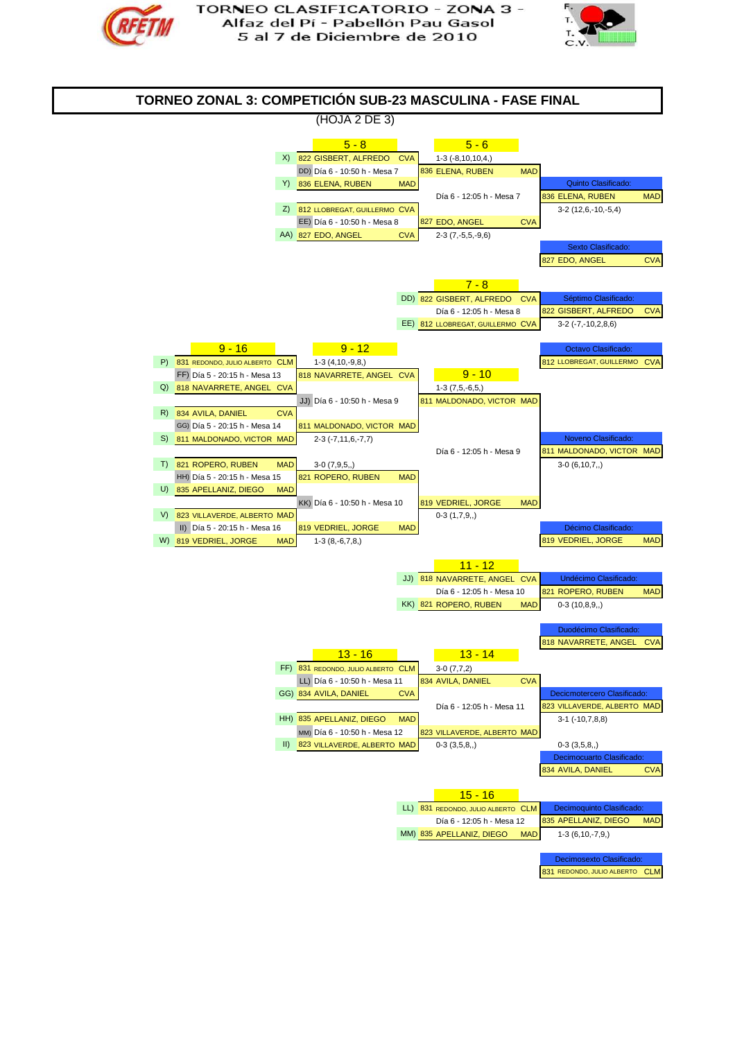



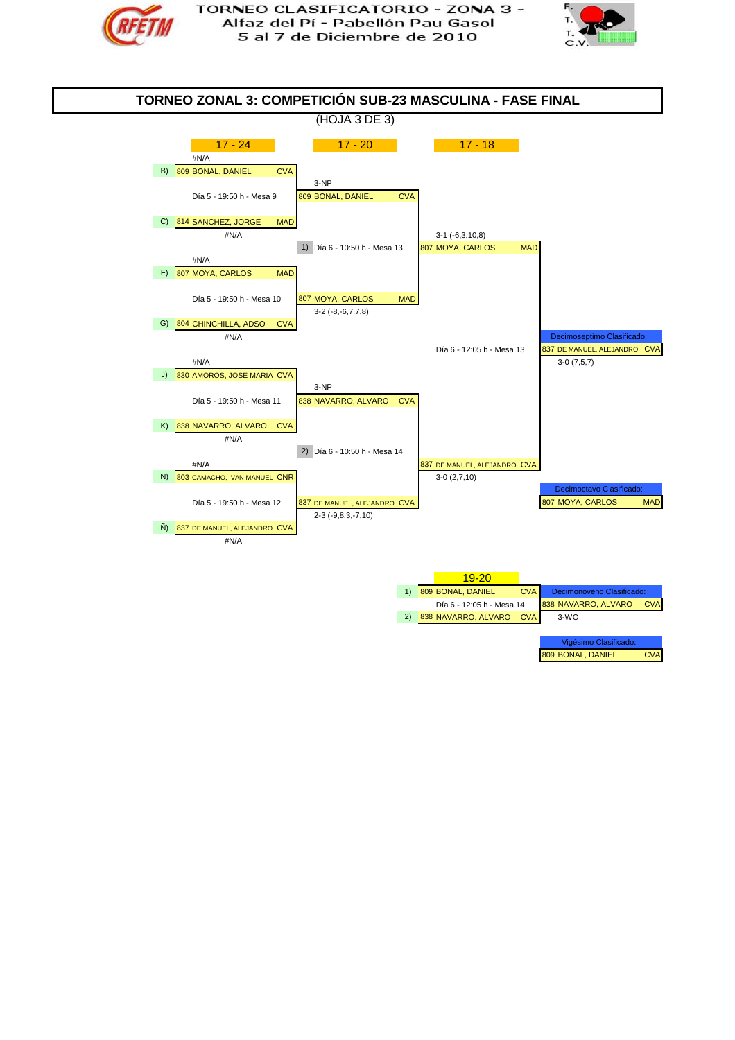



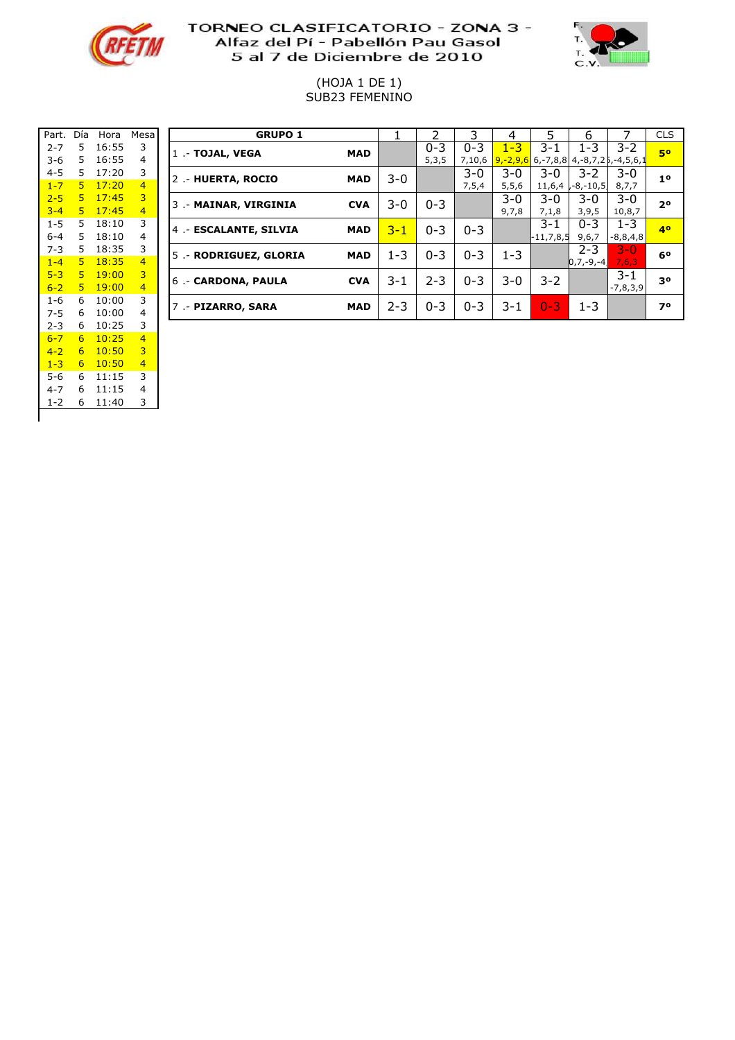



#### (HOJA 1 DE 1) SUB23 FEMENINO

| Part.   | Día | Hora  | Mesa           |                |
|---------|-----|-------|----------------|----------------|
| $2 - 7$ | 5   | 16:55 | 3              | $\overline{1}$ |
| $3-6$   | 5   | 16:55 | 4              |                |
| 4-5     | 5   | 17:20 | 3              | $\overline{2}$ |
| $1 - 7$ | 5   | 17:20 | 4              |                |
| $2 - 5$ | 5   | 17:45 | 3              | 3              |
| $3 - 4$ | 5   | 17:45 | 4              |                |
| $1 - 5$ | 5   | 18:10 | 3              | 4              |
| $6 - 4$ | 5   | 18:10 | 4              |                |
| $7 - 3$ | 5   | 18:35 | 3              | 5              |
| $1 - 4$ | 5   | 18:35 | $\overline{4}$ |                |
| $5 - 3$ | 5   | 19:00 | 3              | 6              |
| $6 - 2$ | 5   | 19:00 | $\overline{4}$ |                |
| 1-6     | 6   | 10:00 | 3              | $\overline{7}$ |
| 7-5     | 6   | 10:00 | 4              |                |
| $2 - 3$ | 6   | 10:25 | 3              |                |
| $6 - 7$ | 6   | 10:25 | $\overline{4}$ |                |
| $4 - 2$ | 6   | 10:50 | 3              |                |
| $1 - 3$ | 6   | 10:50 | 4              |                |
| 5-6     | 6   | 11:15 | 3              |                |
| $4 - 7$ | 6   | 11:15 | 4              |                |
| $1 - 2$ | 6   | 11:40 | 3              |                |
|         |     |       |                |                |

| Part.   | Día | Hora   | Mesa           | <b>GRUPO 1</b>         |            |         |         |         | 4       |                                                      | 6             |            | <b>CLS</b>     |
|---------|-----|--------|----------------|------------------------|------------|---------|---------|---------|---------|------------------------------------------------------|---------------|------------|----------------|
| $2 - 7$ | 5.  | 16:55  | 3              | 1 .- TOJAL, VEGA       | <b>MAD</b> |         | $0 - 3$ | $0 - 3$ | 1-3     | 3-1                                                  | $1 - 3$       | $3 - 2$    | 50             |
| 3-6     | 5.  | 16:55  | 4              |                        |            |         | 5,3,5   | 7,10,6  |         | $9, -2, 9, 6$ 6, -7, 8, 8 4, -8, 7, 2 5, -4, 5, 6, 1 |               |            |                |
| $4 - 5$ | 5.  | 17:20  | 3              | 2 .- HUERTA, ROCIO     | <b>MAD</b> | $3 - 0$ |         | $3-0$   | $3-0$   | $3-0$                                                | $3 - 2$       | $3-0$      | 1 <sup>0</sup> |
| $1 - 7$ | 5.  | 17:20  | $\overline{4}$ |                        |            |         |         | 7,5,4   | 5, 5, 6 | 11,6,4                                               | , -8, -10, 5, | 8,7,7      |                |
| $2 - 5$ | 5.  | 17:45  | 3              | 3 .- MAINAR, VIRGINIA  | <b>CVA</b> | 3-0     | $0 - 3$ |         | $3-0$   | $3-0$                                                | 3-0           | $3 - 0$    | 20             |
| $3 - 4$ | 5.  | 17:45  | $\overline{4}$ |                        |            |         |         |         | 9,7,8   | 7,1,8                                                | 3,9,5         | 10,8,7     |                |
| $1 - 5$ | 5   | 18:10  | 3              | 4 .- ESCALANTE, SILVIA | <b>MAD</b> | $3 - 1$ | $0 - 3$ | $0 - 3$ |         | 3-1                                                  | $0 - 3$       | $1 - 3$    | 40             |
| $6 - 4$ | 5.  | 18:10  | 4              |                        |            |         |         |         |         | $-11,7,8,5$                                          | 9,6,7         | $-8,8,4,8$ |                |
| $7 - 3$ | 5.  | 18:35  | 3              | 5 .- RODRIGUEZ, GLORIA | <b>MAD</b> | $1 - 3$ | $0 - 3$ | $0 - 3$ | $1 - 3$ |                                                      | $2 - 3$       | $3 - 0$    | 60             |
| $1 - 4$ | 5.  | 18:35  | $\overline{4}$ |                        |            |         |         |         |         |                                                      | $[0,7,-9,-4]$ | 7,6,3      |                |
| $5 - 3$ | 5.  | 19:00  | 3              | 6.- CARDONA, PAULA     | <b>CVA</b> | $3 - 1$ | $2 - 3$ | $0 - 3$ | $3-0$   | $3 - 2$                                              |               | 3-1        | 30             |
| $6 - 2$ | 5.  | 19:00. | $\overline{4}$ |                        |            |         |         |         |         |                                                      |               | $-7,8,3,9$ |                |
| 1-6     | 6   | 10:00  | 3              | 7 .- PIZARRO, SARA     | <b>MAD</b> | $2 - 3$ | $0 - 3$ | $0 - 3$ | $3 - 1$ | $0 - 3$                                              | $1 - 3$       |            | 70             |
| $7 - 5$ | 6   | 10:00  | 4              |                        |            |         |         |         |         |                                                      |               |            |                |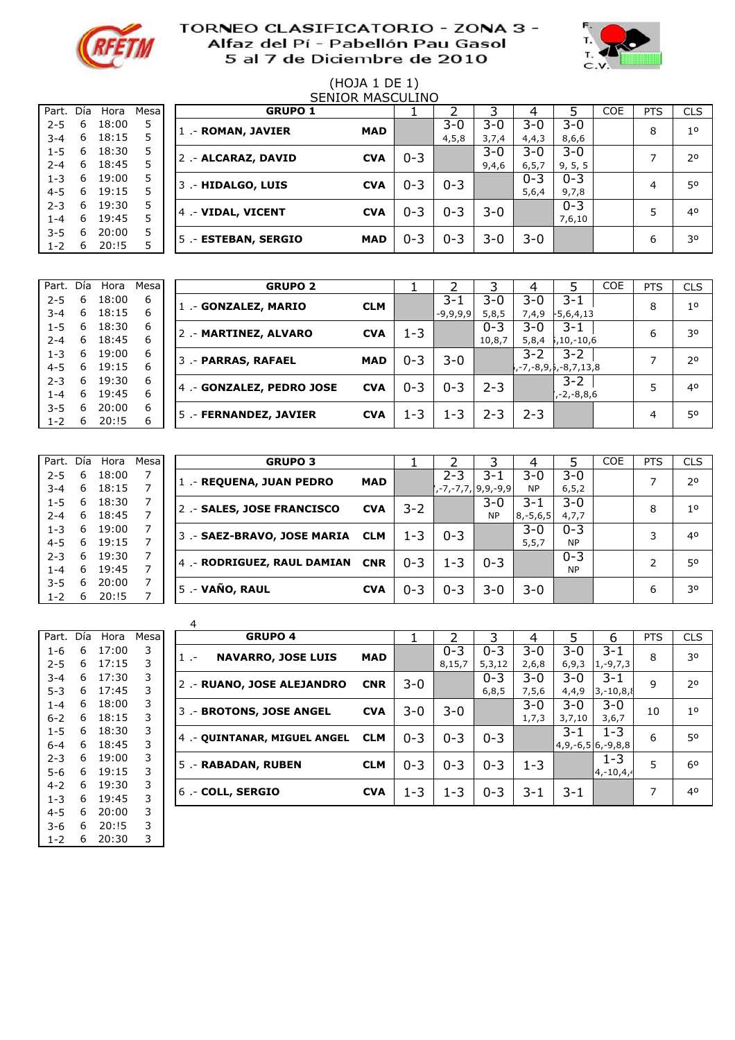



# (HOJA 1 DE 1)

|         | <b>SENIOR MASCULINO</b> |       |       |                     |            |         |         |         |         |         |     |            |                |  |
|---------|-------------------------|-------|-------|---------------------|------------|---------|---------|---------|---------|---------|-----|------------|----------------|--|
| Part.   | Día                     | Hora  | Mesal | <b>GRUPO 1</b>      |            |         |         |         | 4       |         | COE | <b>PTS</b> | <b>CLS</b>     |  |
| $2 - 5$ | 6                       | 18:00 | 5     | 1 .- ROMAN, JAVIER  | <b>MAD</b> |         | $3 - 0$ | 3-0     | 3-0     | $3 - 0$ |     | 8          | 1 <sup>0</sup> |  |
| $3 - 4$ | 6                       | 18:15 | 5     |                     |            |         | 4, 5, 8 | 3,7,4   | 4,4,3   | 8,6,6   |     |            |                |  |
| $1 - 5$ | 6                       | 18:30 | 5     |                     | <b>CVA</b> | $0 - 3$ |         | $3 - 0$ | 3-0     | $3 - 0$ |     |            | 20             |  |
| $2 - 4$ | 6                       | 18:45 | 5     | 2 .- ALCARAZ, DAVID |            |         |         | 9,4,6   | 6, 5, 7 | 9, 5, 5 |     |            |                |  |
| $1 - 3$ | 6.                      | 19:00 | 5     | 3 .- HIDALGO, LUIS  | <b>CVA</b> | $0 - 3$ |         |         | $0 - 3$ | $0 - 3$ |     | 4          | 50             |  |
| $4 - 5$ | 6.                      | 19:15 | 5     |                     |            |         | $0 - 3$ |         | 5,6,4   | 9,7,8   |     |            |                |  |
| $2 - 3$ | 6.                      | 19:30 | 5     | 4 .- VIDAL, VICENT  | <b>CVA</b> | $0 - 3$ | $0 - 3$ | $3 - 0$ |         | $0 - 3$ |     | 5          | 40             |  |
| $1 - 4$ | 6.                      | 19:45 | 5     |                     |            |         |         |         |         | 7,6,10  |     |            |                |  |
| $3 - 5$ | 6                       | 20:00 | 5     | 5 - ESTEBAN, SERGIO | <b>MAD</b> | $0 - 3$ | $0 - 3$ | 3-0     | 3-0     |         |     | 6          | 30             |  |
| $1 - 2$ | 6                       | 20:15 | 5     |                     |            |         |         |         |         |         |     |            |                |  |

| Part.   | Día | Hora  | Mesa | <b>GRUPO 2</b>           |            |         |            |         |         |                              | <b>COE</b> | <b>PTS</b> | <b>CLS</b>     |
|---------|-----|-------|------|--------------------------|------------|---------|------------|---------|---------|------------------------------|------------|------------|----------------|
| $2 - 5$ | 6   | 18:00 | 6    | 1 - GONZALEZ, MARIO      | <b>CLM</b> |         | 3-1        | $3 - 0$ | 3-0     | 3-1                          |            | 8          | 1 <sup>0</sup> |
| $3 - 4$ | 6   | 18:15 | 6    |                          |            |         | $-9,9,9,9$ | 5,8,5   | 7,4,9   | $-5,6,4,13$                  |            |            |                |
| $1 - 5$ | 6   | 18:30 | 6    | 2 .- MARTINEZ, ALVARO    | <b>CVA</b> | 1-3     |            | $0 - 3$ | 3-0     | $3 - 1$                      |            | 6          | 30             |
| $2 - 4$ | 6   | 18:45 | 6    |                          |            |         |            | 10,8,7  | 5,8,4   | ,10,-10,6                    |            |            |                |
| $1 - 3$ | 6   | 19:00 | 6    | 3 .- PARRAS, RAFAEL      | <b>MAD</b> | $0 - 3$ | $3 - 0$    |         | $3 - 2$ | $3 - 2$                      |            |            | 20             |
| $4 - 5$ | 6   | 19:15 | 6    |                          |            |         |            |         |         | , -7, -8, 9, 5, -8, 7, 13, 8 |            |            |                |
| $2 - 3$ | 6   | 19:30 | 6    | 4 - GONZALEZ, PEDRO JOSE | <b>CVA</b> | $0 - 3$ |            | $2 - 3$ |         | $3 - 2$                      |            |            | 40             |
| 1-4     | 6   | 19:45 | 6    |                          |            |         | $0 - 3$    |         |         | , -2, -8, 8, 6               |            |            |                |
| $3 - 5$ | 6   | 20:00 | 6    |                          | <b>CVA</b> | $1 - 3$ | $1 - 3$    | $2 - 3$ | $2 - 3$ |                              |            |            | 50             |
| $1 - 2$ | 6   | 20:15 | 6    | 5 .- FERNANDEZ, JAVIER   |            |         |            |         |         |                              |            | 4          |                |

|         |   | Part. Día Hora | Mesal | <b>GRUPO 3</b>                 |            |         |         |                    |               |           | <b>COE</b> | <b>PTS</b> | <b>CLS</b>     |
|---------|---|----------------|-------|--------------------------------|------------|---------|---------|--------------------|---------------|-----------|------------|------------|----------------|
| $2 - 5$ | 6 | 18:00          |       | 1 - REQUENA, JUAN PEDRO        | <b>MAD</b> |         | $2 - 3$ | 3-1                | 3-0           | $3 - 0$   |            | ⇁          | 2 <sup>o</sup> |
| $3 - 4$ | 6 | 18:15          |       |                                |            |         |         | ,-7,-7,7, 9,9,-9,9 | <b>NP</b>     | 6, 5, 2   |            |            |                |
| $1 - 5$ | 6 | 18:30          |       | 2 - SALES, JOSE FRANCISCO      | <b>CVA</b> | $3 - 2$ |         | $3-0$              | 3-1           | $3 - 0$   |            | 8          | 1 <sup>0</sup> |
| $2 - 4$ | 6 | 18:45          |       |                                |            |         |         | <b>NP</b>          | $8, -5, 6, 5$ | 4,7,7     |            |            |                |
| $1 - 3$ | 6 | 19:00          |       | 3 - SAEZ-BRAVO, JOSE MARIA CLM |            | 1-3     |         |                    | $3-0$         | $0 - 3$   |            | 3          | 40             |
| $4 - 5$ | 6 | 19:15          |       |                                |            |         | $0 - 3$ |                    | 5, 5, 7       | <b>NP</b> |            |            |                |
| $2 - 3$ | 6 | 19:30          |       | 4 - RODRIGUEZ, RAUL DAMIAN CNR |            | $0 - 3$ | $1 - 3$ | $0 - 3$            |               | $0 - 3$   |            | 2          | 50             |
| 1-4     | 6 | 19:45          |       |                                |            |         |         |                    |               | <b>NP</b> |            |            |                |
| $3 - 5$ | 6 | 20:00          |       | 5 .- VAÑO, RAUL                |            |         |         |                    |               |           |            |            |                |
| $1 - 2$ | 6 | 20:15          |       |                                | <b>CVA</b> | $0 - 3$ | $0 - 3$ | 3-0                | 3-0           |           |            | 6          | 30             |

|         |     |       |      | 4 |
|---------|-----|-------|------|---|
| Part.   | Día | Hora  | Mesa |   |
| $1 - 6$ | 6   | 17:00 | 3    | 1 |
| $2 - 5$ | 6   | 17:15 | 3    |   |
| $3 - 4$ | 6   | 17:30 | 3    | 2 |
| $5 - 3$ | 6   | 17:45 | 3    |   |
| $1 - 4$ | 6   | 18:00 | 3    |   |
| $6 - 2$ | 6   | 18:15 | 3    | 3 |
| $1 - 5$ | 6   | 18:30 | 3    | 4 |
| $6 - 4$ | 6   | 18:45 | 3    |   |
| $2 - 3$ | 6   | 19:00 | 3    | 5 |
| $5 - 6$ | 6   | 19:15 | 3    |   |
| $4 - 2$ | 6   | 19:30 | 3    | 6 |
| $1 - 3$ | 6   | 19:45 | 3    |   |
| 4-5     | 6   | 20:00 | 3    |   |
| 3-6     | 6   | 20:15 | 3    |   |
| 1-2     | 6   | 20:30 | 3    |   |

|                    |     |         |       |         | 4                            |            |         |         |          |         |                     |               |            |            |
|--------------------|-----|---------|-------|---------|------------------------------|------------|---------|---------|----------|---------|---------------------|---------------|------------|------------|
| Part.              | Día | Hora    | Mesal |         | <b>GRUPO 4</b>               |            |         |         |          |         |                     |               | <b>PTS</b> | <b>CLS</b> |
| $1 - 6$            | 6   | 17:00   | 3     |         | <b>NAVARRO, JOSE LUIS</b>    | <b>MAD</b> |         | $0 - 3$ | $0 - 3$  | 3-0     | $3 - 0$             | $3 - 1$       | 8          | 30         |
| $2 - 5$            | 6   | 17:15   |       | $1 - -$ |                              |            |         | 8,15,7  | 5, 3, 12 | 2,6,8   | 6, 9, 3             | $1, -9, 7, 3$ |            |            |
| $3 - 4$            | 6   | 17:30   | 3     |         |                              |            | $3-0$   |         | $0 - 3$  | $3-0$   | $3-0$               | $3 - 1$       | 9          | 70         |
| $5-3$              | 6   | 17:45   |       |         | 2 - RUANO, JOSE ALEJANDRO    | <b>CNR</b> |         |         | 6, 8, 5  | 7,5,6   | 4,4,9               | $3,-10,8,8$   |            |            |
| $1 - 4$            | 6   | 18:00   | 3     |         | 3 .- BROTONS, JOSE ANGEL     | <b>CVA</b> | $3-0$   | $3 - 0$ |          | 3-0     | $3 - 0$             | $3 - 0$       | 10         | 10         |
| $6 - 2$            | 6   | 18:15   |       |         |                              |            |         |         |          | 1,7,3   | 3,7,10              | 3,6,7         |            |            |
| $1 - 5$            | 6   | 18:30   |       |         | 4. - QUINTANAR, MIGUEL ANGEL | <b>CLM</b> | $0 - 3$ | $0 - 3$ | $0 - 3$  |         | 3-1                 | $1 - 3$       | 6          | 50         |
| $6 - 4$            | 6   | 18:45   |       |         |                              |            |         |         |          |         | $4,9,-6,5 6,-9,8,8$ |               |            |            |
| $2 - 3$            | 6   | 19:00   |       |         |                              | <b>CLM</b> | $0 - 3$ | $0 - 3$ | $0 - 3$  | $1 - 3$ |                     | $1 - 3$       | 5          | 60         |
| $5 - 6$            | 6   | 19:15   |       |         | 5 .- RABADAN, RUBEN          |            |         |         |          |         |                     | $ 4,-10,4,4$  |            |            |
| $4 - 2$            | 6   | 19:30   | 3     |         |                              | <b>CVA</b> | $1 - 3$ | $1 - 3$ | $0 - 3$  | $3 - 1$ | $3 - 1$             |               | ⇁          | 40         |
| $1 - 3$            | 6   | 19:45   |       |         | $6 - \text{COLL}$ , SERGIO   |            |         |         |          |         |                     |               |            |            |
| $\Lambda$ $\Gamma$ |     | a poinn |       |         |                              |            |         |         |          |         |                     |               |            |            |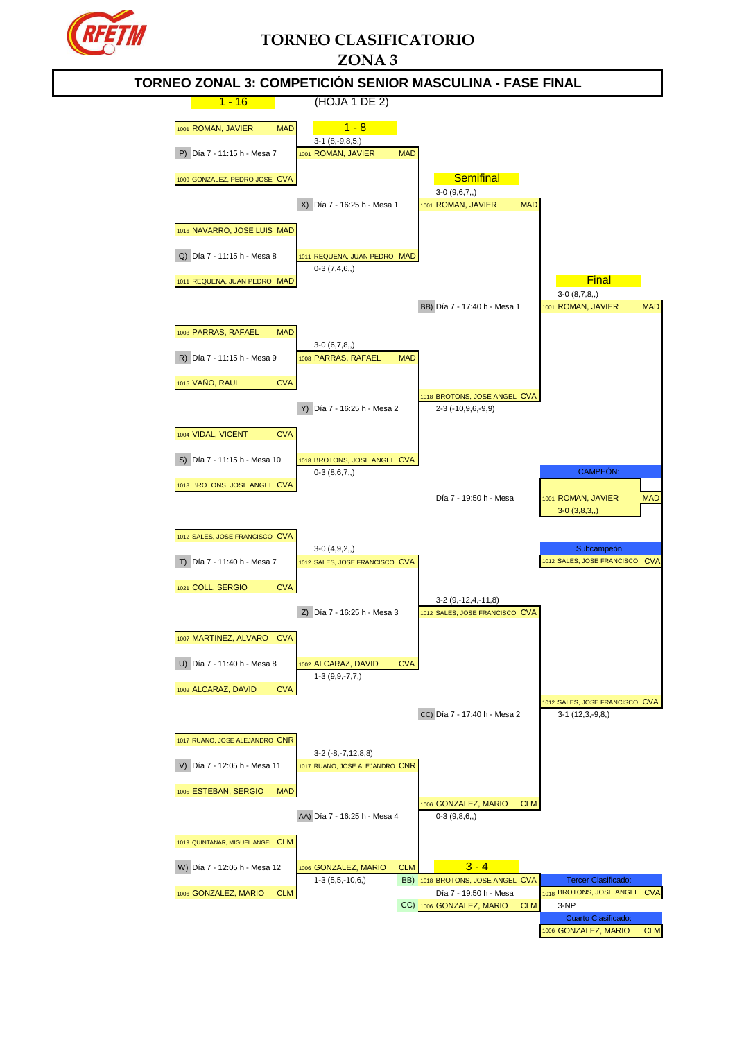

# **TORNEO CLASIFICATORIO ZONA 3**

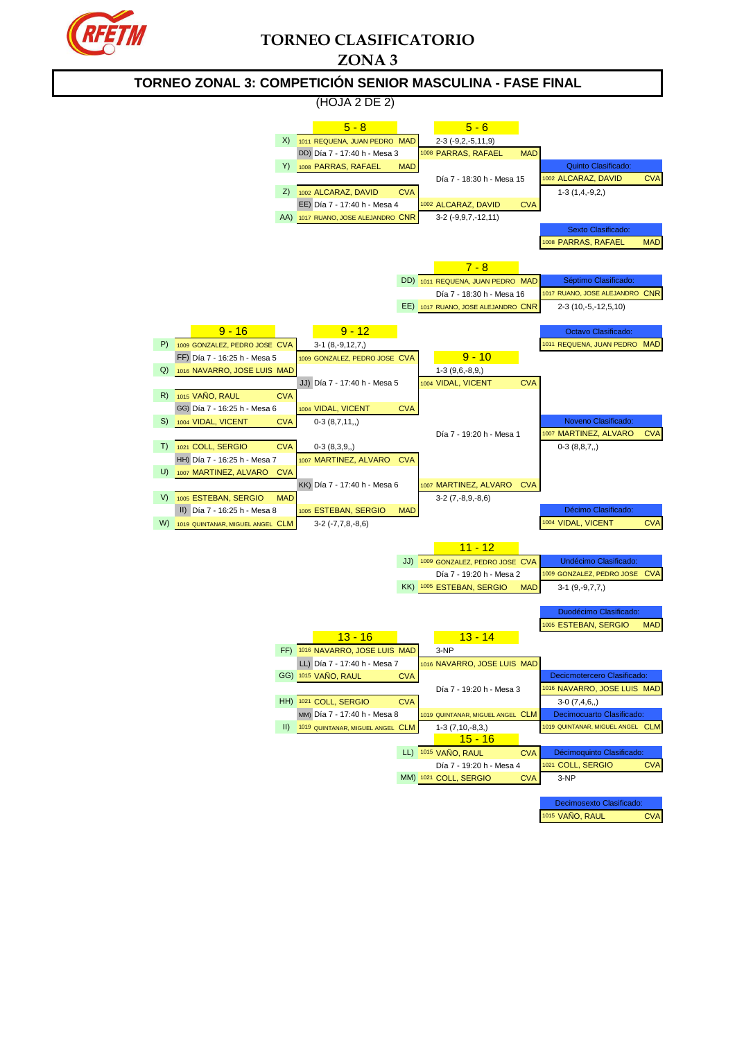

# **TORNEO CLASIFICATORIO**



1015 VAÑO, RAUL CVA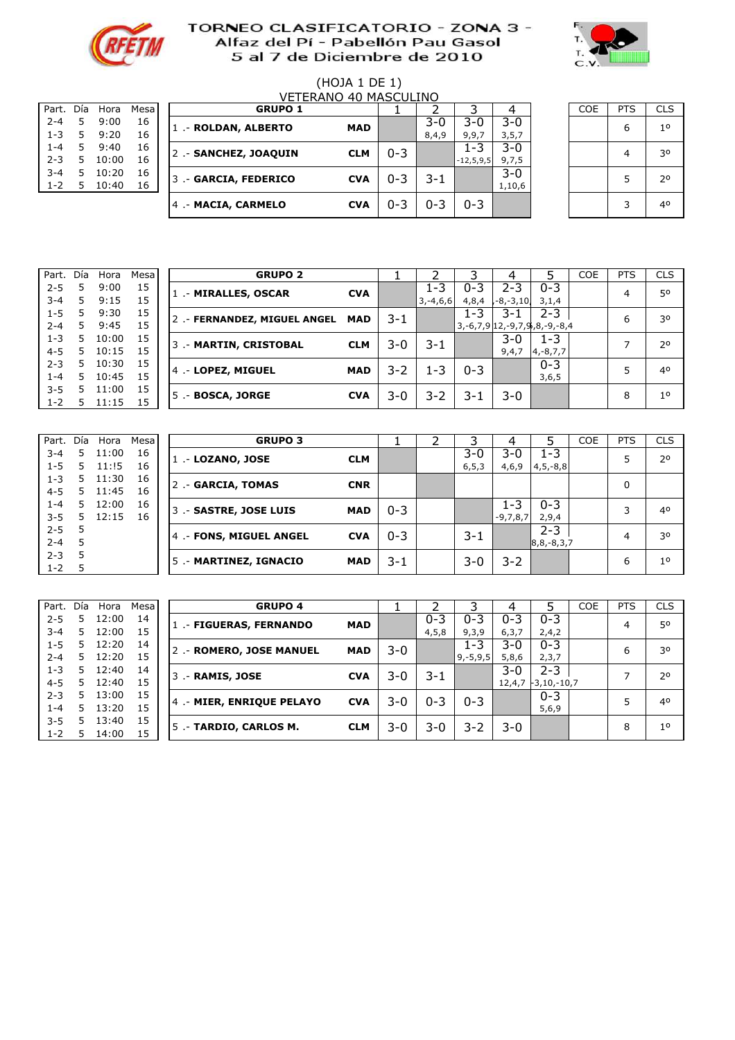



# (HOJA 1 DE 1)

| Part.   | Día | Hora  | Mesa |
|---------|-----|-------|------|
| $2 - 4$ | 5   | 9:00  | 16   |
| $1 - 3$ | 5   | 9:20  | 16   |
| $1 - 4$ | 5   | 9:40  | 16   |
| $2 - 3$ | 5   | 10:00 | 16   |
| $3 - 4$ | 5   | 10:20 | 16   |
| $1 - 2$ | 5   | 10:40 | 16   |
|         |     |       |      |

|         | VFTFRANO 40 MASCUI INO |       |      |  |                       |            |         |         |             |         |  |            |            |                |
|---------|------------------------|-------|------|--|-----------------------|------------|---------|---------|-------------|---------|--|------------|------------|----------------|
| Part.   | Día                    | Hora  | Mesa |  | <b>GRUPO 1</b>        |            |         |         |             |         |  | <b>COE</b> | <b>PTS</b> | <b>CLS</b>     |
| $2 - 4$ | 5                      | 9:00  | 16   |  | 1 .- ROLDAN, ALBERTO  | <b>MAD</b> |         | $3-0$   | 3-0         | $3 - 0$ |  |            | 6          | 1 <sup>0</sup> |
| $1 - 3$ | 5.                     | 9:20  | 16   |  |                       |            |         | 8,4,9   | 9,9,7       | 3, 5, 7 |  |            |            |                |
| $1 - 4$ | 5.                     | 9:40  | 16   |  | 2 .- SANCHEZ, JOAQUIN | <b>CLM</b> | $0 - 3$ |         | $1 - 3$     | 3-0     |  |            |            | 30             |
| $2 - 3$ | 5                      | 10:00 | 16   |  |                       |            |         |         | $-12,5,9,5$ | 9,7,5   |  |            |            |                |
| $3 - 4$ |                        | 10:20 | 16   |  | 3 .- GARCIA, FEDERICO | <b>CVA</b> | $0 - 3$ | 3-1     |             | $3 - 0$ |  |            |            | 20             |
| $1 - 2$ | 5                      | 10:40 | 16   |  |                       |            |         |         |             | 1,10,6  |  |            |            |                |
|         |                        |       |      |  | 4 .- MACIA, CARMELO   | <b>CVA</b> | $0 - 3$ | $0 - 3$ | $0 - 3$     |         |  |            |            | 40             |
|         |                        |       |      |  |                       |            |         |         |             |         |  |            |            |                |

5 0,49 16 5 .- #N/A #N/A 0

| <b>COE</b> | <b>PTS</b> | <b>CLS</b>     |
|------------|------------|----------------|
|            | 6          | 1 <sup>o</sup> |
|            | 4          | 30             |
|            | 5          | 2°             |
|            | ٦          | 40             |

| Part. Día |    | Hora  | Mesa | <b>GRUPO 2</b>               |            |         |               |         |                                               |               | <b>COE</b> | <b>PTS</b>     | <b>CLS</b> |
|-----------|----|-------|------|------------------------------|------------|---------|---------------|---------|-----------------------------------------------|---------------|------------|----------------|------------|
| $2 - 5$   |    | 9:00  | 15   | 1 .- MIRALLES, OSCAR         | <b>CVA</b> |         | $1 - 3$       | $0 - 3$ | $2 - 3$                                       | $0 - 3$       |            | $\overline{4}$ | 50         |
| $3 - 4$   |    | 9:15  | 15   |                              |            |         | $3, -4, 6, 6$ | 4,8,4   | -8,-3,10                                      | 3,1,4         |            |                |            |
| $1 - 5$   | 5  | 9:30  | 15   | 2 .- FERNANDEZ, MIGUEL ANGEL | <b>MAD</b> | 3-1     |               | 1-3     | 3-1                                           | $2 - 3$       |            | 6              | 30         |
| $2 - 4$   | 5. | 9:45  | 15   |                              |            |         |               |         | $3, -6, 7, 9 \mid 12, -9, 7, 9, 8, -9, -8, 4$ |               |            |                |            |
| $1 - 3$   | 5  | 10:00 | 15   | 3 .- MARTIN, CRISTOBAL       | <b>CLM</b> | $3-0$   | 3-1           |         | $3-0$                                         | $1 - 3$       |            |                | 20         |
| $4 - 5$   | 5  | 10:15 | 15   |                              |            |         |               |         | 9,4,7                                         | $4, -8, 7, 7$ |            |                |            |
| $2 - 3$   | 5. | 10:30 | 15   | 4 .- LOPEZ, MIGUEL           | <b>MAD</b> | $3 - 2$ | 1-3           | $0 - 3$ |                                               | $0 - 3$       |            |                | 40         |
| 1-4       | 5. | 10:45 | 15   |                              |            |         |               |         |                                               | 3,6,5         |            |                |            |
| $3 - 5$   |    | 11:00 | 15   |                              | <b>CVA</b> | $3 - 0$ | $3 - 2$       | 3-1     | $3-0$                                         |               |            | 8              | 10         |
| 1-2       |    | 11:15 | 15   | 5.- BOSCA, JORGE             |            |         |               |         |                                               |               |            |                |            |

| Part.   | Día | Hora  | Mesa |
|---------|-----|-------|------|
| $3 - 4$ | 5   | 11:00 | 16   |
| $1 - 5$ | 5   | 11:15 | 16   |
| $1 - 3$ | 5   | 11:30 | 16   |
| $4 - 5$ | 5   | 11:45 | 16   |
| $1 - 4$ | 5   | 12:00 | 16   |
| $3 - 5$ | 5   | 12:15 | 16   |
| $2 - 5$ | 5   |       |      |
| $2 - 4$ | 5   |       |      |
| $2 - 3$ | 5   |       |      |
| $1 - 2$ | 5   |       |      |
|         |     |       |      |

| Part.   | Día | Hora  | Mesa | <b>GRUPO 3</b>         |            |         |         |            |               | <b>COE</b> | <b>PTS</b>     | <b>CLS</b>     |
|---------|-----|-------|------|------------------------|------------|---------|---------|------------|---------------|------------|----------------|----------------|
| $3 - 4$ | 5.  | 11:00 | 16   | 1 .- LOZANO, JOSE      | <b>CLM</b> |         | $3 - 0$ | $3 - 0$    | 1-3           |            | 5              | 2 <sup>o</sup> |
| $1 - 5$ | 5   | 11:15 | 16   |                        |            |         | 6, 5, 3 | 4,6,9      | $4,5,-8,8$    |            |                |                |
| $1 - 3$ | 5.  | 11:30 | 16   | 2 .- GARCIA, TOMAS     | <b>CNR</b> |         |         |            |               |            | 0              |                |
| $4 - 5$ | 5.  | 11:45 | 16   |                        |            |         |         |            |               |            |                |                |
| $1 - 4$ | 5   | 12:00 | 16   | 3 .- SASTRE, JOSE LUIS | <b>MAD</b> | $0 - 3$ |         | 1-3        | $0 - 3$       |            | 3              | 40             |
| $3 - 5$ | 5.  | 12:15 | 16   |                        |            |         |         | $-9,7,8,7$ | 2,9,4         |            |                |                |
| $2 - 5$ |     |       |      | 4.- FONS, MIGUEL ANGEL | <b>CVA</b> | $0 - 3$ | 3-1     |            | $2 - 3$       |            | $\overline{4}$ | 30             |
| $2 - 4$ |     |       |      |                        |            |         |         |            | $ 8,8,-8,3,7$ |            |                |                |
| $2 - 3$ |     |       |      | 5 .- MARTINEZ, IGNACIO | <b>MAD</b> | $3 - 1$ | $3-0$   | $3 - 2$    |               |            | 6              | 1 <sup>0</sup> |
| $1 - 2$ |     |       |      |                        |            |         |         |            |               |            |                |                |

| Part.   | Día | Hora  | Mesa |                  | <b>GRUPO 4</b>           |            |       |         | 3             | 4       |               | COE | <b>PTS</b> | <b>CLS</b>     |
|---------|-----|-------|------|------------------|--------------------------|------------|-------|---------|---------------|---------|---------------|-----|------------|----------------|
| $2 - 5$ | 5.  | 12:00 | 14   |                  | 1 .- FIGUERAS, FERNANDO  | <b>MAD</b> |       | $0 - 3$ | $0 - 3$       | $0 - 3$ | $0 - 3$       |     | 4          | 50             |
| $3 - 4$ | 5.  | 12:00 | 15   |                  |                          |            |       | 4,5,8   | 9,3,9         | 6, 3, 7 | 2,4,2         |     |            |                |
| $1 - 5$ | 5.  | 12:20 | 14   |                  | 2 .- ROMERO, JOSE MANUEL | <b>MAD</b> | $3-0$ |         | $1 - 3$       | 3-0     | $0 - 3$       |     | 6          | 30             |
| $2 - 4$ | 5.  | 12:20 | 15   |                  |                          |            |       |         | $9, -5, 9, 5$ | 5,8,6   | 2,3,7         |     |            |                |
| $1 - 3$ | 5.  | 12:40 | 14   | 3 .- RAMIS, JOSE |                          | <b>CVA</b> | $3-0$ | 3-1     |               | 3-0     | $2 - 3$       |     |            | 2 <sup>o</sup> |
| $4 - 5$ | 5.  | 12:40 | 15   |                  |                          |            |       |         |               | 12,4,7  | $-3,10,-10,7$ |     |            |                |
| $2 - 3$ | 5.  | 13:00 | 15   |                  | 4.- MIER, ENRIQUE PELAYO | <b>CVA</b> | $3-0$ | $0 - 3$ | $0 - 3$       |         | $0 - 3$       |     | 5          | 40             |
| 1-4     | 5.  | 13:20 | 15   |                  |                          |            |       |         |               |         | 5,6,9         |     |            |                |
| $3 - 5$ | 5.  | 13:40 | 15   |                  | 5. - TARDIO, CARLOS M.   | <b>CLM</b> | 3-0   | 3-0     | $3 - 2$       | $3-0$   |               |     | 8          | $1^{\circ}$    |
| $1 - 2$ | 5.  | 14:00 | 15   |                  |                          |            |       |         |               |         |               |     |            |                |
|         |     |       |      |                  |                          |            |       |         |               |         |               |     |            |                |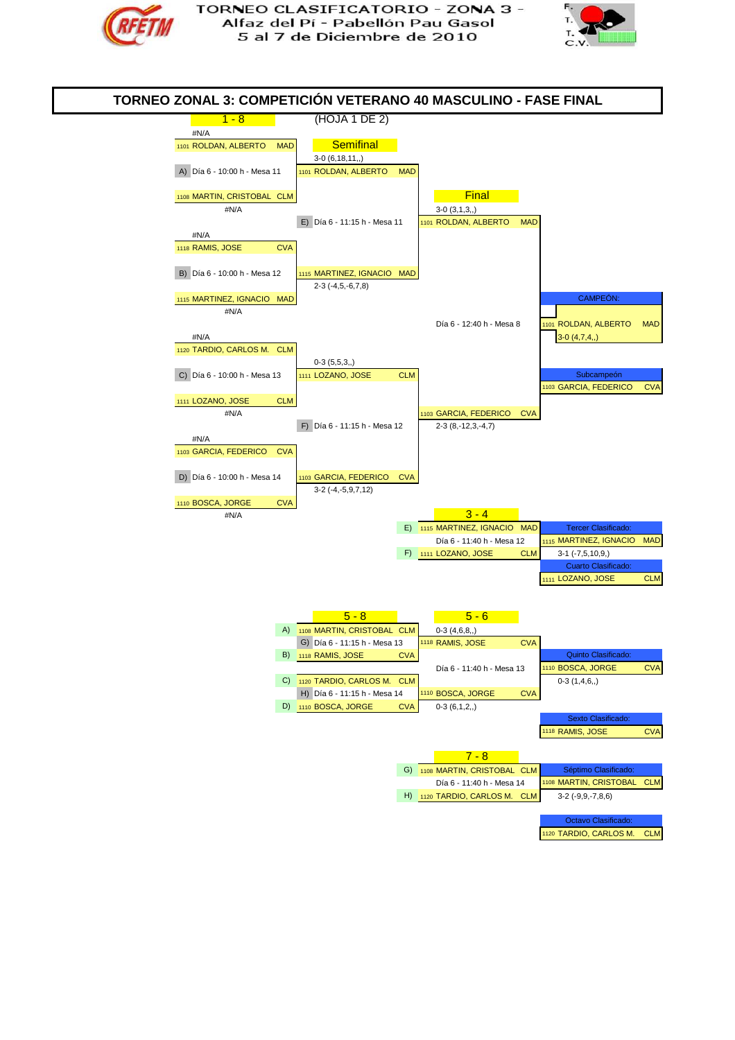



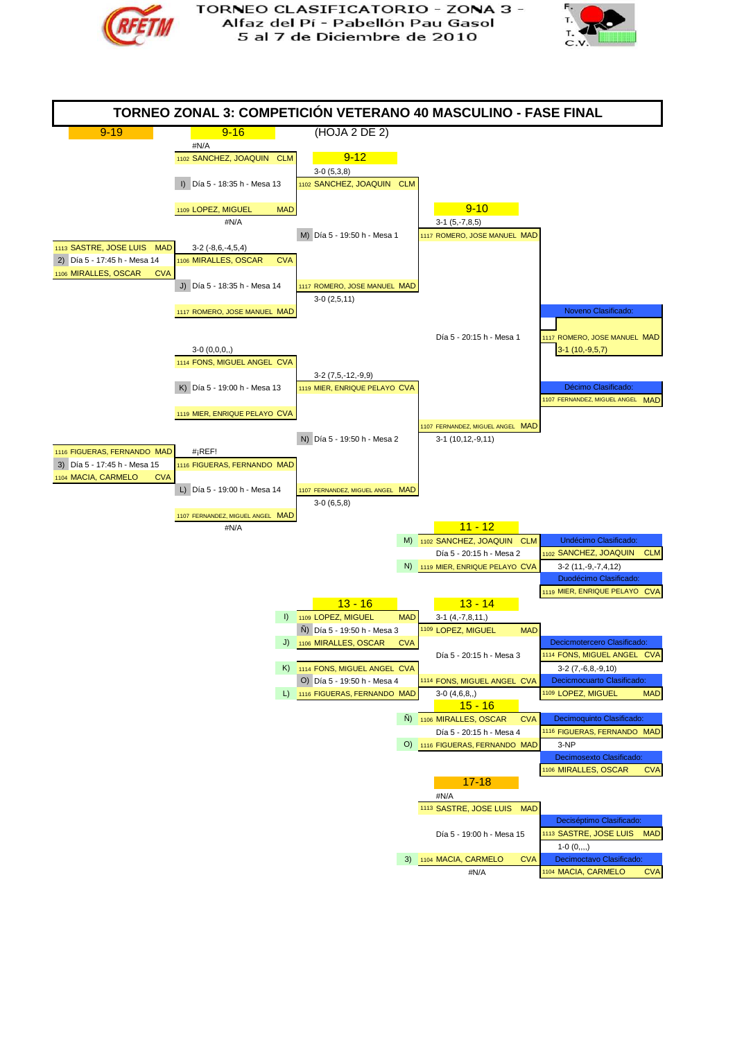



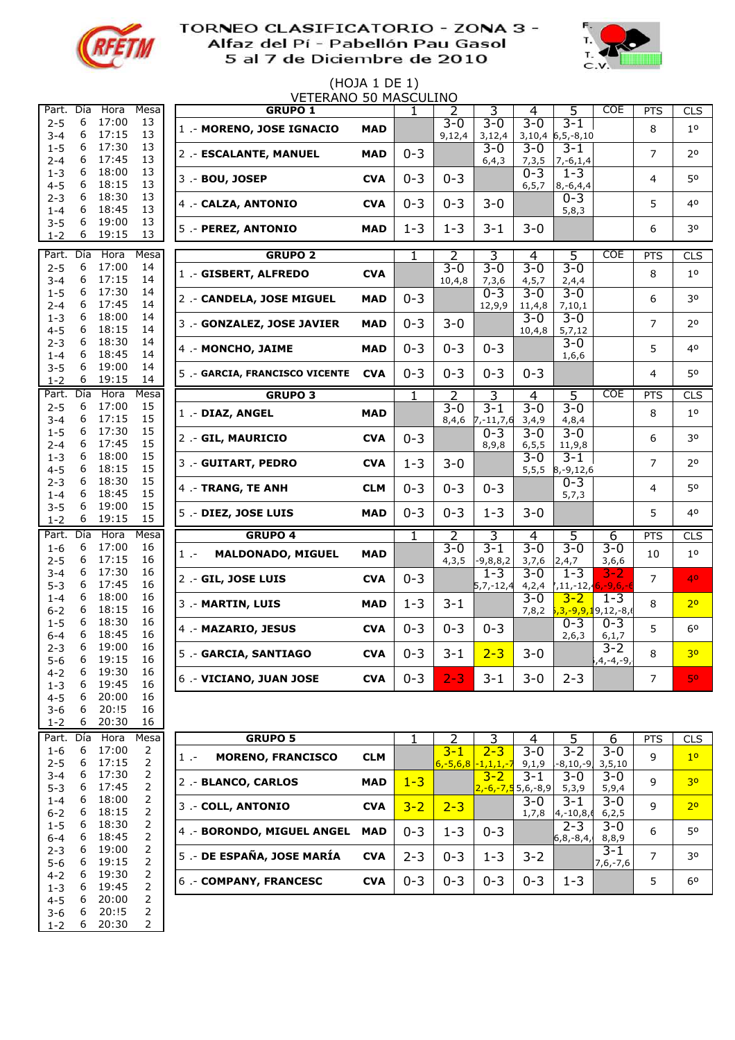

1-3 6 19:45 2 4-5 6 20:00 2 3-6 6 20:!5 2 20:30

## TORNEO CLASIFICATORIO - ZONA 3 -Alfaz del Pí - Pabellón Pau Gasol 5 al 7 de Diciembre de 2010



#### (HOJA 1 DE 1) VETERANO 50 MASCULINO

| Part.              | Día    | Hora           | Mesa                             | <b>GRUPO 1</b>                    |            | 1       | 2                   | 3                                     | 4                   | 5                                       | <b>COE</b>                                   | <b>PTS</b>     | <b>CLS</b>     |
|--------------------|--------|----------------|----------------------------------|-----------------------------------|------------|---------|---------------------|---------------------------------------|---------------------|-----------------------------------------|----------------------------------------------|----------------|----------------|
| $2 - 5$<br>$3 - 4$ | 6<br>6 | 17:00<br>17:15 | 13<br>13                         | 1 .- MORENO, JOSE IGNACIO         | <b>MAD</b> |         | $3 - 0$<br>9,12,4   | $3 - 0$<br>3,12,4                     | $3 - 0$             | $3 - 1$<br>$3,10,4$ 6,5,-8,10           |                                              | 8              | 1 <sup>0</sup> |
| $1 - 5$<br>$2 - 4$ | 6<br>6 | 17:30<br>17:45 | 13<br>13                         | 2 .- ESCALANTE, MANUEL            | <b>MAD</b> | $0 - 3$ |                     | $3 - 0$<br>6, 4, 3                    | $3 - 0$<br>7,3,5    | $3 - 1$<br>$7, -6, 1, 4$                |                                              | $\overline{7}$ | 2 <sup>0</sup> |
| $1 - 3$<br>$4 - 5$ | 6<br>6 | 18:00<br>18:15 | 13<br>13                         | 3 .- BOU, JOSEP                   | <b>CVA</b> | $0 - 3$ | $0 - 3$             |                                       | $0 - 3$<br>6, 5, 7  | $1 - 3$<br>$8, -6, 4, 4$                |                                              | $\overline{4}$ | 50             |
| $2 - 3$<br>$1 - 4$ | 6<br>6 | 18:30<br>18:45 | 13<br>13                         | 4 .- CALZA, ANTONIO               | <b>CVA</b> | $0 - 3$ | $0 - 3$             | $3 - 0$                               |                     | $0 - 3$<br>5,8,3                        |                                              | 5              | 40             |
| $3 - 5$<br>$1 - 2$ | 6<br>6 | 19:00<br>19:15 | 13<br>13                         | 5 .- PEREZ, ANTONIO               | <b>MAD</b> | $1 - 3$ | $1 - 3$             | $3 - 1$                               | $3 - 0$             |                                         |                                              | 6              | 30             |
| Part.              | Día    | <b>Hora</b>    | Mesa                             | <b>GRUPO 2</b>                    |            | 1       | 2                   | 3                                     | 4                   | 5                                       | <b>COE</b>                                   | <b>PTS</b>     | <b>CLS</b>     |
| $2 - 5$<br>$3 - 4$ | 6<br>6 | 17:00<br>17:15 | 14<br>14                         | 1 .- GISBERT, ALFREDO             | <b>CVA</b> |         | $3 - 0$<br>10, 4, 8 | $3 - 0$<br>7,3,6                      | $3 - 0$<br>4, 5, 7  | $3 - 0$<br>2,4,4                        |                                              | 8              | 1 <sup>0</sup> |
| $1 - 5$<br>$2 - 4$ | 6<br>6 | 17:30<br>17:45 | 14<br>14                         | 2 .- CANDELA, JOSE MIGUEL         | <b>MAD</b> | $0 - 3$ |                     | $0 - 3$<br>12,9,9                     | $3 - 0$<br>11,4,8   | $3 - 0$<br>7,10,1                       |                                              | 6              | 30             |
| $1 - 3$<br>$4 - 5$ | 6<br>6 | 18:00<br>18:15 | 14<br>14                         | 3 .- GONZALEZ, JOSE JAVIER        | <b>MAD</b> | $0 - 3$ | $3 - 0$             |                                       | $3 - 0$<br>10, 4, 8 | $3 - 0$<br>5,7,12                       |                                              | $\overline{7}$ | 2 <sup>o</sup> |
| $2 - 3$<br>$1 - 4$ | 6<br>6 | 18:30<br>18:45 | 14<br>14                         | 4 .- MONCHO, JAIME                | <b>MAD</b> | $0 - 3$ | $0 - 3$             | $0 - 3$                               |                     | $3 - 0$<br>1,6,6                        |                                              | 5              | 40             |
| $3 - 5$<br>$1 - 2$ | 6<br>6 | 19:00<br>19:15 | 14<br>14                         | 5 .- GARCIA, FRANCISCO VICENTE    | <b>CVA</b> | $0 - 3$ | $0 - 3$             | $0 - 3$                               | $0 - 3$             |                                         |                                              | 4              | 50             |
| Part.              | Día    | Hora           | Mesa                             | <b>GRUPO 3</b>                    |            | 1       | 2                   | 3                                     | 4                   | 5                                       | COE                                          | <b>PTS</b>     | <b>CLS</b>     |
| $2 - 5$<br>$3 - 4$ | 6<br>6 | 17:00<br>17:15 | 15<br>15                         | 1 .- DIAZ, ANGEL                  | <b>MAD</b> |         | $3 - 0$<br>8,4,6    | $3 - 1$<br>$7, -11, 7, 6$             | $3 - 0$<br>3,4,9    | $3 - 0$<br>4,8,4                        |                                              | 8              | $10$           |
| $1 - 5$<br>$2 - 4$ | 6<br>6 | 17:30<br>17:45 | 15<br>15                         | 2 .- GIL, MAURICIO                | <b>CVA</b> | $0 - 3$ |                     | $0 - 3$<br>8,9,8                      | $3 - 0$<br>6, 5, 5  | $3 - 0$<br>11,9,8                       |                                              | 6              | 30             |
| $1 - 3$<br>$4 - 5$ | 6<br>6 | 18:00<br>18:15 | 15<br>15                         | 3 .- GUITART, PEDRO               | <b>CVA</b> | $1 - 3$ | $3 - 0$             |                                       | $3 - 0$             | $3 - 1$<br>$5,5,5$ 8,-9,12,6            |                                              | $\overline{7}$ | 20             |
| $2 - 3$<br>$1 - 4$ | 6<br>6 | 18:30<br>18:45 | 15<br>15                         | 4 .- TRANG, TE ANH                | <b>CLM</b> | $0 - 3$ | $0 - 3$             | $0 - 3$                               |                     | $0 - 3$<br>5,7,3                        |                                              | 4              | 50             |
| $3 - 5$<br>$1 - 2$ | 6<br>6 | 19:00<br>19:15 | 15<br>15                         | 5 .- DIEZ, JOSE LUIS              | <b>MAD</b> | $0 - 3$ | $0 - 3$             | $1 - 3$                               | $3 - 0$             |                                         |                                              | 5              | 40             |
| Part.              | Día    | Hora           | Mesa                             | <b>GRUPO 4</b>                    |            | 1       | 2                   | 3                                     | 4                   | 5                                       | 6                                            | <b>PTS</b>     | <b>CLS</b>     |
| $1 - 6$<br>$2 - 5$ | 6<br>6 | 17:00<br>17:15 | 16<br>16                         | <b>MALDONADO, MIGUEL</b><br>$1 -$ | <b>MAD</b> |         | $3 - 0$<br>4,3,5    | $3 - 1$<br>$-9,8,8,2$                 | $3 - 0$<br>3,7,6    | $3 - 0$<br>2,4,7                        | $3 - 0$<br>3,6,6                             | 10             | $10$           |
| $3 - 4$<br>$5 - 3$ | 6<br>6 | 17:30<br>17:45 | 16<br>16                         | 2 .- GIL, JOSE LUIS               | <b>CVA</b> | $0 - 3$ |                     | $1 - 3$<br>$5,7,-12,4$                | $3 - 0$             | $1 - 3$<br>$4,2,4$ $7,11,-12,6,-9,6,-1$ | 3-2                                          | $\overline{7}$ | 40             |
| $1 - 4$<br>$6 - 2$ | 6<br>6 | 18:00<br>18:15 | 16<br>16                         | 3 .- MARTIN, LUIS                 | <b>MAD</b> | $1 - 3$ | $3 - 1$             |                                       | $3 - 0$<br>7,8,2    | $3 - 2$                                 | $1 - 3$<br><mark>5,3,-9,9,1</mark> 9,12,-8,6 | 8              | 2 <sup>o</sup> |
| $1 - 5$<br>$6 - 4$ | 6<br>6 | 18:30<br>18:45 | 16<br>16                         | 4 .- MAZARIO, JESUS               | <b>CVA</b> | $0 - 3$ | $0 - 3$             | $0 - 3$                               |                     | $0 - 3$<br>2,6,3                        | $0 - 3$<br>6, 1, 7                           | 5              | 60             |
| $2 - 3$<br>$5 - 6$ | 6<br>6 | 19:00<br>19:15 | 16<br>16                         | 5 .- GARCIA, SANTIAGO             | <b>CVA</b> | $0 - 3$ | $3 - 1$             | $2 - 3$                               | $3 - 0$             |                                         | $3 - 2$<br>۰,4,−4,−9,                        | 8              | 3 <sup>o</sup> |
| $4 - 2$<br>$1 - 3$ | 6<br>6 | 19:30<br>19:45 | 16<br>16                         | 6 - VICIANO, JUAN JOSE            | <b>CVA</b> | $0 - 3$ | $2 - 3$             | $3 - 1$                               | $3 - 0$             | $2 - 3$                                 |                                              | $\overline{7}$ | 50             |
| $4 - 5$<br>$3 - 6$ | 6<br>6 | 20:00<br>20:!5 | 16<br>16                         |                                   |            |         |                     |                                       |                     |                                         |                                              |                |                |
| $1 - 2$            | 6      | 20:30          | 16                               |                                   |            |         |                     |                                       |                     |                                         |                                              |                |                |
| Part.              | Día    | Hora           | Mesa                             | <b>GRUPO 5</b>                    |            | 1       | 2                   | 3                                     | 4                   | 5                                       | 6                                            | <b>PTS</b>     | CLS            |
| $1 - 6$<br>$2 - 5$ | 6<br>6 | 17:00<br>17:15 | 2<br>2                           | <b>MORENO, FRANCISCO</b><br>$1 -$ | <b>CLM</b> |         | $3 - 1$             | $2 - 3$<br>$6, -5, 6, 8 -1, 1, 1, -7$ | $3 - 0$<br>9,1,9    | $3 - 2$<br>$-8, 10, -9$                 | $3 - 0$<br>3, 5, 10                          | 9              | 1 <sup>0</sup> |
| $3 - 4$<br>$5 - 3$ | 6<br>6 | 17:30<br>17:45 | 2<br>2                           | 2 .- BLANCO, CARLOS               | <b>MAD</b> | $1 - 3$ |                     | $3 - 2$<br>$2,-6,-7,5$ 5,6,-8,9       | $3 - 1$             | $3 - 0$<br>5,3,9                        | $3 - 0$<br>5,9,4                             | 9              | 3 <sup>o</sup> |
| $1 - 4$<br>$6 - 2$ | 6<br>6 | 18:00<br>18:15 | 2<br>2                           | 3 .- COLL, ANTONIO                | <b>CVA</b> | $3 - 2$ | $2 - 3$             |                                       | $3 - 0$             | $3 - 1$<br>$1,7,8$ 4,-10,8,6            | $3 - 0$<br>6, 2, 5                           | 9              | 2 <sup>o</sup> |
| $1 - 5$<br>$6 - 4$ | 6<br>6 | 18:30<br>18:45 | 2<br>2                           | 4 .- BORONDO, MIGUEL ANGEL        | <b>MAD</b> | $0 - 3$ | $1 - 3$             | $0 - 3$                               |                     | $2 - 3$<br>$6, 8, -8, 4,$               | $3 - 0$<br>8,8,9                             | 6              | 50             |
| $2 - 3$<br>$5 - 6$ | 6<br>6 | 19:00<br>19:15 | $\overline{2}$<br>2              | 5 .- DE ESPAÑA, JOSE MARÍA        | <b>CVA</b> | $2 - 3$ | $0 - 3$             | $1 - 3$                               | $3 - 2$             |                                         | $3 - 1$<br>$7,6,-7,6$                        | 7              | 30             |
| $4 - 2$<br>$1 - 3$ | 6<br>6 | 19:30<br>19:45 | $\overline{2}$<br>$\overline{2}$ | 6 .- COMPANY, FRANCESC            | <b>CVA</b> | $0 - 3$ | $0 - 3$             | $0 - 3$                               | $0 - 3$             | $1 - 3$                                 |                                              | 5              | 6 <sup>o</sup> |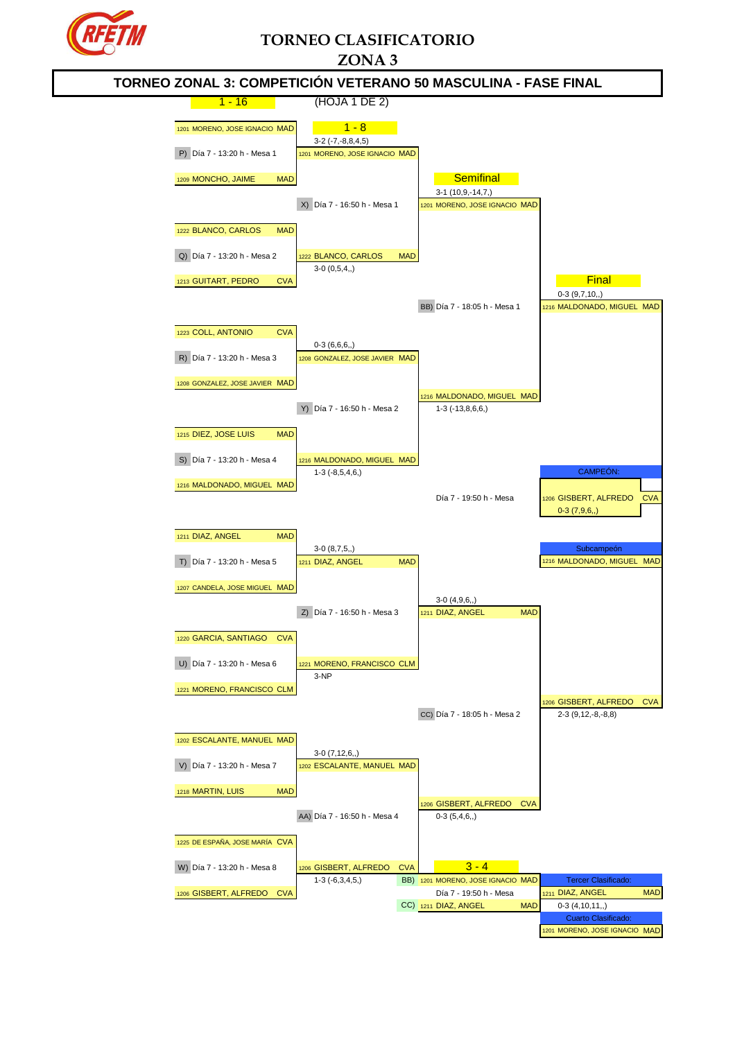

# **TORNEO CLASIFICATORIO ZONA 3**

### 1 - 16 (HOJA 1 DE 2) 1201 MORENO, JOSE IGNACIO MAD  $1 - 8$ 3-2 (-7,-8,8,4,5) P) Día 7 - 13:20 h - Mesa 1 1201 MORENO, JOSE IGNACIO MAD 1209 MONCHO, JAIME MAD SAND SEMITING MAD 3-1 (10,9,-14,7,) X) Día 7 - 16:50 h - Mesa 1 1201 MORENO, JOSE IGNACIO MAD 1222 BLANCO, CARLOS MAD Q) Día 7 - 13:20 h - Mesa 2 1222 BLANCO, CARLOS MAD  $3-0$   $(0,5,4,)$ 1213 GUITART, PEDRO CVA FINAL EXPLORER CONTRACTED AND THE RESEARCH OF THE RESEARCH OF THE RESEARCH OF THE RESEARCH OF THE RESEARCH OF THE RESEARCH OF THE RESEARCH OF THE RESEARCH OF THE RESEARCH OF THE RESEARCH OF THE RESE 0-3 (9,7,10,,) BB) Día 7 - 18:05 h - Mesa 1 1216 MALDONADO, MIGUEL MAD 1223 COLL, ANTONIO CVA 0-3 (6,6,6,,) R) Día 7 - 13:20 h - Mesa 3 1208 GONZALEZ, JOSE JAVIER MAD 1208 GONZALEZ, JOSE JAVIER MAD 1216 MALDONADO, MIGUEL MAD Y) Día 7 - 16:50 h - Mesa 2 1-3 (-13,8,6,6,) 1215 DIEZ, JOSE LUIS MAD S) Día 7 - 13:20 h - Mesa 4 1216 MALDONADO, MIGUEL MAD 1-3 (-8,5,4,6,) CAMPEÓN: 1216 MALDONADO, MIGUEL MAD Día 7 - 19:50 h - Mesa 1206 GISBERT, ALFREDO CVA  $0-3(796)$ 1211 DIAZ, ANGEL MAD  $3-0$  (8,7,5,) T) Día 7 - 13:20 h - Mesa 5 1211 DIAZ, ANGEL MAD 1216 MALDONADO, MIGUEL MAD 1216 MALDONADO, MIGUEL MAD 1207 CANDELA, JOSE MIGUEL MAD 3-0 (4,9,6,,) Z) Día 7 - 16:50 h - Mesa 3 1211 DIAZ, ANGEL MAD 1220 GARCIA, SANTIAGO CVA U) Día 7 - 13:20 h - Mesa 6 1221 MORENO, FRANCISCO CLM 3-NP 1221 MORENO, FRANCISCO CLM 1206 GISBERT, ALFREDO CVA CC) Día 7 - 18:05 h - Mesa 2 2-3 (9,12,-8,-8,8) 1202 ESCALANTE, MANUEL MAD 3-0 (7,12,6,,) V) Día 7 - 13:20 h - Mesa 7 1202 ESCALANTE, MANUEL MAD 1218 MARTIN, LUIS MAD GISBERT, ALFREDO CVA AA) Día 7 - 16:50 h - Mesa 4 0-3 (5,4,6,,) 1225 DE ESPAÑA, JOSE MARÍA CVA W) Día 7 - 13:20 h - Mesa 8 1206 GISBERT, ALFREDO CVA 3 - 4 1-3 (-6,3,4,5,) BB) 1201 MORENO, JOSE IGNACIO MAD Tercer Clasi <sup>1206</sup> GISBERT, ALFREDO CVA Día 7 - 19:50 h - Mesa <sup>1211</sup> DIAZ, ANGEL MAD CC) 1211 DIAZ, ANGEL MAD 0-3 (4,10,11,,) Cuarto Clasifica 1201 MORENO, JOSE IGNACIO MAD **TORNEO ZONAL 3: COMPETICIÓN VETERANO 50 MASCULINA - FASE FINAL**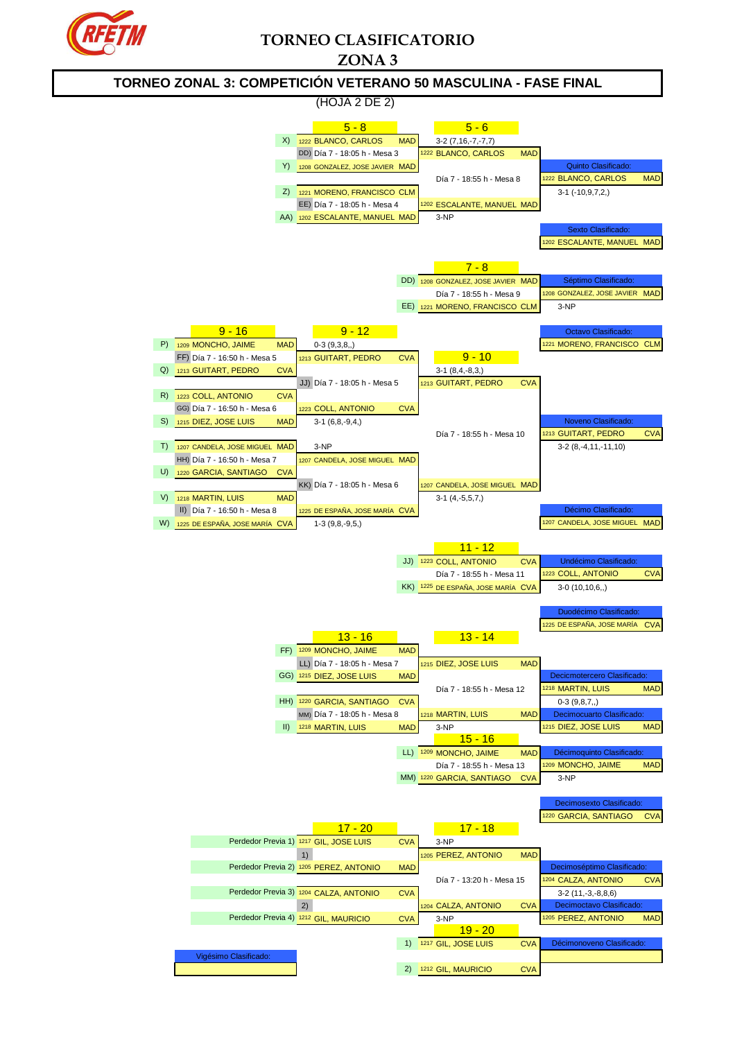

## **TORNEO CLASIFICATORIO ZONA 3**